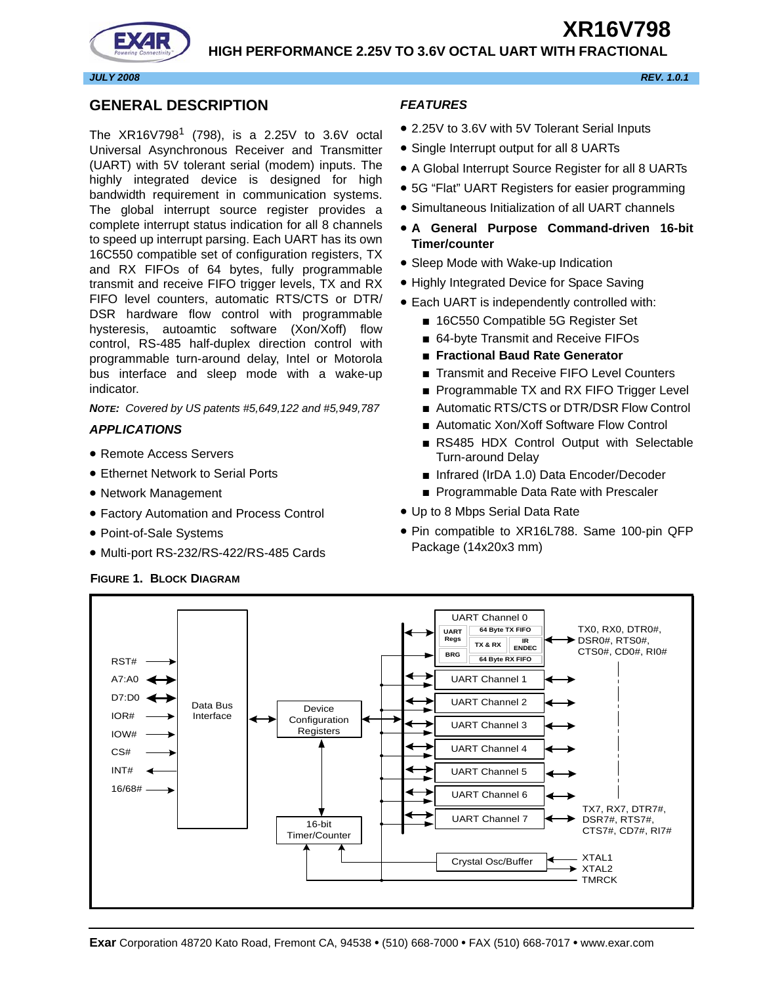# **XR16V798 HIGH PERFORMANCE 2.25V TO 3.6V OCTAL UART WITH FRACTIONAL**



*JULY 2008 REV. 1.0.1*

# <span id="page-0-0"></span>**GENERAL DESCRIPTION**

The  $XR16V798<sup>1</sup>$  (798), is a 2.25V to 3.6V octal Universal Asynchronous Receiver and Transmitter (UART) with 5V tolerant serial (modem) inputs. The highly integrated device is designed for high bandwidth requirement in communication systems. The global interrupt source register provides a complete interrupt status indication for all 8 channels to speed up interrupt parsing. Each UART has its own 16C550 compatible set of configuration registers, TX and RX FIFOs of 64 bytes, fully programmable transmit and receive FIFO trigger levels, TX and RX FIFO level counters, automatic RTS/CTS or DTR/ DSR hardware flow control with programmable hysteresis, autoamtic software (Xon/Xoff) flow control, RS-485 half-duplex direction control with programmable turn-around delay, Intel or Motorola bus interface and sleep mode with a wake-up indicator.

*NOTE: Covered by US patents #5,649,122 and #5,949,787* 

### <span id="page-0-1"></span>*APPLICATIONS*

- Remote Access Servers
- Ethernet Network to Serial Ports
- Network Management
- Factory Automation and Process Control
- Point-of-Sale Systems
- Multi-port RS-232/RS-422/RS-485 Cards

### <span id="page-0-2"></span>*FEATURES*

- 2.25V to 3.6V with 5V Tolerant Serial Inputs
- Single Interrupt output for all 8 UARTs
- A Global Interrupt Source Register for all 8 UARTs
- 5G "Flat" UART Registers for easier programming
- Simultaneous Initialization of all UART channels
- **A General Purpose Command-driven 16-bit Timer/counter**
- Sleep Mode with Wake-up Indication
- Highly Integrated Device for Space Saving
- Each UART is independently controlled with:
	- 16C550 Compatible 5G Register Set
	- 64-byte Transmit and Receive FIFOs
	- **Fractional Baud Rate Generator**
	- Transmit and Receive FIFO Level Counters
	- Programmable TX and RX FIFO Trigger Level
	- Automatic RTS/CTS or DTR/DSR Flow Control
	- Automatic Xon/Xoff Software Flow Control
	- RS485 HDX Control Output with Selectable Turn-around Delay
	- Infrared (IrDA 1.0) Data Encoder/Decoder
	- Programmable Data Rate with Prescaler
- Up to 8 Mbps Serial Data Rate
- Pin compatible to XR16L788. Same 100-pin QFP Package (14x20x3 mm)



# <span id="page-0-3"></span>**FIGURE 1. BLOCK DIAGRAM**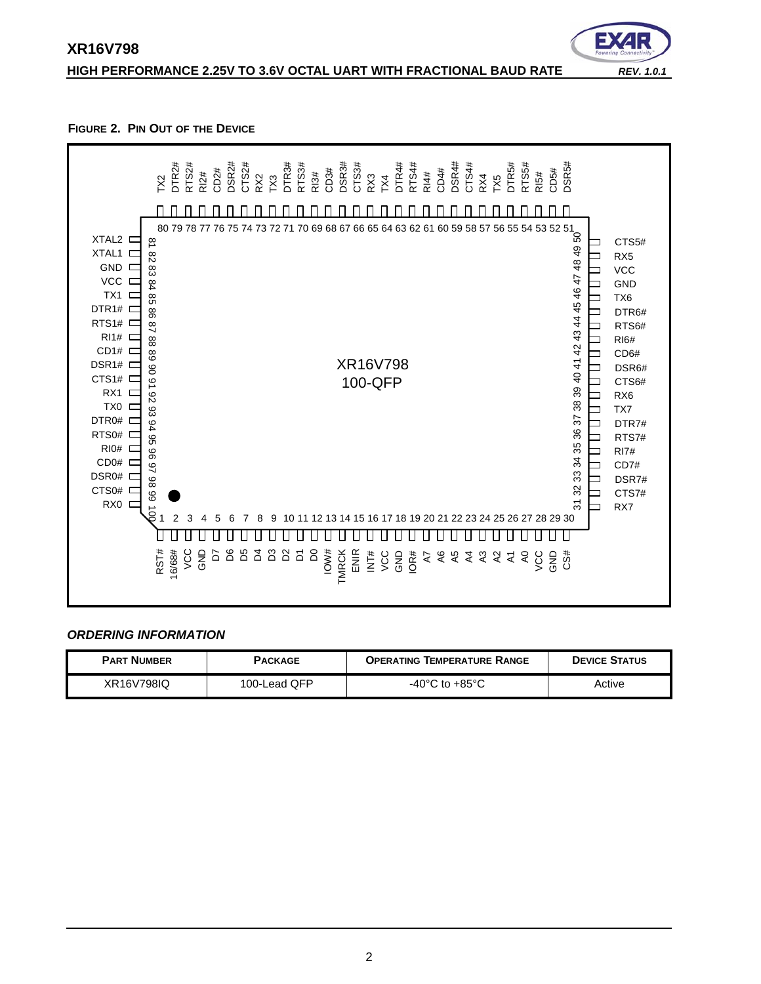# **HIGH PERFORMANCE 2.25V TO 3.6V OCTAL UART WITH FRACTIONAL BAUD RATE** *REV. 1.0.1*

#### <span id="page-1-0"></span>**FIGURE 2. PIN OUT OF THE DEVICE**

**XR16V798**



#### <span id="page-1-1"></span>*ORDERING INFORMATION*

| <b>PART NUMBER</b> | <b>PACKAGE</b> | <b>OPERATING TEMPERATURE RANGE</b> | <b>DEVICE STATUS</b> |  |
|--------------------|----------------|------------------------------------|----------------------|--|
| XR16V798IQ         | 100-Lead QFP   | $-40^{\circ}$ C to $+85^{\circ}$ C | Active               |  |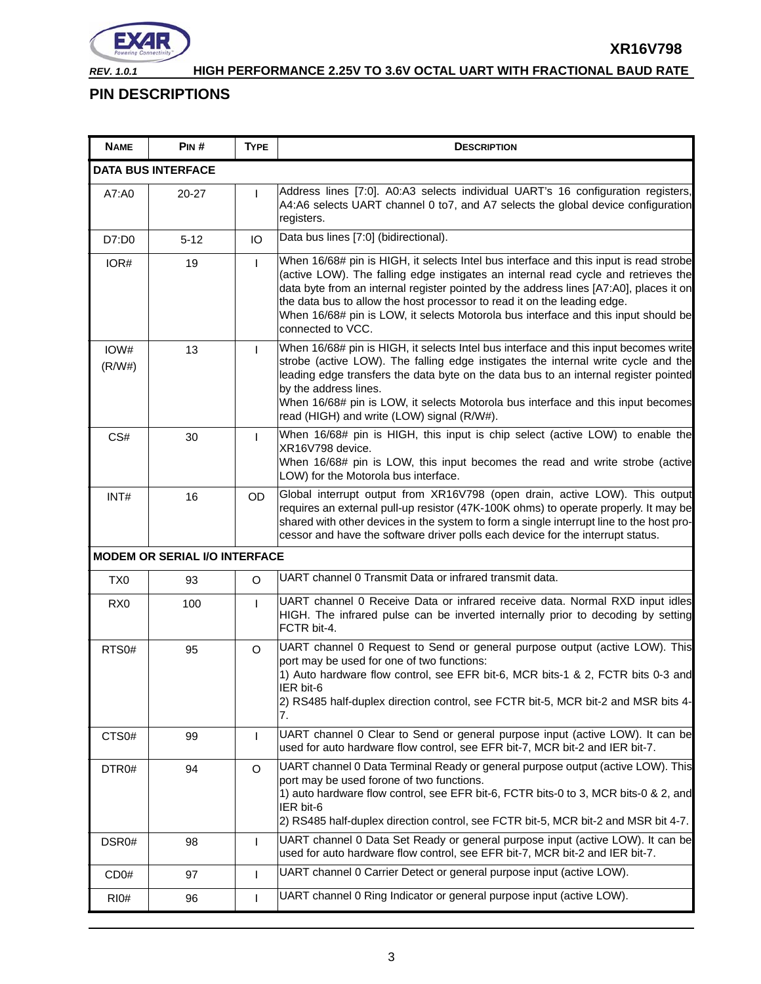

**XR16V798**

# <span id="page-2-0"></span>**PIN DESCRIPTIONS**

| <b>NAME</b>       | PIN#                                 | <b>TYPE</b>  | <b>DESCRIPTION</b>                                                                                                                                                                                                                                                                                                                                                                                                                                           |  |
|-------------------|--------------------------------------|--------------|--------------------------------------------------------------------------------------------------------------------------------------------------------------------------------------------------------------------------------------------------------------------------------------------------------------------------------------------------------------------------------------------------------------------------------------------------------------|--|
|                   | <b>DATA BUS INTERFACE</b>            |              |                                                                                                                                                                                                                                                                                                                                                                                                                                                              |  |
| A7:A0             | 20-27                                | T            | Address lines [7:0]. A0:A3 selects individual UART's 16 configuration registers,<br>A4:A6 selects UART channel 0 to7, and A7 selects the global device configuration<br>registers.                                                                                                                                                                                                                                                                           |  |
| D7:D0             | $5 - 12$                             | Ю            | Data bus lines [7:0] (bidirectional).                                                                                                                                                                                                                                                                                                                                                                                                                        |  |
| IOR#              | 19                                   | $\mathsf{I}$ | When 16/68# pin is HIGH, it selects Intel bus interface and this input is read strobe<br>(active LOW). The falling edge instigates an internal read cycle and retrieves the<br>data byte from an internal register pointed by the address lines [A7:A0], places it on<br>the data bus to allow the host processor to read it on the leading edge.<br>When 16/68# pin is LOW, it selects Motorola bus interface and this input should be<br>connected to VCC. |  |
| IOW#<br>(R/W#)    | 13                                   | $\mathbf{I}$ | When 16/68# pin is HIGH, it selects Intel bus interface and this input becomes write<br>strobe (active LOW). The falling edge instigates the internal write cycle and the<br>leading edge transfers the data byte on the data bus to an internal register pointed<br>by the address lines.<br>When 16/68# pin is LOW, it selects Motorola bus interface and this input becomes<br>read (HIGH) and write (LOW) signal (R/W#).                                 |  |
| CS#               | 30                                   |              | When 16/68# pin is HIGH, this input is chip select (active LOW) to enable the<br>XR16V798 device.<br>When 16/68# pin is LOW, this input becomes the read and write strobe (active<br>LOW) for the Motorola bus interface.                                                                                                                                                                                                                                    |  |
| INT#              | 16                                   | <b>OD</b>    | Global interrupt output from XR16V798 (open drain, active LOW). This output<br>requires an external pull-up resistor (47K-100K ohms) to operate properly. It may be<br>shared with other devices in the system to form a single interrupt line to the host pro-<br>cessor and have the software driver polls each device for the interrupt status.                                                                                                           |  |
|                   | <b>MODEM OR SERIAL I/O INTERFACE</b> |              |                                                                                                                                                                                                                                                                                                                                                                                                                                                              |  |
| TX <sub>0</sub>   | 93                                   | O            | UART channel 0 Transmit Data or infrared transmit data.                                                                                                                                                                                                                                                                                                                                                                                                      |  |
| R <sub>X0</sub>   | 100                                  | $\mathbf{I}$ | UART channel 0 Receive Data or infrared receive data. Normal RXD input idles<br>HIGH. The infrared pulse can be inverted internally prior to decoding by setting<br>FCTR bit-4.                                                                                                                                                                                                                                                                              |  |
| RTS0#             | 95                                   | $\circ$      | UART channel 0 Request to Send or general purpose output (active LOW). This<br>port may be used for one of two functions:<br>1) Auto hardware flow control, see EFR bit-6, MCR bits-1 & 2, FCTR bits 0-3 and<br>IER bit-6<br>2) RS485 half-duplex direction control, see FCTR bit-5, MCR bit-2 and MSR bits 4-<br>7.                                                                                                                                         |  |
| CTS <sub>0#</sub> | 99                                   | $\mathbf{I}$ | UART channel 0 Clear to Send or general purpose input (active LOW). It can be<br>used for auto hardware flow control, see EFR bit-7, MCR bit-2 and IER bit-7.                                                                                                                                                                                                                                                                                                |  |
| DTR0#             | 94                                   | O            | UART channel 0 Data Terminal Ready or general purpose output (active LOW). This<br>port may be used forone of two functions.<br>1) auto hardware flow control, see EFR bit-6, FCTR bits-0 to 3, MCR bits-0 & 2, and<br>IER bit-6<br>2) RS485 half-duplex direction control, see FCTR bit-5, MCR bit-2 and MSR bit 4-7.                                                                                                                                       |  |
| DSR0#             | 98                                   | $\mathbf{I}$ | UART channel 0 Data Set Ready or general purpose input (active LOW). It can be<br>used for auto hardware flow control, see EFR bit-7, MCR bit-2 and IER bit-7.                                                                                                                                                                                                                                                                                               |  |
| CD <sub>0#</sub>  | 97                                   | T            | UART channel 0 Carrier Detect or general purpose input (active LOW).                                                                                                                                                                                                                                                                                                                                                                                         |  |
| <b>RI0#</b>       | 96                                   | $\mathbf{I}$ | UART channel 0 Ring Indicator or general purpose input (active LOW).                                                                                                                                                                                                                                                                                                                                                                                         |  |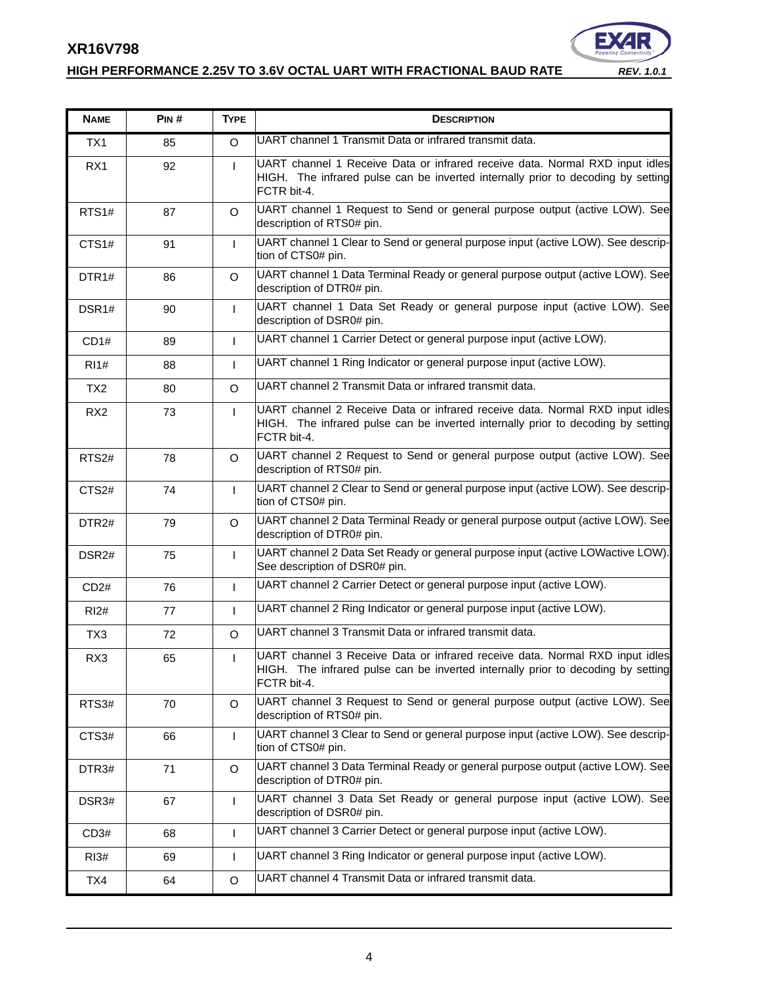



| <b>NAME</b>       | PIN# | <b>TYPE</b>  | <b>DESCRIPTION</b>                                                                                                                                                              |  |
|-------------------|------|--------------|---------------------------------------------------------------------------------------------------------------------------------------------------------------------------------|--|
| TX1               | 85   | $\Omega$     | IUART channel 1 Transmit Data or infrared transmit data.                                                                                                                        |  |
| RX <sub>1</sub>   | 92   | $\mathbf{I}$ | UART channel 1 Receive Data or infrared receive data. Normal RXD input idles<br>HIGH. The infrared pulse can be inverted internally prior to decoding by setting<br>FCTR bit-4. |  |
| RTS1#             | 87   | O            | UART channel 1 Request to Send or general purpose output (active LOW). See<br>description of RTS0# pin.                                                                         |  |
| CTS1#             | 91   | $\mathbf{I}$ | UART channel 1 Clear to Send or general purpose input (active LOW). See descrip-<br>tion of CTS0# pin.                                                                          |  |
| DTR <sub>1#</sub> | 86   | $\circ$      | UART channel 1 Data Terminal Ready or general purpose output (active LOW). See<br>description of DTR0# pin.                                                                     |  |
| DSR1#             | 90   | $\mathbf{I}$ | UART channel 1 Data Set Ready or general purpose input (active LOW). See<br>description of DSR0# pin.                                                                           |  |
| CD1#              | 89   | $\mathbf{I}$ | UART channel 1 Carrier Detect or general purpose input (active LOW).                                                                                                            |  |
| R11#              | 88   | $\mathbf{I}$ | UART channel 1 Ring Indicator or general purpose input (active LOW).                                                                                                            |  |
| TX <sub>2</sub>   | 80   | $\circ$      | UART channel 2 Transmit Data or infrared transmit data.                                                                                                                         |  |
| RX <sub>2</sub>   | 73   | $\mathbf{I}$ | UART channel 2 Receive Data or infrared receive data. Normal RXD input idles<br>HIGH. The infrared pulse can be inverted internally prior to decoding by setting<br>FCTR bit-4. |  |
| RTS2#             | 78   | $\Omega$     | UART channel 2 Request to Send or general purpose output (active LOW). See<br>description of RTS0# pin.                                                                         |  |
| CTS2#             | 74   | $\mathbf{I}$ | UART channel 2 Clear to Send or general purpose input (active LOW). See descrip-<br>tion of CTS0# pin.                                                                          |  |
| DTR <sub>2#</sub> | 79   | $\Omega$     | UART channel 2 Data Terminal Ready or general purpose output (active LOW). See<br>description of DTR0# pin.                                                                     |  |
| DSR <sub>2#</sub> | 75   | $\mathbf{I}$ | UART channel 2 Data Set Ready or general purpose input (active LOWactive LOW).<br>See description of DSR0# pin.                                                                 |  |
| CD2#              | 76   | $\mathbf{I}$ | UART channel 2 Carrier Detect or general purpose input (active LOW).                                                                                                            |  |
| R12#              | 77   | $\mathbf{I}$ | UART channel 2 Ring Indicator or general purpose input (active LOW).                                                                                                            |  |
| TX3               | 72   | $\circ$      | UART channel 3 Transmit Data or infrared transmit data.                                                                                                                         |  |
| RX3               | 65   | $\mathbf{I}$ | UART channel 3 Receive Data or infrared receive data. Normal RXD input idles<br>HIGH. The infrared pulse can be inverted internally prior to decoding by setting<br>FCTR bit-4. |  |
| RTS3#             | 70   | $\circ$      | UART channel 3 Request to Send or general purpose output (active LOW). See<br>description of RTS0# pin.                                                                         |  |
| CTS3#             | 66   | $\mathbf{I}$ | UART channel 3 Clear to Send or general purpose input (active LOW). See descrip-<br>tion of CTS0# pin.                                                                          |  |
| DTR3#             | 71   | $\Omega$     | UART channel 3 Data Terminal Ready or general purpose output (active LOW). See<br>description of DTR0# pin.                                                                     |  |
| DSR3#             | 67   | $\mathbf{I}$ | UART channel 3 Data Set Ready or general purpose input (active LOW). See<br>description of DSR0# pin.                                                                           |  |
| CD3#              | 68   | $\mathbf{I}$ | UART channel 3 Carrier Detect or general purpose input (active LOW).                                                                                                            |  |
| R13#              | 69   | $\mathbf{I}$ | UART channel 3 Ring Indicator or general purpose input (active LOW).                                                                                                            |  |
| TX4               | 64   | O            | UART channel 4 Transmit Data or infrared transmit data.                                                                                                                         |  |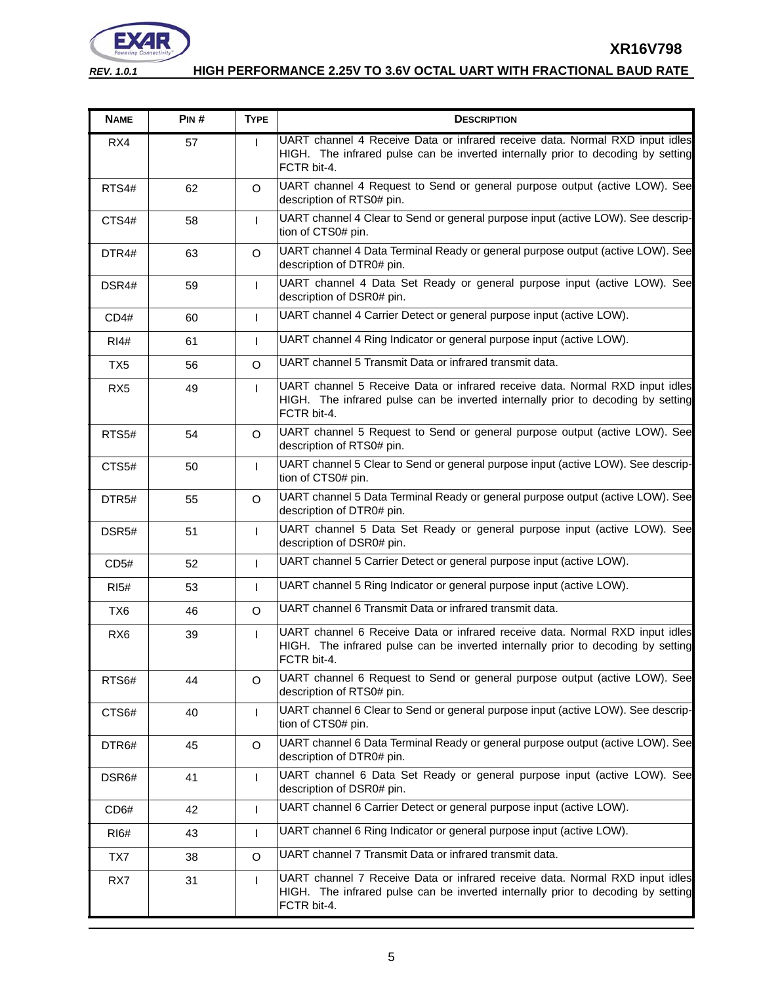

| <b>NAME</b>       | PIN# | <b>TYPE</b>  | <b>DESCRIPTION</b>                                                                                                                                                              |  |
|-------------------|------|--------------|---------------------------------------------------------------------------------------------------------------------------------------------------------------------------------|--|
| RX4               | 57   | $\mathbf{I}$ | UART channel 4 Receive Data or infrared receive data. Normal RXD input idles<br>HIGH. The infrared pulse can be inverted internally prior to decoding by setting<br>FCTR bit-4. |  |
| RTS4#             | 62   | O            | UART channel 4 Request to Send or general purpose output (active LOW). See<br>description of RTS0# pin.                                                                         |  |
| CTS4#             | 58   | $\mathbf{I}$ | UART channel 4 Clear to Send or general purpose input (active LOW). See descrip-<br>tion of CTS0# pin.                                                                          |  |
| DTR4#             | 63   | $\Omega$     | UART channel 4 Data Terminal Ready or general purpose output (active LOW). See<br>description of DTR0# pin.                                                                     |  |
| DSR4#             | 59   | L            | UART channel 4 Data Set Ready or general purpose input (active LOW). See<br>description of DSR0# pin.                                                                           |  |
| CD4#              | 60   | $\mathbf{I}$ | UART channel 4 Carrier Detect or general purpose input (active LOW).                                                                                                            |  |
| RI4#              | 61   | $\mathbf{L}$ | UART channel 4 Ring Indicator or general purpose input (active LOW).                                                                                                            |  |
| TX5               | 56   | $\Omega$     | UART channel 5 Transmit Data or infrared transmit data.                                                                                                                         |  |
| RX <sub>5</sub>   | 49   | $\mathbf{I}$ | UART channel 5 Receive Data or infrared receive data. Normal RXD input idles<br>HIGH. The infrared pulse can be inverted internally prior to decoding by setting<br>FCTR bit-4. |  |
| RTS5#             | 54   | O            | UART channel 5 Request to Send or general purpose output (active LOW). See<br>description of RTS0# pin.                                                                         |  |
| CTS5#             | 50   | $\mathbf{I}$ | UART channel 5 Clear to Send or general purpose input (active LOW). See descrip-<br>tion of CTS0# pin.                                                                          |  |
| DTR <sub>5#</sub> | 55   | O            | UART channel 5 Data Terminal Ready or general purpose output (active LOW). See<br>description of DTR0# pin.                                                                     |  |
| DSR5#             | 51   | $\mathbf{I}$ | UART channel 5 Data Set Ready or general purpose input (active LOW). See<br>description of DSR0# pin.                                                                           |  |
| CD5#              | 52   | $\mathbf{L}$ | UART channel 5 Carrier Detect or general purpose input (active LOW).                                                                                                            |  |
| <b>RI5#</b>       | 53   | $\mathbf{L}$ | UART channel 5 Ring Indicator or general purpose input (active LOW).                                                                                                            |  |
| TX6               | 46   | $\Omega$     | UART channel 6 Transmit Data or infrared transmit data.                                                                                                                         |  |
| RX <sub>6</sub>   | 39   | $\mathbf{I}$ | UART channel 6 Receive Data or infrared receive data. Normal RXD input idles<br>HIGH. The infrared pulse can be inverted internally prior to decoding by setting<br>FCTR bit-4. |  |
| RTS6#             | 44   | O            | UART channel 6 Request to Send or general purpose output (active LOW). See<br>description of RTS0# pin.                                                                         |  |
| CTS6#             | 40   | L            | UART channel 6 Clear to Send or general purpose input (active LOW). See descrip-<br>tion of CTS0# pin.                                                                          |  |
| DTR6#             | 45   | $\circ$      | UART channel 6 Data Terminal Ready or general purpose output (active LOW). See<br>description of DTR0# pin.                                                                     |  |
| DSR6#             | 41   | $\mathbf{I}$ | UART channel 6 Data Set Ready or general purpose input (active LOW). See<br>description of DSR0# pin.                                                                           |  |
| CD6#              | 42   | $\mathbf{I}$ | UART channel 6 Carrier Detect or general purpose input (active LOW).                                                                                                            |  |
| <b>RI6#</b>       | 43   | $\mathbf{I}$ | UART channel 6 Ring Indicator or general purpose input (active LOW).                                                                                                            |  |
| TX7               | 38   | O            | UART channel 7 Transmit Data or infrared transmit data.                                                                                                                         |  |
| RX7               | 31   | Ι.           | UART channel 7 Receive Data or infrared receive data. Normal RXD input idles<br>HIGH. The infrared pulse can be inverted internally prior to decoding by setting<br>FCTR bit-4. |  |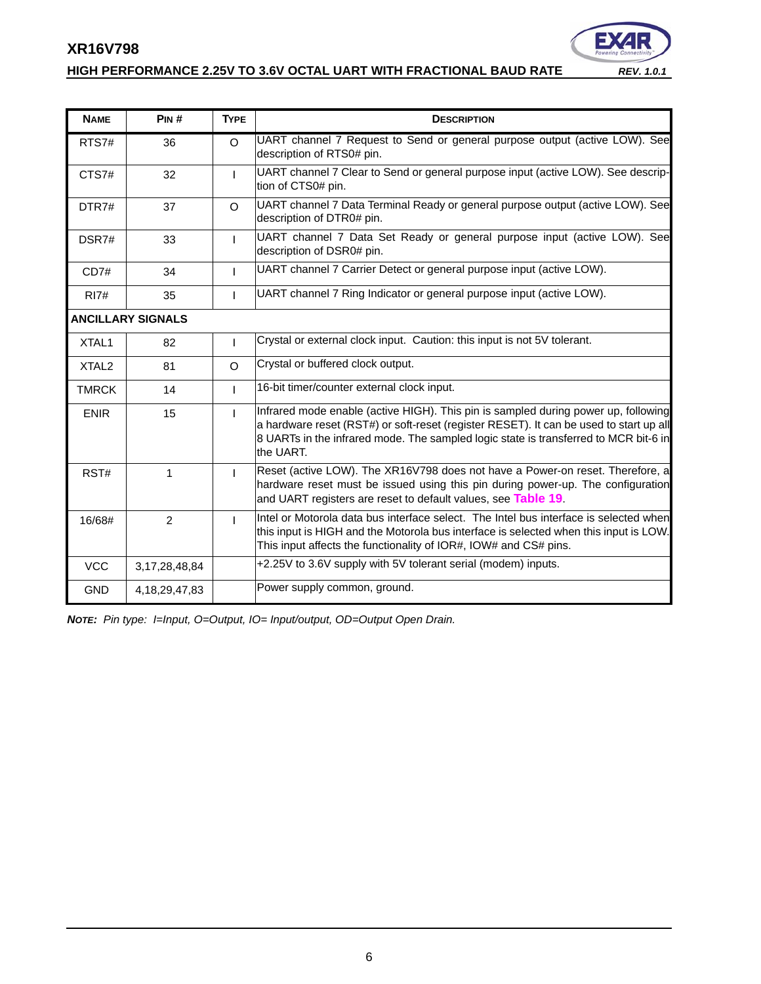# **HIGH PERFORMANCE 2.25V TO 3.6V OCTAL UART WITH FRACTIONAL BAUD RATE**

| <b>REV. 1.0.1</b> |  |
|-------------------|--|
|                   |  |

E

| <b>NAME</b>       | PIN#                     | <b>TYPE</b>  | <b>DESCRIPTION</b>                                                                                                                                                                                                                                                                |
|-------------------|--------------------------|--------------|-----------------------------------------------------------------------------------------------------------------------------------------------------------------------------------------------------------------------------------------------------------------------------------|
| RTS7#             | 36                       | $\circ$      | UART channel 7 Request to Send or general purpose output (active LOW). See<br>description of RTS0# pin.                                                                                                                                                                           |
| CTS7#             | 32                       | L            | UART channel 7 Clear to Send or general purpose input (active LOW). See descrip-<br>tion of CTS0# pin.                                                                                                                                                                            |
| DTR7#             | 37                       | $\Omega$     | UART channel 7 Data Terminal Ready or general purpose output (active LOW). See<br>description of DTR0# pin.                                                                                                                                                                       |
| DSR7#             | 33                       | т            | UART channel 7 Data Set Ready or general purpose input (active LOW). See<br>description of DSR0# pin.                                                                                                                                                                             |
| CD7#              | 34                       | L            | UART channel 7 Carrier Detect or general purpose input (active LOW).                                                                                                                                                                                                              |
| <b>RI7#</b>       | 35                       | T            | UART channel 7 Ring Indicator or general purpose input (active LOW).                                                                                                                                                                                                              |
|                   | <b>ANCILLARY SIGNALS</b> |              |                                                                                                                                                                                                                                                                                   |
| XTAL1             | 82                       | T            | Crystal or external clock input. Caution: this input is not 5V tolerant.                                                                                                                                                                                                          |
| XTAL <sub>2</sub> | 81                       | $\circ$      | Crystal or buffered clock output.                                                                                                                                                                                                                                                 |
| <b>TMRCK</b>      | 14                       | L            | 16-bit timer/counter external clock input.                                                                                                                                                                                                                                        |
| <b>ENIR</b>       | 15                       |              | Infrared mode enable (active HIGH). This pin is sampled during power up, following<br>a hardware reset (RST#) or soft-reset (register RESET). It can be used to start up all<br>8 UARTs in the infrared mode. The sampled logic state is transferred to MCR bit-6 in<br>the UART. |
| RST#              | 1                        | L            | Reset (active LOW). The XR16V798 does not have a Power-on reset. Therefore, a<br>hardware reset must be issued using this pin during power-up. The configuration<br>and UART registers are reset to default values, see Table 19.                                                 |
| 16/68#            | $\overline{2}$           | $\mathbf{I}$ | Intel or Motorola data bus interface select. The Intel bus interface is selected when<br>this input is HIGH and the Motorola bus interface is selected when this input is LOW.<br>This input affects the functionality of IOR#, IOW# and CS# pins.                                |
| <b>VCC</b>        | 3, 17, 28, 48, 84        |              | +2.25V to 3.6V supply with 5V tolerant serial (modem) inputs.                                                                                                                                                                                                                     |
| <b>GND</b>        | 4, 18, 29, 47, 83        |              | Power supply common, ground.                                                                                                                                                                                                                                                      |

*NOTE: Pin type: I=Input, O=Output, IO= Input/output, OD=Output Open Drain.*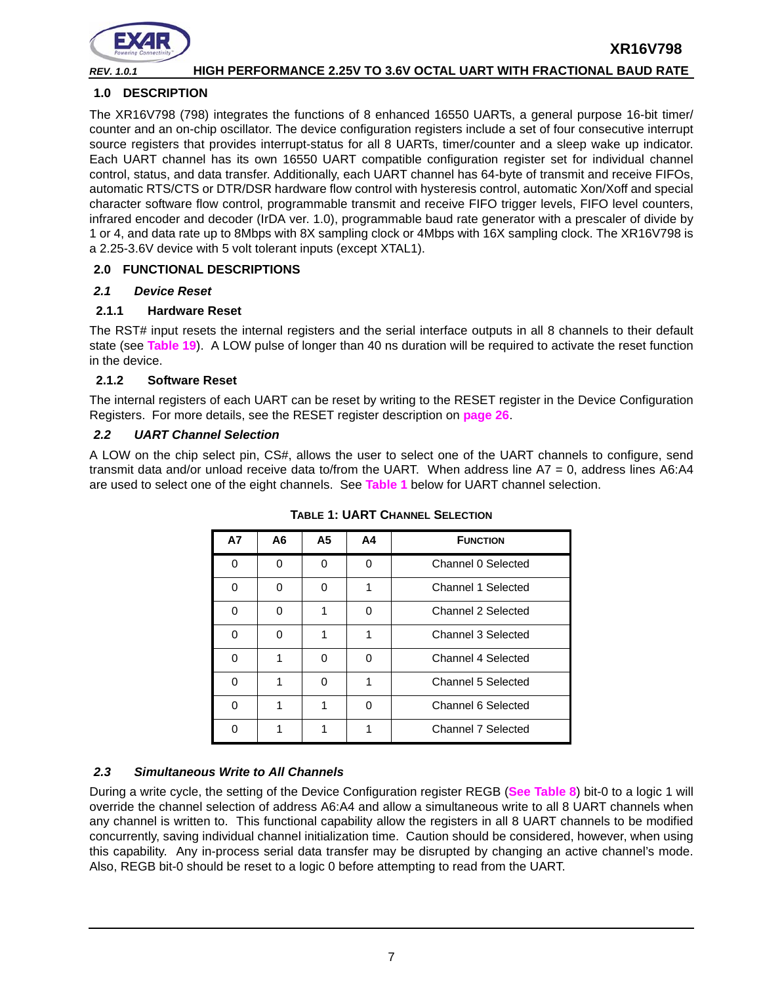

## <span id="page-6-1"></span>**1.0 DESCRIPTION**

The XR16V798 (798) integrates the functions of 8 enhanced 16550 UARTs, a general purpose 16-bit timer/ counter and an on-chip oscillator. The device configuration registers include a set of four consecutive interrupt source registers that provides interrupt-status for all 8 UARTs, timer/counter and a sleep wake up indicator. Each UART channel has its own 16550 UART compatible configuration register set for individual channel control, status, and data transfer. Additionally, each UART channel has 64-byte of transmit and receive FIFOs, automatic RTS/CTS or DTR/DSR hardware flow control with hysteresis control, automatic Xon/Xoff and special character software flow control, programmable transmit and receive FIFO trigger levels, FIFO level counters, infrared encoder and decoder (IrDA ver. 1.0), programmable baud rate generator with a prescaler of divide by 1 or 4, and data rate up to 8Mbps with 8X sampling clock or 4Mbps with 16X sampling clock. The XR16V798 is a 2.25-3.6V device with 5 volt tolerant inputs (except XTAL1).

### <span id="page-6-2"></span>**2.0 FUNCTIONAL DESCRIPTIONS**

#### <span id="page-6-3"></span>*2.1 Device Reset*

### <span id="page-6-4"></span>**2.1.1 Hardware Reset**

The RST# input resets the internal registers and the serial interface outputs in all 8 channels to their default state (see **[Table](#page-44-0) 19**). A LOW pulse of longer than 40 ns duration will be required to activate the reset function in the device.

#### <span id="page-6-5"></span>**2.1.2 Software Reset**

The internal registers of each UART can be reset by writing to the RESET register in the Device Configuration Registers. For more details, see the RESET register description on **[page](#page-25-0) 26**.

#### <span id="page-6-6"></span>*2.2 UART Channel Selection*

<span id="page-6-0"></span>A LOW on the chip select pin, CS#, allows the user to select one of the UART channels to configure, send transmit data and/or unload receive data to/from the UART. When address line A7 = 0, address lines A6:A4 are used to select one of the eight channels. See **[Table](#page-6-0) 1** below for UART channel selection.

| <b>A7</b> | A6 | A5 | A4       | <b>FUNCTION</b>           |  |  |
|-----------|----|----|----------|---------------------------|--|--|
| ∩         | 0  | U  | O        | Channel 0 Selected        |  |  |
| n         | U  | U  | 1        | <b>Channel 1 Selected</b> |  |  |
| ∩         | U  |    | $\Omega$ | Channel 2 Selected        |  |  |
|           | 0  |    | 1        | Channel 3 Selected        |  |  |
|           | 1  | ∩  | $\Omega$ | Channel 4 Selected        |  |  |
|           | 1  | ∩  | 1        | Channel 5 Selected        |  |  |
|           | 1  |    | O        | Channel 6 Selected        |  |  |
|           |    |    |          | <b>Channel 7 Selected</b> |  |  |

**TABLE 1: UART CHANNEL SELECTION**

# <span id="page-6-7"></span>*2.3 Simultaneous Write to All Channels*

During a write cycle, the setting of the Device Configuration register REGB (**[See Table](#page-21-0) 8**) bit-0 to a logic 1 will override the channel selection of address A6:A4 and allow a simultaneous write to all 8 UART channels when any channel is written to. This functional capability allow the registers in all 8 UART channels to be modified concurrently, saving individual channel initialization time. Caution should be considered, however, when using this capability. Any in-process serial data transfer may be disrupted by changing an active channel's mode. Also, REGB bit-0 should be reset to a logic 0 before attempting to read from the UART.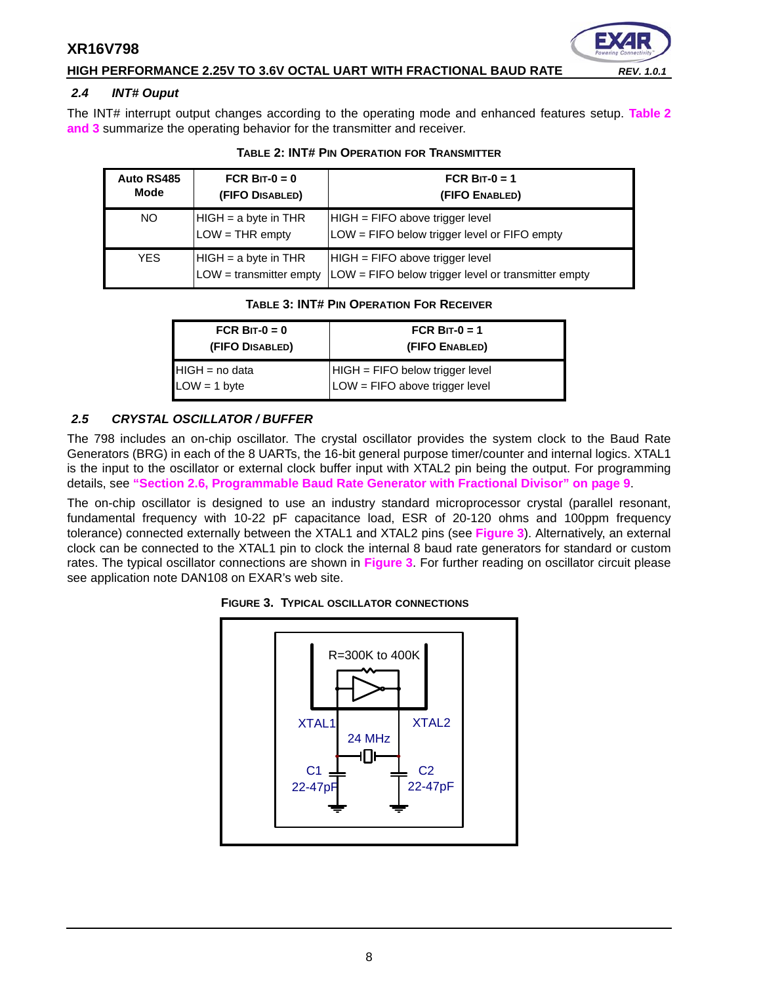

### **HIGH PERFORMANCE 2.25V TO 3.6V OCTAL UART WITH FRACTIONAL BAUD RATE** *REV. 1.0.1*

#### <span id="page-7-3"></span>*2.4 INT# Ouput*

<span id="page-7-1"></span>The INT# interrupt output changes according to the operating mode and enhanced features setup. **[Table](#page-7-1) 2 [and](#page-7-2) 3** summarize the operating behavior for the transmitter and receiver.

| Auto RS485<br><b>Mode</b> | FCR BIT- $0 = 0$<br>(FIFO DISABLED)                 | FCR BIT-0 = 1<br>(FIFO ENABLED)                                                        |  |  |
|---------------------------|-----------------------------------------------------|----------------------------------------------------------------------------------------|--|--|
| NO.                       | $HHGH = a byte in THR$<br>$LOW = THR$ empty         | HIGH = FIFO above trigger level<br>LOW = FIFO below trigger level or FIFO empty        |  |  |
| YES.                      | $HIGH = a byte in THR$<br>$LOW =$ transmitter empty | HIGH = FIFO above trigger level<br>LOW = FIFO below trigger level or transmitter empty |  |  |

#### **TABLE 2: INT# PIN OPERATION FOR TRANSMITTER**

#### **TABLE 3: INT# PIN OPERATION FOR RECEIVER**

<span id="page-7-2"></span>

| FCR BIT- $0 = 0$ | FCR BIT-0 = 1                     |  |  |  |
|------------------|-----------------------------------|--|--|--|
| (FIFO DISABLED)  | (FIFO ENABLED)                    |  |  |  |
| $HIGH = no data$ | $HIGH = FIFO below trigger level$ |  |  |  |
| $LOW = 1 byte$   | LOW = FIFO above trigger level    |  |  |  |

#### <span id="page-7-4"></span>*2.5 CRYSTAL OSCILLATOR / BUFFER*

The 798 includes an on-chip oscillator. The crystal oscillator provides the system clock to the Baud Rate Generators (BRG) in each of the 8 UARTs, the 16-bit general purpose timer/counter and internal logics. XTAL1 is the input to the oscillator or external clock buffer input with XTAL2 pin being the output. For programming details, see **["Section 2.6, Programmable Baud Rate Generator with Fractional Divisor" on page](#page-8-0) 9**.

The on-chip oscillator is designed to use an industry standard microprocessor crystal (parallel resonant, fundamental frequency with 10-22 pF capacitance load, ESR of 20-120 ohms and 100ppm frequency tolerance) connected externally between the XTAL1 and XTAL2 pins (see **[Figure](#page-7-0) 3**). Alternatively, an external clock can be connected to the XTAL1 pin to clock the internal 8 baud rate generators for standard or custom rates. The typical oscillator connections are shown in **[Figure](#page-7-0) 3**. For further reading on oscillator circuit please see application note DAN108 on EXAR's web site.

<span id="page-7-0"></span>

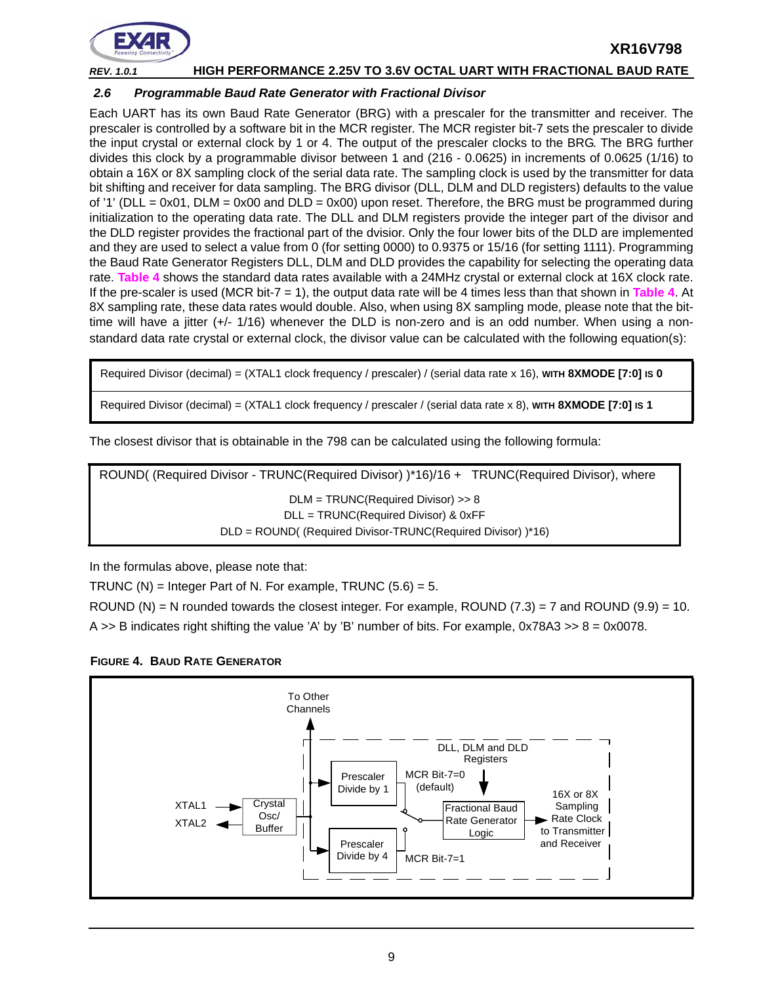

**XR16V798**

#### <span id="page-8-0"></span>*2.6 Programmable Baud Rate Generator with Fractional Divisor*

Each UART has its own Baud Rate Generator (BRG) with a prescaler for the transmitter and receiver. The prescaler is controlled by a software bit in the MCR register. The MCR register bit-7 sets the prescaler to divide the input crystal or external clock by 1 or 4. The output of the prescaler clocks to the BRG. The BRG further divides this clock by a programmable divisor between 1 and (216 - 0.0625) in increments of 0.0625 (1/16) to obtain a 16X or 8X sampling clock of the serial data rate. The sampling clock is used by the transmitter for data bit shifting and receiver for data sampling. The BRG divisor (DLL, DLM and DLD registers) defaults to the value of '1' ( $DLL = 0x01$ ,  $DLM = 0x00$  and  $DLD = 0x00$ ) upon reset. Therefore, the BRG must be programmed during initialization to the operating data rate. The DLL and DLM registers provide the integer part of the divisor and the DLD register provides the fractional part of the dvisior. Only the four lower bits of the DLD are implemented and they are used to select a value from 0 (for setting 0000) to 0.9375 or 15/16 (for setting 1111). Programming the Baud Rate Generator Registers DLL, DLM and DLD provides the capability for selecting the operating data rate. **[Table](#page-9-0) 4** shows the standard data rates available with a 24MHz crystal or external clock at 16X clock rate. If the pre-scaler is used (MCR bit-7 = 1), the output data rate will be 4 times less than that shown in **[Table](#page-9-0) 4**. At 8X sampling rate, these data rates would double. Also, when using 8X sampling mode, please note that the bittime will have a jitter (+/- 1/16) whenever the DLD is non-zero and is an odd number. When using a nonstandard data rate crystal or external clock, the divisor value can be calculated with the following equation(s):

Required Divisor (decimal) = (XTAL1 clock frequency / prescaler) / (serial data rate x 16), **WITH 8XMODE [7:0] IS 0** 

Required Divisor (decimal) = (XTAL1 clock frequency / prescaler / (serial data rate x 8), **WITH 8XMODE [7:0] IS 1**

The closest divisor that is obtainable in the 798 can be calculated using the following formula:

ROUND( (Required Divisor - TRUNC(Required Divisor) )\*16)/16 + TRUNC(Required Divisor), where DLM = TRUNC(Required Divisor) >> 8 DLL = TRUNC(Required Divisor) & 0xFF DLD = ROUND( (Required Divisor-TRUNC(Required Divisor) )\*16)

In the formulas above, please note that:

TRUNC (N) = Integer Part of N. For example, TRUNC  $(5.6) = 5$ .

ROUND (N) = N rounded towards the closest integer. For example, ROUND  $(7.3)$  = 7 and ROUND  $(9.9)$  = 10. A  $>>$  B indicates right shifting the value 'A' by 'B' number of bits. For example, 0x78A3  $>> 8 = 0x0078$ .

<span id="page-8-1"></span>

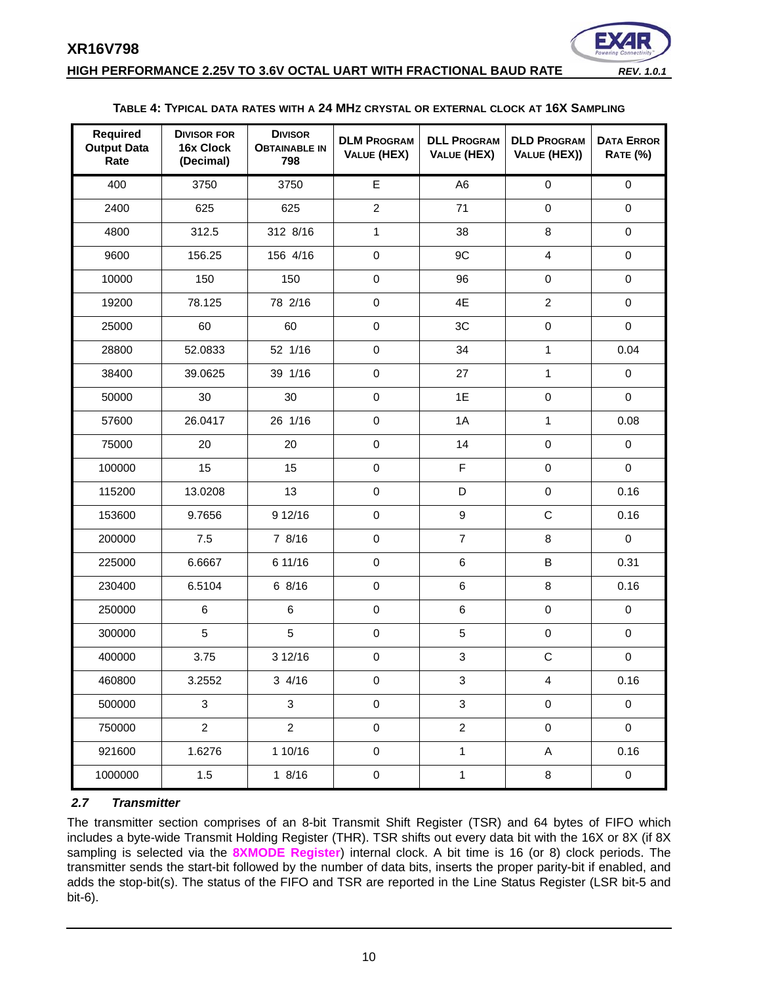

#### **HIGH PERFORMANCE 2.25V TO 3.6V OCTAL UART WITH FRACTIONAL BAUD RATE** *REV. 1.0.1*

| TABLE 4: TYPICAL DATA RATES WITH A 24 MHZ CRYSTAL OR EXTERNAL CLOCK AT 16X SAMPLING |  |  |
|-------------------------------------------------------------------------------------|--|--|
|-------------------------------------------------------------------------------------|--|--|

<span id="page-9-0"></span>

| <b>Required</b><br><b>Output Data</b><br>Rate | <b>DIVISOR FOR</b><br>16x Clock<br>(Decimal) | <b>DIVISOR</b><br><b>OBTAINABLE IN</b><br>798 | <b>DLM PROGRAM</b><br><b>VALUE (HEX)</b> | <b>DLL PROGRAM</b><br><b>VALUE (HEX)</b> | <b>DLD PROGRAM</b><br>VALUE (HEX)) | <b>DATA ERROR</b><br><b>RATE (%)</b> |
|-----------------------------------------------|----------------------------------------------|-----------------------------------------------|------------------------------------------|------------------------------------------|------------------------------------|--------------------------------------|
| 400                                           | 3750                                         | 3750                                          | E                                        | A <sub>6</sub>                           | $\mathsf 0$                        | $\mathsf{O}\xspace$                  |
| 2400                                          | 625                                          | 625                                           | $\overline{2}$                           | 71                                       | 0                                  | $\pmb{0}$                            |
| 4800                                          | 312.5                                        | 312 8/16                                      | $\mathbf{1}$                             | 38                                       | 8                                  | $\pmb{0}$                            |
| 9600                                          | 156.25                                       | 156 4/16                                      | $\mathbf 0$                              | 9C                                       | $\overline{4}$                     | $\pmb{0}$                            |
| 10000                                         | 150                                          | 150                                           | $\pmb{0}$                                | 96                                       | 0                                  | $\pmb{0}$                            |
| 19200                                         | 78.125                                       | 78 2/16                                       | $\mathsf{O}\xspace$                      | 4E                                       | $\overline{a}$                     | $\pmb{0}$                            |
| 25000                                         | 60                                           | 60                                            | $\pmb{0}$                                | 3C                                       | $\pmb{0}$                          | $\pmb{0}$                            |
| 28800                                         | 52.0833                                      | 52 1/16                                       | $\mathbf 0$                              | 34                                       | $\mathbf{1}$                       | 0.04                                 |
| 38400                                         | 39.0625                                      | 39 1/16                                       | $\mathbf 0$                              | 27                                       | $\mathbf{1}$                       | $\pmb{0}$                            |
| 50000                                         | 30                                           | 30                                            | $\pmb{0}$                                | 1E                                       | $\pmb{0}$                          | $\pmb{0}$                            |
| 57600                                         | 26.0417                                      | 26 1/16                                       | $\pmb{0}$                                | 1A                                       | $\mathbf{1}$                       | 0.08                                 |
| 75000                                         | 20                                           | 20                                            | $\pmb{0}$                                | 14                                       | $\pmb{0}$                          | $\pmb{0}$                            |
| 100000                                        | 15                                           | 15                                            | $\pmb{0}$                                | $\mathsf F$                              | $\pmb{0}$                          | $\pmb{0}$                            |
| 115200                                        | 13.0208                                      | 13                                            | $\mathsf{O}\xspace$                      | D                                        | $\mathsf 0$                        | 0.16                                 |
| 153600                                        | 9.7656                                       | 9 12/16                                       | $\pmb{0}$                                | 9                                        | $\mathsf C$                        | 0.16                                 |
| 200000                                        | 7.5                                          | 7 8/16                                        | $\pmb{0}$                                | $\overline{7}$                           | 8                                  | $\pmb{0}$                            |
| 225000                                        | 6.6667                                       | 6 11/16                                       | $\pmb{0}$                                | 6                                        | B                                  | 0.31                                 |
| 230400                                        | 6.5104                                       | 68/16                                         | $\pmb{0}$                                | 6                                        | 8                                  | 0.16                                 |
| 250000                                        | $\,6\,$                                      | 6                                             | $\pmb{0}$                                | 6                                        | $\pmb{0}$                          | $\pmb{0}$                            |
| 300000                                        | 5                                            | 5                                             | $\mathbf 0$                              | 5                                        | $\mathsf 0$                        | $\pmb{0}$                            |
| 400000                                        | 3.75                                         | 3 12/16                                       | $\pmb{0}$                                | 3                                        | $\mathsf C$                        | $\mathbf 0$                          |
| 460800                                        | 3.2552                                       | 34/16                                         | 0                                        | 3.                                       | 4                                  | 0.16                                 |
| 500000                                        | 3                                            | 3                                             | $\mathbf 0$                              | $\mathbf{3}$                             | $\mathbf 0$                        | $\pmb{0}$                            |
| 750000                                        | $\overline{2}$                               | $\overline{2}$                                | $\mathbf 0$                              | $\overline{2}$                           | $\mathsf{O}\xspace$                | $\pmb{0}$                            |
| 921600                                        | 1.6276                                       | 1 10/16                                       | $\mathsf 0$                              | $\mathbf{1}$                             | A                                  | 0.16                                 |
| 1000000                                       | 1.5                                          | 18/16                                         | $\boldsymbol{0}$                         | $\mathbf{1}$                             | 8                                  | $\pmb{0}$                            |

#### <span id="page-9-1"></span>*2.7 Transmitter*

The transmitter section comprises of an 8-bit Transmit Shift Register (TSR) and 64 bytes of FIFO which includes a byte-wide Transmit Holding Register (THR). TSR shifts out every data bit with the 16X or 8X (if 8X sampling is selected via the **[8XMODE Register](#page-25-1)**) internal clock. A bit time is 16 (or 8) clock periods. The transmitter sends the start-bit followed by the number of data bits, inserts the proper parity-bit if enabled, and adds the stop-bit(s). The status of the FIFO and TSR are reported in the Line Status Register (LSR bit-5 and bit-6).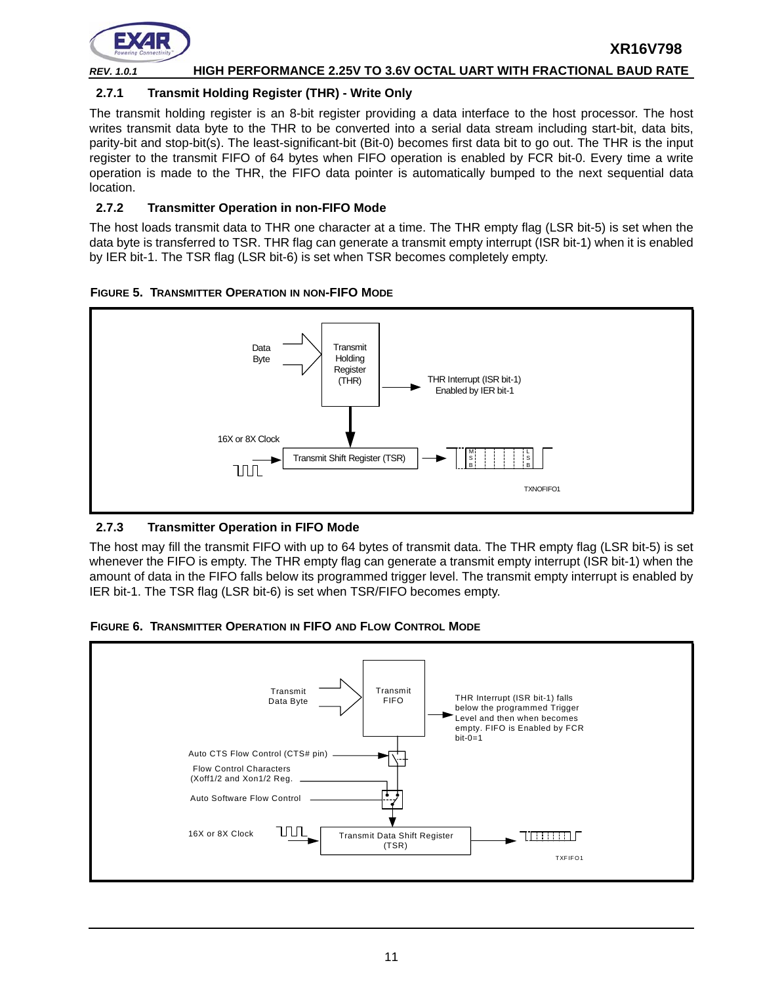

#### <span id="page-10-0"></span>**2.7.1 Transmit Holding Register (THR) - Write Only**

The transmit holding register is an 8-bit register providing a data interface to the host processor. The host writes transmit data byte to the THR to be converted into a serial data stream including start-bit, data bits, parity-bit and stop-bit(s). The least-significant-bit (Bit-0) becomes first data bit to go out. The THR is the input register to the transmit FIFO of 64 bytes when FIFO operation is enabled by FCR bit-0. Every time a write operation is made to the THR, the FIFO data pointer is automatically bumped to the next sequential data location.

#### <span id="page-10-1"></span>**2.7.2 Transmitter Operation in non-FIFO Mode**

The host loads transmit data to THR one character at a time. The THR empty flag (LSR bit-5) is set when the data byte is transferred to TSR. THR flag can generate a transmit empty interrupt (ISR bit-1) when it is enabled by IER bit-1. The TSR flag (LSR bit-6) is set when TSR becomes completely empty.

<span id="page-10-2"></span>**FIGURE 5. TRANSMITTER OPERATION IN NON-FIFO MODE**



# <span id="page-10-3"></span>**2.7.3 Transmitter Operation in FIFO Mode**

The host may fill the transmit FIFO with up to 64 bytes of transmit data. The THR empty flag (LSR bit-5) is set whenever the FIFO is empty. The THR empty flag can generate a transmit empty interrupt (ISR bit-1) when the amount of data in the FIFO falls below its programmed trigger level. The transmit empty interrupt is enabled by IER bit-1. The TSR flag (LSR bit-6) is set when TSR/FIFO becomes empty.

<span id="page-10-4"></span>

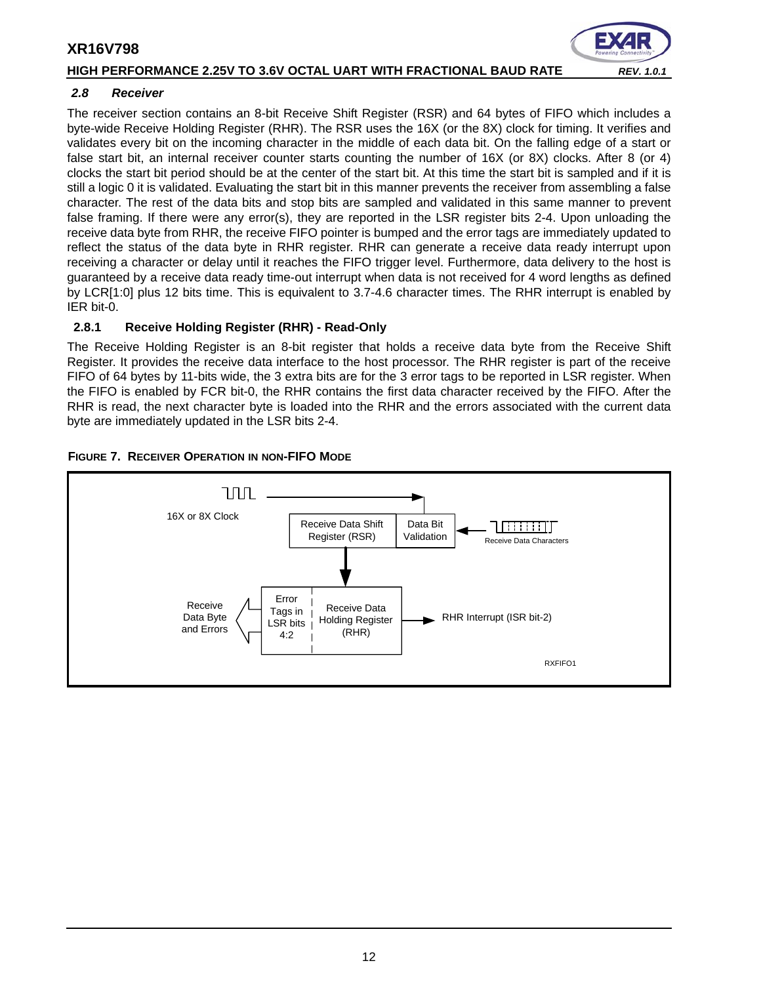

# **HIGH PERFORMANCE 2.25V TO 3.6V OCTAL UART WITH FRACTIONAL BAUD RATE** *REV. 1.0.1*

#### <span id="page-11-0"></span>*2.8 Receiver*

The receiver section contains an 8-bit Receive Shift Register (RSR) and 64 bytes of FIFO which includes a byte-wide Receive Holding Register (RHR). The RSR uses the 16X (or the 8X) clock for timing. It verifies and validates every bit on the incoming character in the middle of each data bit. On the falling edge of a start or false start bit, an internal receiver counter starts counting the number of 16X (or 8X) clocks. After 8 (or 4) clocks the start bit period should be at the center of the start bit. At this time the start bit is sampled and if it is still a logic 0 it is validated. Evaluating the start bit in this manner prevents the receiver from assembling a false character. The rest of the data bits and stop bits are sampled and validated in this same manner to prevent false framing. If there were any error(s), they are reported in the LSR register bits 2-4. Upon unloading the receive data byte from RHR, the receive FIFO pointer is bumped and the error tags are immediately updated to reflect the status of the data byte in RHR register. RHR can generate a receive data ready interrupt upon receiving a character or delay until it reaches the FIFO trigger level. Furthermore, data delivery to the host is guaranteed by a receive data ready time-out interrupt when data is not received for 4 word lengths as defined by LCR[1:0] plus 12 bits time. This is equivalent to 3.7-4.6 character times. The RHR interrupt is enabled by IER bit-0.

### <span id="page-11-1"></span>**2.8.1 Receive Holding Register (RHR) - Read-Only**

The Receive Holding Register is an 8-bit register that holds a receive data byte from the Receive Shift Register. It provides the receive data interface to the host processor. The RHR register is part of the receive FIFO of 64 bytes by 11-bits wide, the 3 extra bits are for the 3 error tags to be reported in LSR register. When the FIFO is enabled by FCR bit-0, the RHR contains the first data character received by the FIFO. After the RHR is read, the next character byte is loaded into the RHR and the errors associated with the current data byte are immediately updated in the LSR bits 2-4.

<span id="page-11-2"></span>

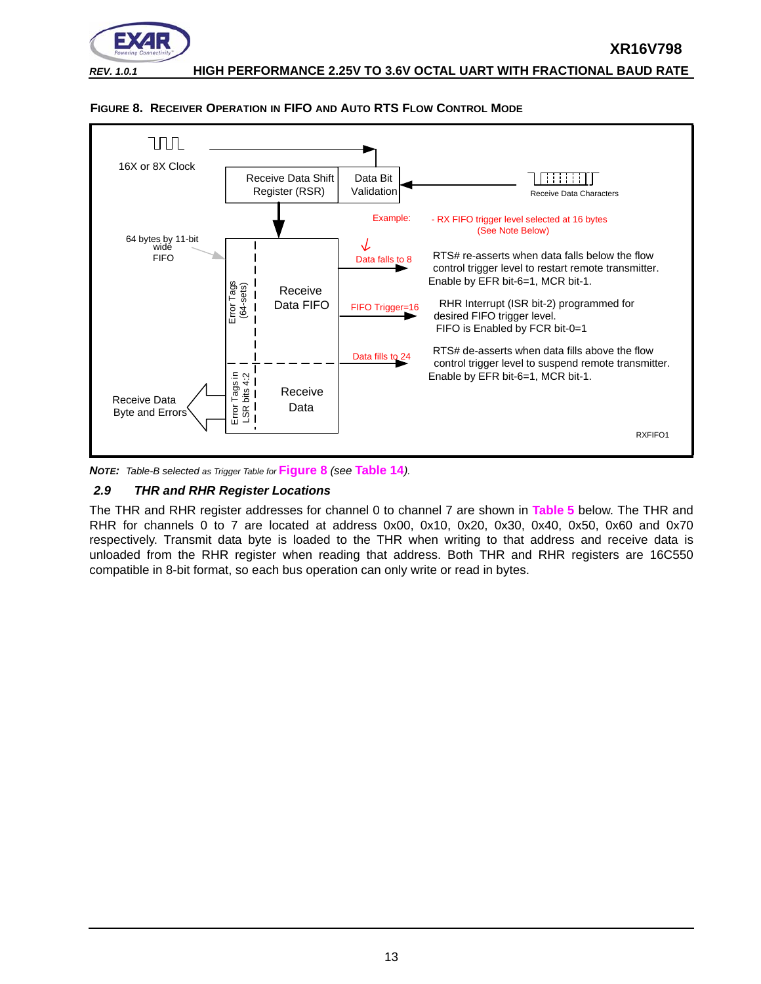



#### <span id="page-12-0"></span>**FIGURE 8. RECEIVER OPERATION IN FIFO AND AUTO RTS FLOW CONTROL MODE**

*NOTE: Table-B selected as Trigger Table for* **[Figure](#page-12-0) 8** *(see* **[Table](#page-33-0) 14***).*

#### <span id="page-12-1"></span>*2.9 THR and RHR Register Locations*

The THR and RHR register addresses for channel 0 to channel 7 are shown in **[Table](#page-13-0) 5** below. The THR and RHR for channels 0 to 7 are located at address 0x00, 0x10, 0x20, 0x30, 0x40, 0x50, 0x60 and 0x70 respectively. Transmit data byte is loaded to the THR when writing to that address and receive data is unloaded from the RHR register when reading that address. Both THR and RHR registers are 16C550 compatible in 8-bit format, so each bus operation can only write or read in bytes.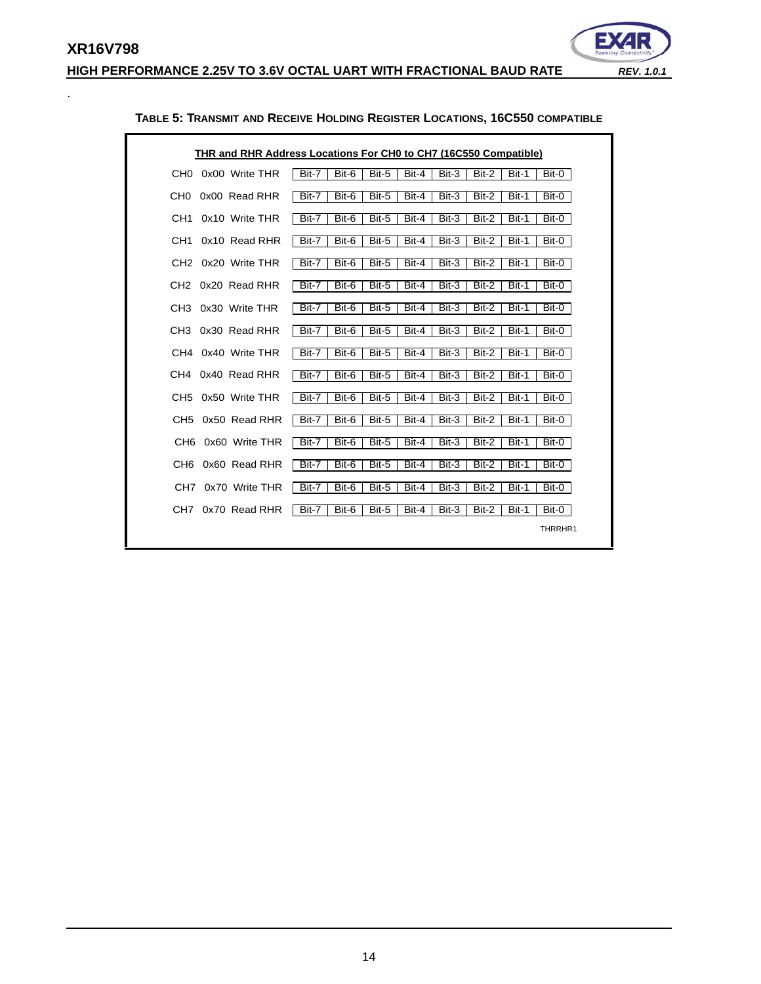<span id="page-13-0"></span>.



E

|                 |                                | THR and RHR Address Locations For CH0 to CH7 (16C550 Compatible)     |
|-----------------|--------------------------------|----------------------------------------------------------------------|
|                 | CHO 0x00 Write THR             | Bit-7<br>Bit-6<br>Bit-5<br>Bit-4<br>Bit-2<br>Bit-1<br>Bit-0<br>Bit-3 |
| CH <sub>0</sub> | 0x00 Read RHR                  | Bit-7<br>Bit-6<br>Bit-5<br>Bit-4<br>Bit-3<br>Bit-2<br>Bit-1<br>Bit-0 |
| CH <sub>1</sub> | 0x10 Write THR                 | Bit-7<br>Bit-6<br>Bit-5<br>Bit-4<br>Bit-3<br>Bit-2<br>Bit-1<br>Bit-0 |
| CH <sub>1</sub> | 0x10 Read RHR                  | Bit-7<br>Bit-6<br>Bit-5<br>Bit-4<br>Bit-3<br>Bit-2<br>Bit-1<br>Bit-0 |
|                 | CH <sub>2</sub> 0x20 Write THR | Bit-3<br>Bit-7<br>Bit-6<br>Bit-5<br>Bit-4<br>Bit-2<br>Bit-1<br>Bit-0 |
| CH <sub>2</sub> | 0x20 Read RHR                  | Bit-7<br>Bit-6<br>Bit-5<br>Bit-4<br>Bit-3<br>Bit-2<br>Bit-1<br>Bit-0 |
| CH <sub>3</sub> | 0x30 Write THR                 | Bit-0<br>Bit-7<br>Bit-6<br>Bit-5<br>Bit-4<br>Bit-3<br>Bit-2<br>Bit-1 |
| CH <sub>3</sub> | 0x30 Read RHR                  | Bit-7<br>Bit-6<br>Bit-4<br>Bit-3<br>Bit-2<br>Bit-1<br>Bit-0<br>Bit-5 |
|                 | CH4 0x40 Write THR             | Bit-7<br>Bit-6<br>Bit-3<br>Bit-2<br>Bit-0<br>Bit-5<br>Bit-4<br>Bit-1 |
|                 | CH4 0x40 Read RHR              | Bit-6<br>Bit-7<br>Bit-5<br>Bit-4<br>Bit-3<br>Bit-2<br>Bit-1<br>Bit-0 |
|                 | CH5 0x50 Write THR             | Bit-7<br>Bit-6<br>Bit-5<br>Bit-3<br>Bit-2<br>Bit-1<br>Bit-0<br>Bit-4 |
|                 | CH5 0x50 Read RHR              | Bit-7<br>Bit-6<br>Bit-5<br>Bit-4<br>Bit-3<br>Bit-2<br>Bit-1<br>Bit-0 |
| CH <sub>6</sub> | 0x60 Write THR                 | Bit-6<br>Bit-7<br>Bit-5<br>Bit-4<br>Bit-3<br>Bit-2<br>Bit-1<br>Bit-0 |
| CH6             | 0x60 Read RHR                  | Bit-7<br>Bit-6<br>Bit-4<br>Bit-3<br>Bit-2<br>Bit-5<br>Bit-1<br>Bit-0 |
| CH <sub>7</sub> | 0x70 Write THR                 | Bit-6<br>Bit-5<br>Bit-4<br>Bit-2<br>Bit-1<br>Bit-7<br>Bit-3<br>Bit-0 |
|                 | CH7 0x70 Read RHR              | Bit-7<br>Bit-6<br>Bit-4<br>Bit-3<br>Bit-2<br>Bit-5<br>Bit-1<br>Bit-0 |
|                 |                                | THRRHR1                                                              |

# **TABLE 5: TRANSMIT AND RECEIVE HOLDING REGISTER LOCATIONS, 16C550 COMPATIBLE**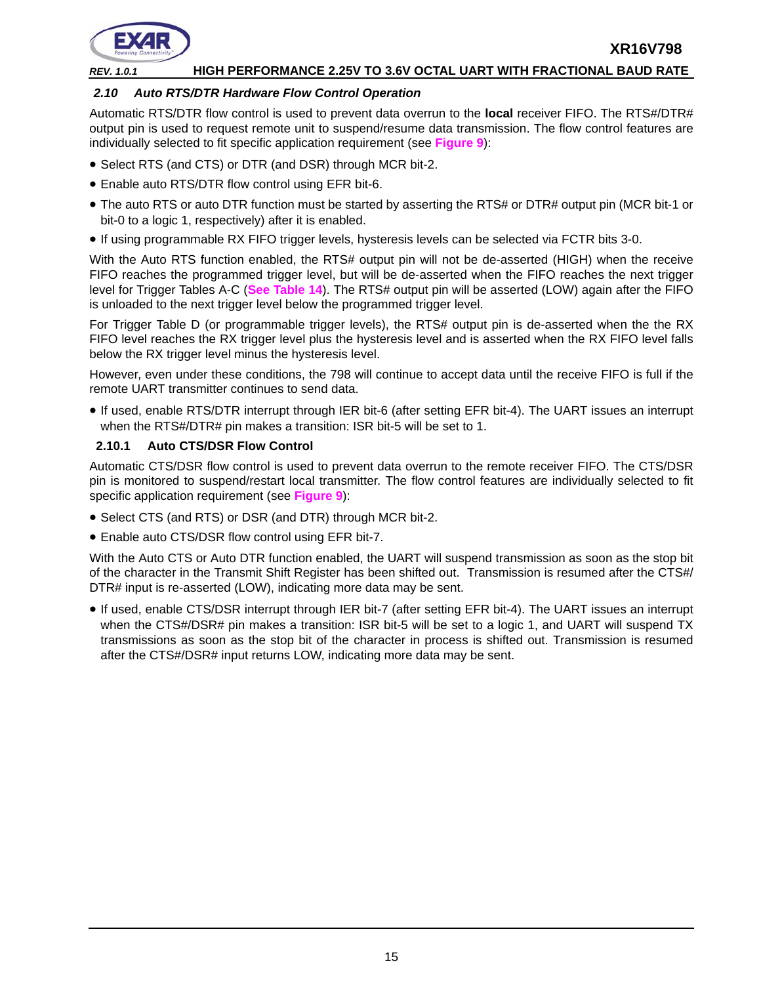#### <span id="page-14-0"></span>*2.10 Auto RTS/DTR Hardware Flow Control Operation*

Automatic RTS/DTR flow control is used to prevent data overrun to the **local** receiver FIFO. The RTS#/DTR# output pin is used to request remote unit to suspend/resume data transmission. The flow control features are individually selected to fit specific application requirement (see **[Figure](#page-15-0) 9**):

- Select RTS (and CTS) or DTR (and DSR) through MCR bit-2.
- Enable auto RTS/DTR flow control using EFR bit-6.
- The auto RTS or auto DTR function must be started by asserting the RTS# or DTR# output pin (MCR bit-1 or bit-0 to a logic 1, respectively) after it is enabled.
- If using programmable RX FIFO trigger levels, hysteresis levels can be selected via FCTR bits 3-0.

With the Auto RTS function enabled, the RTS# output pin will not be de-asserted (HIGH) when the receive FIFO reaches the programmed trigger level, but will be de-asserted when the FIFO reaches the next trigger level for Trigger Tables A-C (**[See Table](#page-33-0) 14**). The RTS# output pin will be asserted (LOW) again after the FIFO is unloaded to the next trigger level below the programmed trigger level.

For Trigger Table D (or programmable trigger levels), the RTS# output pin is de-asserted when the the RX FIFO level reaches the RX trigger level plus the hysteresis level and is asserted when the RX FIFO level falls below the RX trigger level minus the hysteresis level.

However, even under these conditions, the 798 will continue to accept data until the receive FIFO is full if the remote UART transmitter continues to send data.

• If used, enable RTS/DTR interrupt through IER bit-6 (after setting EFR bit-4). The UART issues an interrupt when the RTS#/DTR# pin makes a transition: ISR bit-5 will be set to 1.

### <span id="page-14-1"></span>**2.10.1 Auto CTS/DSR Flow Control**

Automatic CTS/DSR flow control is used to prevent data overrun to the remote receiver FIFO. The CTS/DSR pin is monitored to suspend/restart local transmitter. The flow control features are individually selected to fit specific application requirement (see **[Figure](#page-15-0) 9**):

- Select CTS (and RTS) or DSR (and DTR) through MCR bit-2.
- Enable auto CTS/DSR flow control using EFR bit-7.

With the Auto CTS or Auto DTR function enabled, the UART will suspend transmission as soon as the stop bit of the character in the Transmit Shift Register has been shifted out. Transmission is resumed after the CTS#/ DTR# input is re-asserted (LOW), indicating more data may be sent.

• If used, enable CTS/DSR interrupt through IER bit-7 (after setting EFR bit-4). The UART issues an interrupt when the CTS#/DSR# pin makes a transition: ISR bit-5 will be set to a logic 1, and UART will suspend TX transmissions as soon as the stop bit of the character in process is shifted out. Transmission is resumed after the CTS#/DSR# input returns LOW, indicating more data may be sent.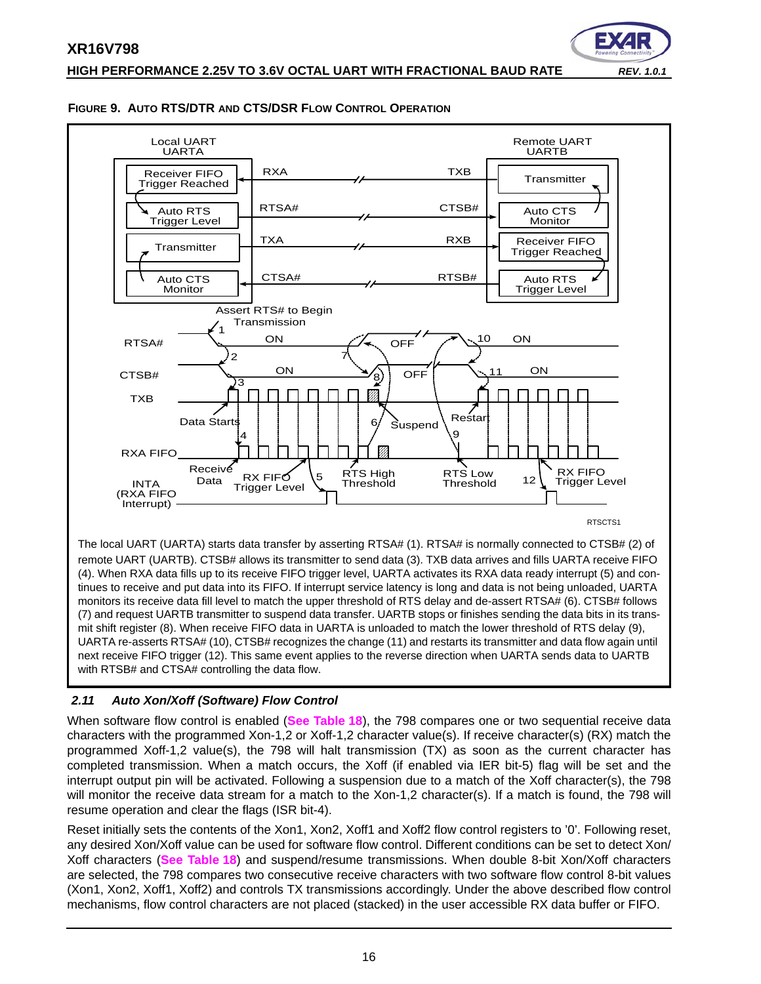# **XR16V798 HIGH PERFORMANCE 2.25V TO 3.6V OCTAL UART WITH FRACTIONAL BAUD RATE** *REV. 1.0.1*



#### <span id="page-15-0"></span>**FIGURE 9. AUTO RTS/DTR AND CTS/DSR FLOW CONTROL OPERATION**



#### <span id="page-15-1"></span>*2.11 Auto Xon/Xoff (Software) Flow Control*

When software flow control is enabled (**[See Table](#page-42-0) 18**), the 798 compares one or two sequential receive data characters with the programmed Xon-1,2 or Xoff-1,2 character value(s). If receive character(s) (RX) match the programmed Xoff-1,2 value(s), the 798 will halt transmission (TX) as soon as the current character has completed transmission. When a match occurs, the Xoff (if enabled via IER bit-5) flag will be set and the interrupt output pin will be activated. Following a suspension due to a match of the Xoff character(s), the 798 will monitor the receive data stream for a match to the Xon-1,2 character(s). If a match is found, the 798 will resume operation and clear the flags (ISR bit-4).

Reset initially sets the contents of the Xon1, Xon2, Xoff1 and Xoff2 flow control registers to '0'. Following reset, any desired Xon/Xoff value can be used for software flow control. Different conditions can be set to detect Xon/ Xoff characters (**[See Table](#page-42-0) 18**) and suspend/resume transmissions. When double 8-bit Xon/Xoff characters are selected, the 798 compares two consecutive receive characters with two software flow control 8-bit values (Xon1, Xon2, Xoff1, Xoff2) and controls TX transmissions accordingly. Under the above described flow control mechanisms, flow control characters are not placed (stacked) in the user accessible RX data buffer or FIFO.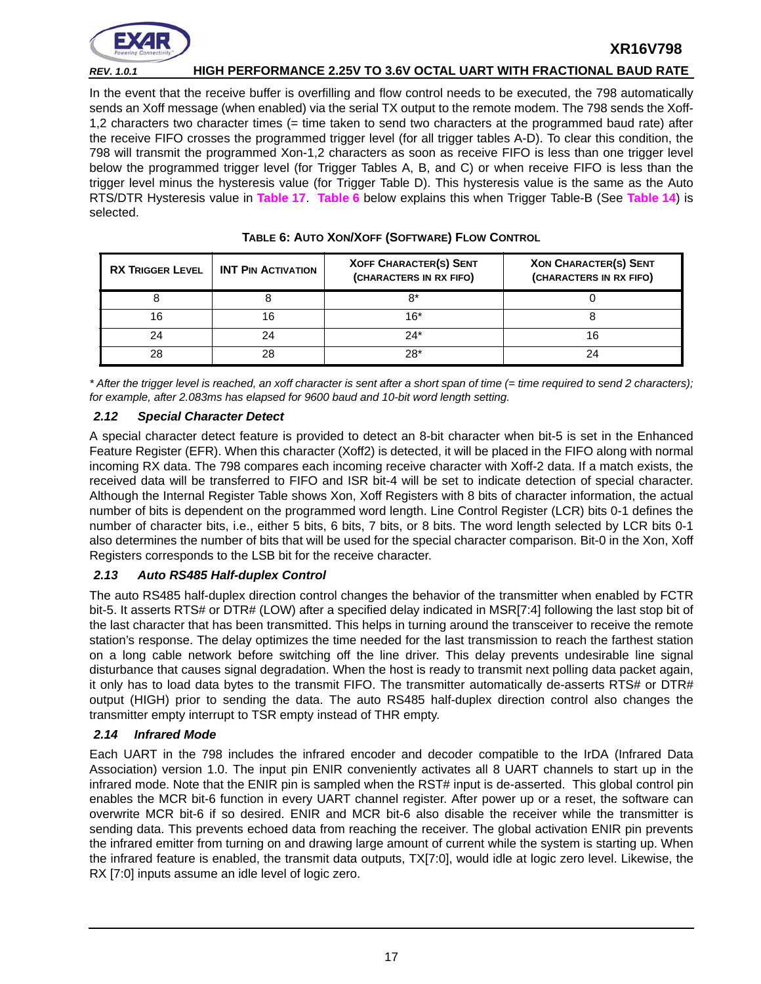

*REV. 1.0.1* **HIGH PERFORMANCE 2.25V TO 3.6V OCTAL UART WITH FRACTIONAL BAUD RATE**

In the event that the receive buffer is overfilling and flow control needs to be executed, the 798 automatically sends an Xoff message (when enabled) via the serial TX output to the remote modem. The 798 sends the Xoff-1,2 characters two character times (= time taken to send two characters at the programmed baud rate) after the receive FIFO crosses the programmed trigger level (for all trigger tables A-D). To clear this condition, the 798 will transmit the programmed Xon-1,2 characters as soon as receive FIFO is less than one trigger level below the programmed trigger level (for Trigger Tables A, B, and C) or when receive FIFO is less than the trigger level minus the hysteresis value (for Trigger Table D). This hysteresis value is the same as the Auto RTS/DTR Hysteresis value in **[Table](#page-40-0) 17**. **[Table](#page-16-0) 6** below explains this when Trigger Table-B (See **[Table](#page-33-0) 14**) is selected.

<span id="page-16-0"></span>

| <b>RX TRIGGER LEVEL</b> | <b>INT PIN ACTIVATION</b> | <b>XOFF CHARACTER(S) SENT</b><br>(CHARACTERS IN RX FIFO) | <b>XON CHARACTER(S) SENT</b><br>(CHARACTERS IN RX FIFO) |
|-------------------------|---------------------------|----------------------------------------------------------|---------------------------------------------------------|
|                         |                           | 8*                                                       |                                                         |
| 16                      | 16                        | 16*                                                      |                                                         |
| 24                      |                           | 24*                                                      |                                                         |
| 28                      | 28                        | $28*$                                                    |                                                         |

#### **TABLE 6: AUTO XON/XOFF (SOFTWARE) FLOW CONTROL**

*\* After the trigger level is reached, an xoff character is sent after a short span of time (= time required to send 2 characters); for example, after 2.083ms has elapsed for 9600 baud and 10-bit word length setting.*

#### <span id="page-16-1"></span>*2.12 Special Character Detect*

A special character detect feature is provided to detect an 8-bit character when bit-5 is set in the Enhanced Feature Register (EFR). When this character (Xoff2) is detected, it will be placed in the FIFO along with normal incoming RX data. The 798 compares each incoming receive character with Xoff-2 data. If a match exists, the received data will be transferred to FIFO and ISR bit-4 will be set to indicate detection of special character. Although the Internal Register Table shows Xon, Xoff Registers with 8 bits of character information, the actual number of bits is dependent on the programmed word length. Line Control Register (LCR) bits 0-1 defines the number of character bits, i.e., either 5 bits, 6 bits, 7 bits, or 8 bits. The word length selected by LCR bits 0-1 also determines the number of bits that will be used for the special character comparison. Bit-0 in the Xon, Xoff Registers corresponds to the LSB bit for the receive character.

#### <span id="page-16-2"></span>*2.13 Auto RS485 Half-duplex Control*

The auto RS485 half-duplex direction control changes the behavior of the transmitter when enabled by FCTR bit-5. It asserts RTS# or DTR# (LOW) after a specified delay indicated in MSR[7:4] following the last stop bit of the last character that has been transmitted. This helps in turning around the transceiver to receive the remote station's response. The delay optimizes the time needed for the last transmission to reach the farthest station on a long cable network before switching off the line driver. This delay prevents undesirable line signal disturbance that causes signal degradation. When the host is ready to transmit next polling data packet again, it only has to load data bytes to the transmit FIFO. The transmitter automatically de-asserts RTS# or DTR# output (HIGH) prior to sending the data. The auto RS485 half-duplex direction control also changes the transmitter empty interrupt to TSR empty instead of THR empty.

#### <span id="page-16-3"></span>*2.14 Infrared Mode*

Each UART in the 798 includes the infrared encoder and decoder compatible to the IrDA (Infrared Data Association) version 1.0. The input pin ENIR conveniently activates all 8 UART channels to start up in the infrared mode. Note that the ENIR pin is sampled when the RST# input is de-asserted. This global control pin enables the MCR bit-6 function in every UART channel register. After power up or a reset, the software can overwrite MCR bit-6 if so desired. ENIR and MCR bit-6 also disable the receiver while the transmitter is sending data. This prevents echoed data from reaching the receiver. The global activation ENIR pin prevents the infrared emitter from turning on and drawing large amount of current while the system is starting up. When the infrared feature is enabled, the transmit data outputs, TX[7:0], would idle at logic zero level. Likewise, the RX [7:0] inputs assume an idle level of logic zero.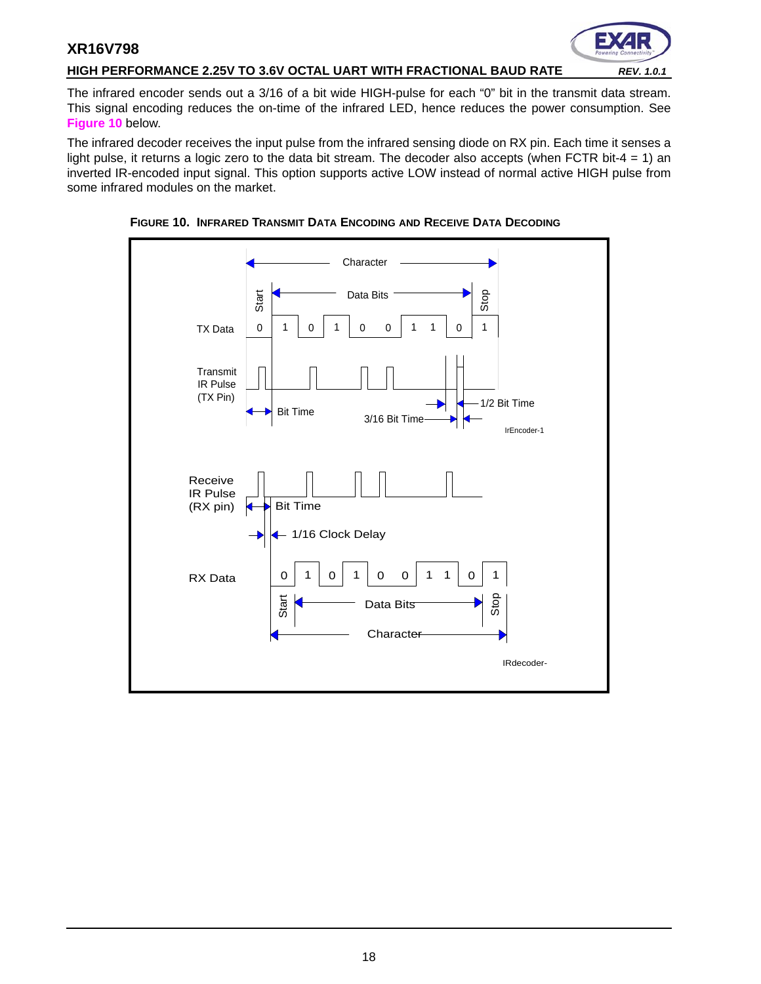

#### **HIGH PERFORMANCE 2.25V TO 3.6V OCTAL UART WITH FRACTIONAL BAUD RATE** *REV. 1.0.1*

The infrared encoder sends out a 3/16 of a bit wide HIGH-pulse for each "0" bit in the transmit data stream. This signal encoding reduces the on-time of the infrared LED, hence reduces the power consumption. See **[Figure](#page-17-0) 10** below.

The infrared decoder receives the input pulse from the infrared sensing diode on RX pin. Each time it senses a light pulse, it returns a logic zero to the data bit stream. The decoder also accepts (when FCTR bit-4 = 1) an inverted IR-encoded input signal. This option supports active LOW instead of normal active HIGH pulse from some infrared modules on the market.



<span id="page-17-0"></span>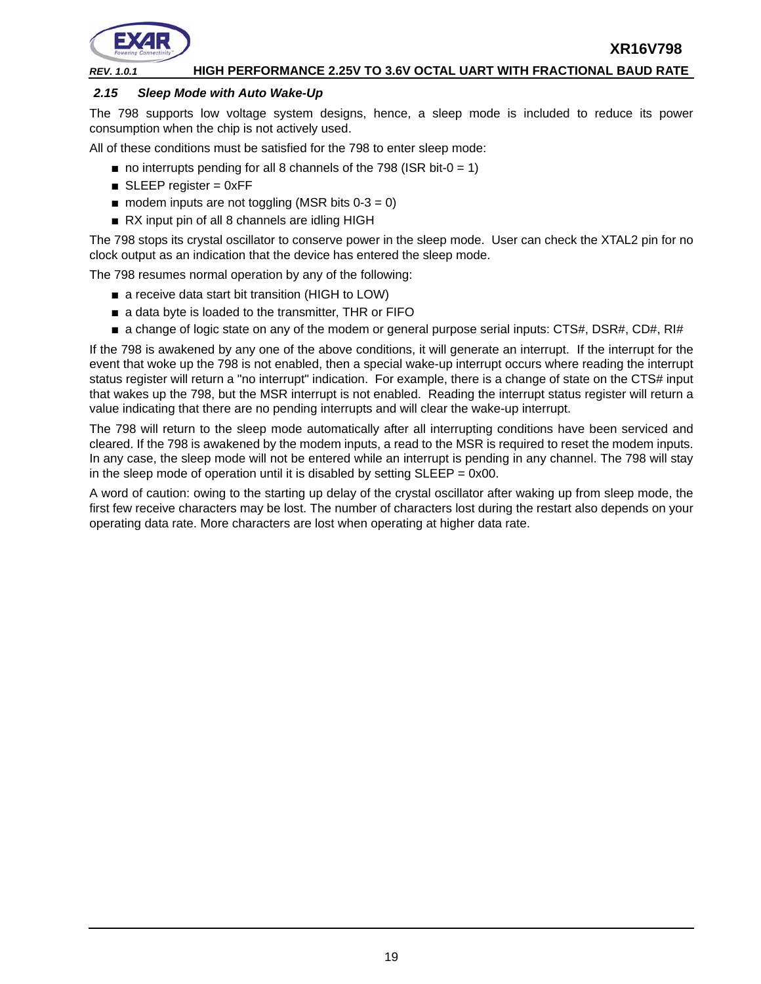



#### <span id="page-18-0"></span>*2.15 Sleep Mode with Auto Wake-Up*

The 798 supports low voltage system designs, hence, a sleep mode is included to reduce its power consumption when the chip is not actively used.

All of these conditions must be satisfied for the 798 to enter sleep mode:

- $\blacksquare$  no interrupts pending for all 8 channels of the 798 (ISR bit-0 = 1)
- $\blacksquare$  SLEEP register = 0xFF
- $\blacksquare$  modem inputs are not toggling (MSR bits 0-3 = 0)
- RX input pin of all 8 channels are idling HIGH

The 798 stops its crystal oscillator to conserve power in the sleep mode. User can check the XTAL2 pin for no clock output as an indication that the device has entered the sleep mode.

The 798 resumes normal operation by any of the following:

- a receive data start bit transition (HIGH to LOW)
- a data byte is loaded to the transmitter, THR or FIFO
- a change of logic state on any of the modem or general purpose serial inputs: CTS#, DSR#, CD#, RI#

If the 798 is awakened by any one of the above conditions, it will generate an interrupt. If the interrupt for the event that woke up the 798 is not enabled, then a special wake-up interrupt occurs where reading the interrupt status register will return a "no interrupt" indication. For example, there is a change of state on the CTS# input that wakes up the 798, but the MSR interrupt is not enabled. Reading the interrupt status register will return a value indicating that there are no pending interrupts and will clear the wake-up interrupt.

The 798 will return to the sleep mode automatically after all interrupting conditions have been serviced and cleared. If the 798 is awakened by the modem inputs, a read to the MSR is required to reset the modem inputs. In any case, the sleep mode will not be entered while an interrupt is pending in any channel. The 798 will stay in the sleep mode of operation until it is disabled by setting  $SLEEP = 0x00$ .

A word of caution: owing to the starting up delay of the crystal oscillator after waking up from sleep mode, the first few receive characters may be lost. The number of characters lost during the restart also depends on your operating data rate. More characters are lost when operating at higher data rate.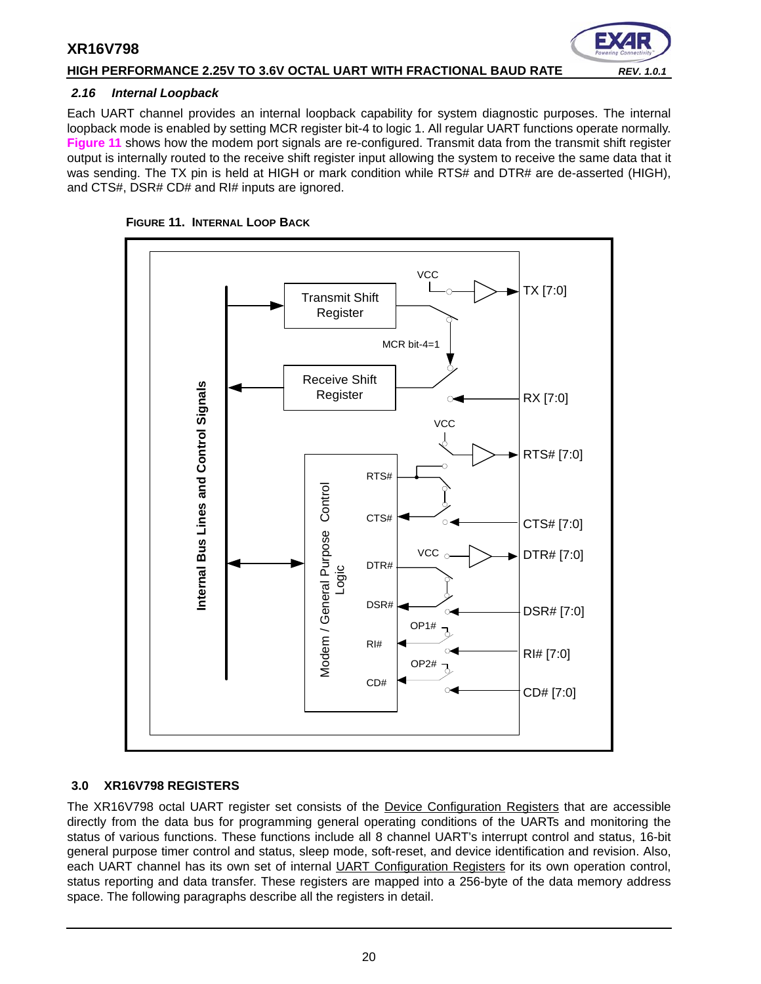# **HIGH PERFORMANCE 2.25V TO 3.6V OCTAL UART WITH FRACTIONAL BAUD RATE** *REV. 1.0.1*

#### <span id="page-19-1"></span>*2.16 Internal Loopback*

Each UART channel provides an internal loopback capability for system diagnostic purposes. The internal loopback mode is enabled by setting MCR register bit-4 to logic 1. All regular UART functions operate normally. **[Figure](#page-19-0) 11** shows how the modem port signals are re-configured. Transmit data from the transmit shift register output is internally routed to the receive shift register input allowing the system to receive the same data that it was sending. The TX pin is held at HIGH or mark condition while RTS# and DTR# are de-asserted (HIGH), and CTS#, DSR# CD# and RI# inputs are ignored.

<span id="page-19-0"></span>



#### <span id="page-19-2"></span>**3.0 XR16V798 REGISTERS**

The XR16V798 octal UART register set consists of the Device Configuration Registers that are accessible directly from the data bus for programming general operating conditions of the UARTs and monitoring the status of various functions. These functions include all 8 channel UART's interrupt control and status, 16-bit general purpose timer control and status, sleep mode, soft-reset, and device identification and revision. Also, each UART channel has its own set of internal UART Configuration Registers for its own operation control, status reporting and data transfer. These registers are mapped into a 256-byte of the data memory address space. The following paragraphs describe all the registers in detail.

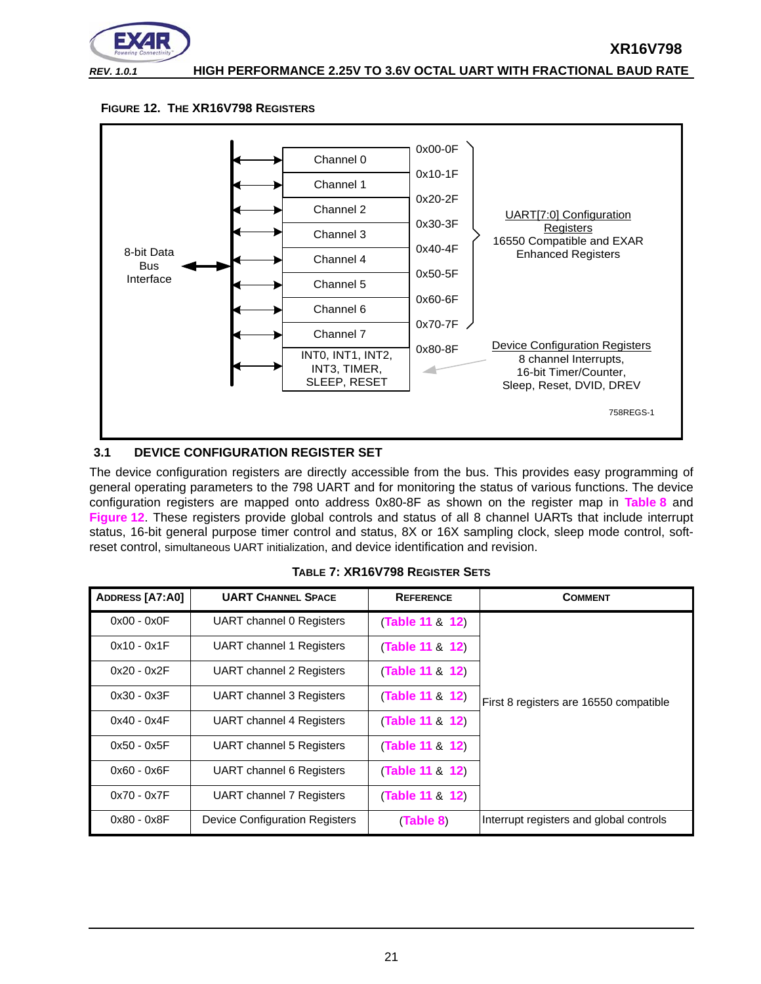

#### <span id="page-20-0"></span>**FIGURE 12. THE XR16V798 REGISTERS**



### <span id="page-20-1"></span>**3.1 DEVICE CONFIGURATION REGISTER SET**

The device configuration registers are directly accessible from the bus. This provides easy programming of general operating parameters to the 798 UART and for monitoring the status of various functions. The device configuration registers are mapped onto address 0x80-8F as shown on the register map in **[Table](#page-21-0) 8** and **[Figure](#page-20-0) 12**. These registers provide global controls and status of all 8 channel UARTs that include interrupt status, 16-bit general purpose timer control and status, 8X or 16X sampling clock, sleep mode control, softreset control, simultaneous UART initialization, and device identification and revision.

|  | TABLE 7: XR16V798 REGISTER SETS |
|--|---------------------------------|
|  |                                 |

<span id="page-20-2"></span>

| ADDRESS [A7:A0] | <b>UART CHANNEL SPACE</b>       | <b>REFERENCE</b> | <b>COMMENT</b>                          |
|-----------------|---------------------------------|------------------|-----------------------------------------|
| $0x00 - 0x0F$   | <b>UART</b> channel 0 Registers | (Table 11 & 12)  |                                         |
| $0x10 - 0x1F$   | UART channel 1 Registers        | (Table 11 & 12)  |                                         |
| $0x20 - 0x2F$   | <b>UART</b> channel 2 Registers | (Table 11 & 12)  |                                         |
| $0x30 - 0x3F$   | UART channel 3 Registers        | (Table 11 & 12)  | First 8 registers are 16550 compatible  |
| $0x40 - 0x4F$   | <b>UART</b> channel 4 Registers | (Table 11 & 12)  |                                         |
| $0x50 - 0x5F$   | <b>UART</b> channel 5 Registers | (Table 11 & 12)  |                                         |
| $0x60 - 0x6F$   | <b>UART</b> channel 6 Registers | (Table 11 & 12)  |                                         |
| $0x70 - 0x7F$   | UART channel 7 Registers        | (Table 11 & 12)  |                                         |
| $0x80 - 0x8F$   | Device Configuration Registers  | (Table 8)        | Interrupt registers and global controls |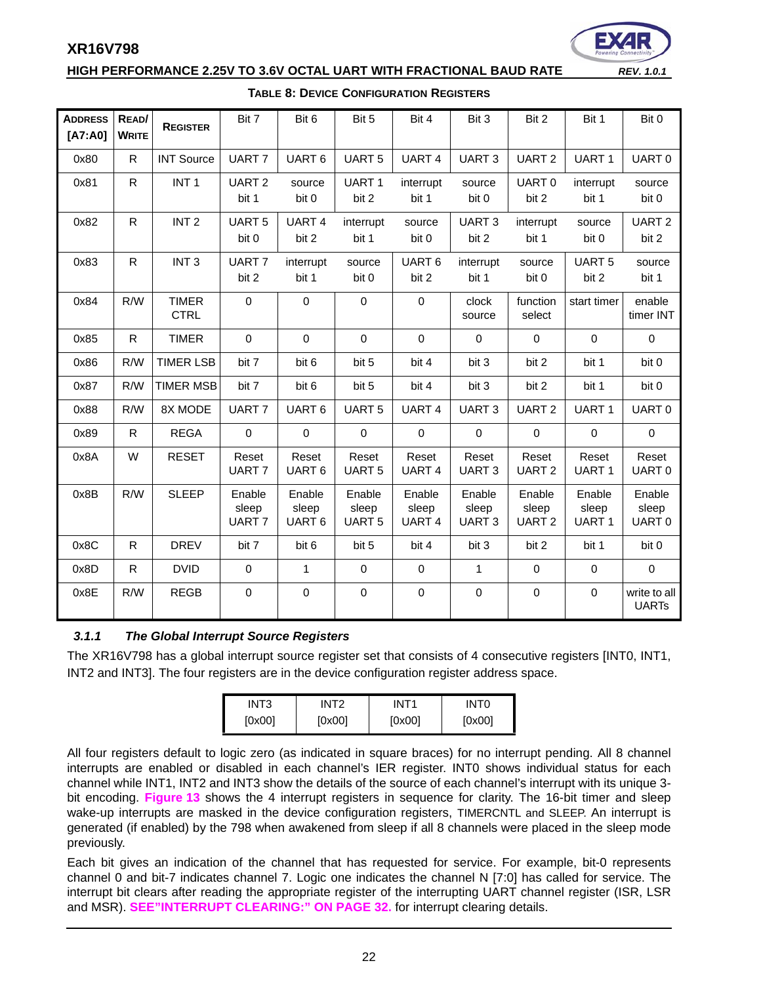

#### **HIGH PERFORMANCE 2.25V TO 3.6V OCTAL UART WITH FRACTIONAL BAUD RATE** *REV. 1.0.1*

<span id="page-21-0"></span>

| <b>ADDRESS</b><br>[A7:A0] | READ/<br><b>WRITE</b> | <b>REGISTER</b>   | Bit 7                      | Bit 6                      | Bit 5                      | Bit 4                      | Bit 3                 | Bit 2                      | Bit 1                      | Bit 0                        |
|---------------------------|-----------------------|-------------------|----------------------------|----------------------------|----------------------------|----------------------------|-----------------------|----------------------------|----------------------------|------------------------------|
|                           |                       |                   |                            |                            |                            |                            |                       |                            |                            |                              |
| 0x80                      | R                     | <b>INT Source</b> | UART <sub>7</sub>          | UART <sub>6</sub>          | <b>UART5</b>               | UART <sub>4</sub>          | <b>UART3</b>          | UART <sub>2</sub>          | UART <sub>1</sub>          | UART <sub>0</sub>            |
| 0x81                      | $\mathsf{R}$          | INT <sub>1</sub>  | UART <sub>2</sub>          | source                     | UART <sub>1</sub>          | interrupt                  | source                | UART0                      | interrupt                  | source                       |
|                           |                       |                   | bit 1                      | bit 0                      | bit 2                      | bit 1                      | bit 0                 | bit 2                      | bit 1                      | bit 0                        |
| 0x82                      | $\mathsf{R}$          | INT <sub>2</sub>  | UART <sub>5</sub>          | <b>UART4</b>               | interrupt                  | source                     | <b>UART3</b>          | interrupt                  | source                     | UART <sub>2</sub>            |
|                           |                       |                   | bit 0                      | bit 2                      | bit 1                      | bit 0                      | bit 2                 | bit 1                      | bit 0                      | bit 2                        |
| 0x83                      | $\mathsf{R}$          | INT <sub>3</sub>  | UART <sub>7</sub>          | interrupt                  | source                     | UART <sub>6</sub>          | interrupt             | source                     | <b>UART 5</b>              | source                       |
|                           |                       |                   | bit 2                      | bit 1                      | bit 0                      | bit 2                      | bit 1                 | bit 0                      | bit 2                      | bit 1                        |
| 0x84                      | R/W                   | <b>TIMER</b>      | $\mathbf 0$                | $\Omega$                   | $\Omega$                   | $\mathbf 0$                | clock                 | function                   | start timer                | enable                       |
|                           |                       | <b>CTRL</b>       |                            |                            |                            |                            | source                | select                     |                            | timer INT                    |
| 0x85                      | R                     | <b>TIMER</b>      | $\Omega$                   | $\Omega$                   | $\Omega$                   | $\Omega$                   | $\Omega$              | $\mathbf 0$                | $\mathbf 0$                | $\Omega$                     |
| 0x86                      | R/W                   | <b>TIMER LSB</b>  | bit 7                      | bit 6                      | bit 5                      | bit 4                      | bit 3                 | bit 2                      | bit 1                      | bit 0                        |
| 0x87                      | R/W                   | <b>TIMER MSB</b>  | bit 7                      | bit 6                      | bit 5                      | bit 4                      | bit 3                 | bit 2                      | bit 1                      | bit 0                        |
| 0x88                      | R/W                   | 8X MODE           | UART <sub>7</sub>          | UART <sub>6</sub>          | UART <sub>5</sub>          | UART <sub>4</sub>          | <b>UART3</b>          | UART <sub>2</sub>          | UART <sub>1</sub>          | UART <sub>0</sub>            |
| 0x89                      | R.                    | <b>REGA</b>       | $\mathbf 0$                | $\mathbf 0$                | $\mathbf 0$                | $\mathbf 0$                | $\mathbf 0$           | $\mathbf 0$                | $\mathbf 0$                | $\mathbf 0$                  |
| 0x8A                      | W                     | <b>RESET</b>      | Reset                      | Reset                      | Reset                      | Reset                      | Reset                 | Reset                      | Reset                      | Reset                        |
|                           |                       |                   | <b>UART7</b>               | UART <sub>6</sub>          | <b>UART 5</b>              | UART <sub>4</sub>          | <b>UART3</b>          | UART <sub>2</sub>          | <b>UART1</b>               | UART0                        |
| 0x8B                      | R/W                   | <b>SLEEP</b>      | Enable                     | Enable                     | Enable                     | Enable                     | Enable                | Enable                     | Enable                     | Enable                       |
|                           |                       |                   | sleep<br>UART <sub>7</sub> | sleep<br>UART <sub>6</sub> | sleep<br>UART <sub>5</sub> | sleep<br>UART <sub>4</sub> | sleep<br><b>UART3</b> | sleep<br>UART <sub>2</sub> | sleep<br>UART <sub>1</sub> | sleep<br>UART0               |
|                           |                       |                   |                            |                            |                            |                            |                       |                            |                            |                              |
| 0x8C                      | R                     | <b>DREV</b>       | bit 7                      | bit 6                      | bit 5                      | bit 4                      | bit 3                 | bit 2                      | bit 1                      | bit 0                        |
| 0x8D                      | R.                    | <b>DVID</b>       | $\Omega$                   | 1                          | $\Omega$                   | $\Omega$                   | $\mathbf{1}$          | $\mathbf 0$                | $\mathbf 0$                | 0                            |
| 0x8E                      | R/W                   | <b>REGB</b>       | $\Omega$                   | $\Omega$                   | $\Omega$                   | $\Omega$                   | $\Omega$              | $\mathbf 0$                | $\mathbf 0$                | write to all<br><b>UARTs</b> |

#### **TABLE 8: DEVICE CONFIGURATION REGISTERS**

#### <span id="page-21-1"></span>*3.1.1 The Global Interrupt Source Registers*

The XR16V798 has a global interrupt source register set that consists of 4 consecutive registers [INT0, INT1, INT2 and INT3]. The four registers are in the device configuration register address space.

| INT3   | INT2   | INT <sub>1</sub> | INT0   |
|--------|--------|------------------|--------|
| [0x00] | [0x00] | [0x00]           | [0x00] |

All four registers default to logic zero (as indicated in square braces) for no interrupt pending. All 8 channel interrupts are enabled or disabled in each channel's IER register. INT0 shows individual status for each channel while INT1, INT2 and INT3 show the details of the source of each channel's interrupt with its unique 3 bit encoding. **[Figure](#page-22-0) 13** shows the 4 interrupt registers in sequence for clarity. The 16-bit timer and sleep wake-up interrupts are masked in the device configuration registers, TIMERCNTL and SLEEP. An interrupt is generated (if enabled) by the 798 when awakened from sleep if all 8 channels were placed in the sleep mode previously.

Each bit gives an indication of the channel that has requested for service. For example, bit-0 represents channel 0 and bit-7 indicates channel 7. Logic one indicates the channel N [7:0] has called for service. The interrupt bit clears after reading the appropriate register of the interrupting UART channel register (ISR, LSR and MSR). **[SEE"INTERRUPT CLEARING:" ON PAGE](#page-31-0) 32.** for interrupt clearing details.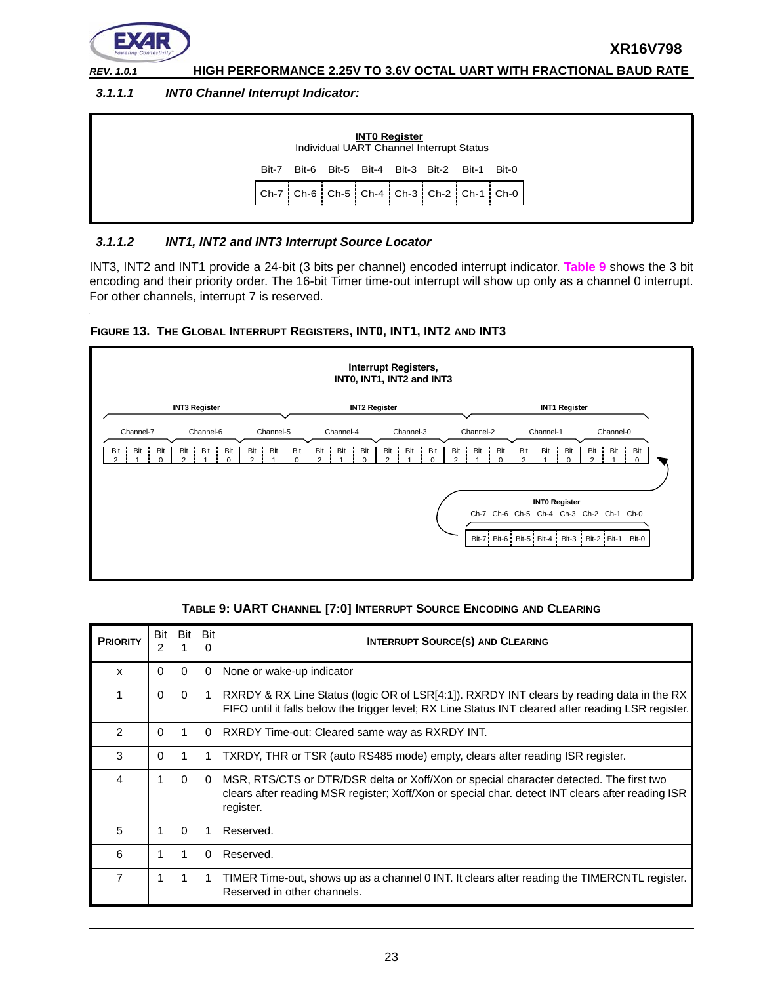

**XR16V798**

# <span id="page-22-2"></span>*3.1.1.1 INT0 Channel Interrupt Indicator:*

| <b>INTO Register</b><br>Individual UART Channel Interrupt Status |  |  |  |  |  |  |  |
|------------------------------------------------------------------|--|--|--|--|--|--|--|
| Bit-6 Bit-5 Bit-4 Bit-3 Bit-2<br>Bit-1<br>Bit-7<br>Bit-0         |  |  |  |  |  |  |  |
| Ch-7   Ch-6   Ch-5   Ch-4   Ch-3   Ch-2   Ch-1   Ch-0            |  |  |  |  |  |  |  |

# <span id="page-22-3"></span>*3.1.1.2 INT1, INT2 and INT3 Interrupt Source Locator*

INT3, INT2 and INT1 provide a 24-bit (3 bits per channel) encoded interrupt indicator. **[Table](#page-22-1) 9** shows the 3 bit encoding and their priority order. The 16-bit Timer time-out interrupt will show up only as a channel 0 interrupt. For other channels, interrupt 7 is reserved.

#### <span id="page-22-0"></span>FIGURE 13. THE GLOBAL INTERRUPT REGISTERS, INTO, INT1, INT2 AND INT3



#### **TABLE 9: UART CHANNEL [7:0] INTERRUPT SOURCE ENCODING AND CLEARING**

<span id="page-22-1"></span>

| <b>PRIORITY</b> | Bit<br>2 | Bit      | Bit<br>0 | <b>INTERRUPT SOURCE(S) AND CLEARING</b>                                                                                                                                                                 |
|-----------------|----------|----------|----------|---------------------------------------------------------------------------------------------------------------------------------------------------------------------------------------------------------|
| $\mathbf{x}$    | $\Omega$ | $\Omega$ | 0        | None or wake-up indicator                                                                                                                                                                               |
| 1               | $\Omega$ | $\Omega$ |          | RXRDY & RX Line Status (logic OR of LSR[4:1]). RXRDY INT clears by reading data in the RX<br>FIFO until it falls below the trigger level; RX Line Status INT cleared after reading LSR register.        |
| $\mathcal{P}$   | $\Omega$ |          | $\Omega$ | RXRDY Time-out: Cleared same way as RXRDY INT.                                                                                                                                                          |
| 3               | $\Omega$ |          |          | TXRDY, THR or TSR (auto RS485 mode) empty, clears after reading ISR register.                                                                                                                           |
| 4               | 1.       | $\Omega$ | $\Omega$ | MSR, RTS/CTS or DTR/DSR delta or Xoff/Xon or special character detected. The first two<br>clears after reading MSR register; Xoff/Xon or special char. detect INT clears after reading ISR<br>register. |
| 5               | 1        | $\Omega$ |          | Reserved.                                                                                                                                                                                               |
| 6               | 1        |          | $\Omega$ | Reserved.                                                                                                                                                                                               |
| $\overline{7}$  |          |          |          | TIMER Time-out, shows up as a channel 0 INT. It clears after reading the TIMERCNTL register.<br>Reserved in other channels.                                                                             |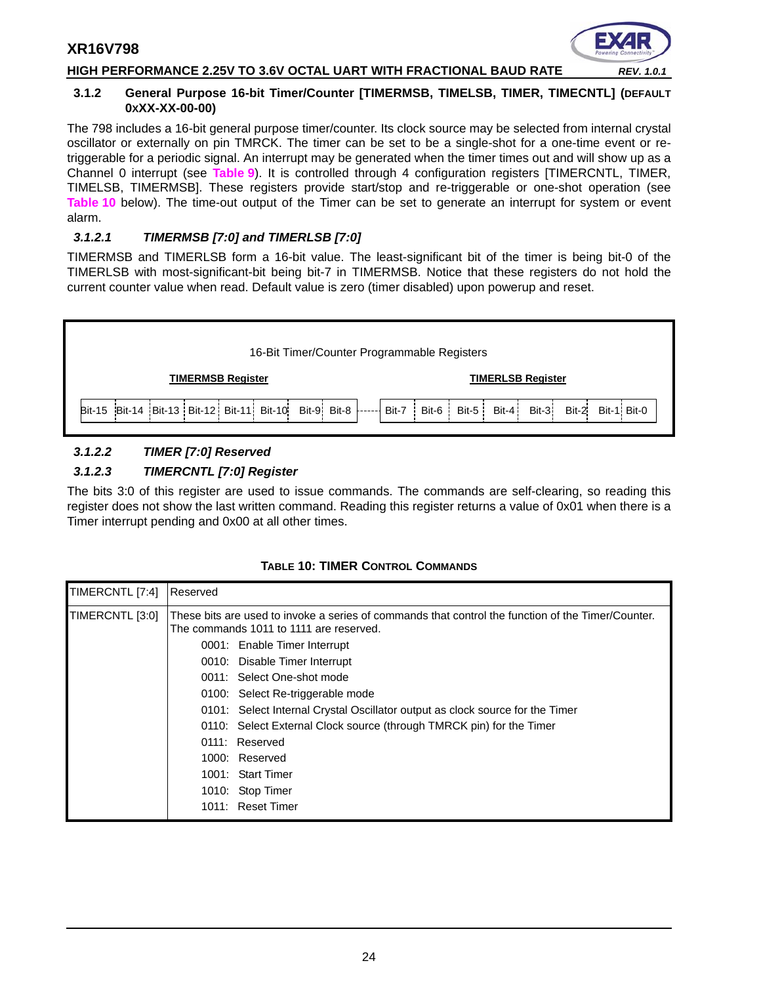### **HIGH PERFORMANCE 2.25V TO 3.6V OCTAL UART WITH FRACTIONAL BAUD RATE** *REV. 1.0.1*

#### <span id="page-23-1"></span>**3.1.2 General Purpose 16-bit Timer/Counter [TIMERMSB, TIMELSB, TIMER, TIMECNTL] (DEFAULT 0XXX-XX-00-00)**

The 798 includes a 16-bit general purpose timer/counter. Its clock source may be selected from internal crystal oscillator or externally on pin TMRCK. The timer can be set to be a single-shot for a one-time event or retriggerable for a periodic signal. An interrupt may be generated when the timer times out and will show up as a Channel 0 interrupt (see **[Table](#page-22-1) 9**). It is controlled through 4 configuration registers [TIMERCNTL, TIMER, TIMELSB, TIMERMSB]. These registers provide start/stop and re-triggerable or one-shot operation (see **[Table](#page-23-0) 10** below). The time-out output of the Timer can be set to generate an interrupt for system or event alarm.

## <span id="page-23-2"></span>*3.1.2.1 TIMERMSB [7:0] and TIMERLSB [7:0]*

TIMERMSB and TIMERLSB form a 16-bit value. The least-significant bit of the timer is being bit-0 of the TIMERLSB with most-significant-bit being bit-7 in TIMERMSB. Notice that these registers do not hold the current counter value when read. Default value is zero (timer disabled) upon powerup and reset.



# <span id="page-23-3"></span>*3.1.2.2 TIMER [7:0] Reserved*

# <span id="page-23-4"></span>*3.1.2.3 TIMERCNTL [7:0] Register*

The bits 3:0 of this register are used to issue commands. The commands are self-clearing, so reading this register does not show the last written command. Reading this register returns a value of 0x01 when there is a Timer interrupt pending and 0x00 at all other times.

<span id="page-23-0"></span>

| TIMERCNTL [7:4] | <b>Reserved</b>                                                                                                                                                                                                                                                                                                                                                                                                                                                                                                                             |
|-----------------|---------------------------------------------------------------------------------------------------------------------------------------------------------------------------------------------------------------------------------------------------------------------------------------------------------------------------------------------------------------------------------------------------------------------------------------------------------------------------------------------------------------------------------------------|
| TIMERCNTL [3:0] | These bits are used to invoke a series of commands that control the function of the Timer/Counter.<br>The commands 1011 to 1111 are reserved.<br>0001: Enable Timer Interrupt<br>0010: Disable Timer Interrupt<br>0011: Select One-shot mode<br>0100: Select Re-triggerable mode<br>0101: Select Internal Crystal Oscillator output as clock source for the Timer<br>0110: Select External Clock source (through TMRCK pin) for the Timer<br>0111: Reserved<br>1000: Reserved<br>1001: Start Timer<br>1010: Stop Timer<br>1011: Reset Timer |
|                 |                                                                                                                                                                                                                                                                                                                                                                                                                                                                                                                                             |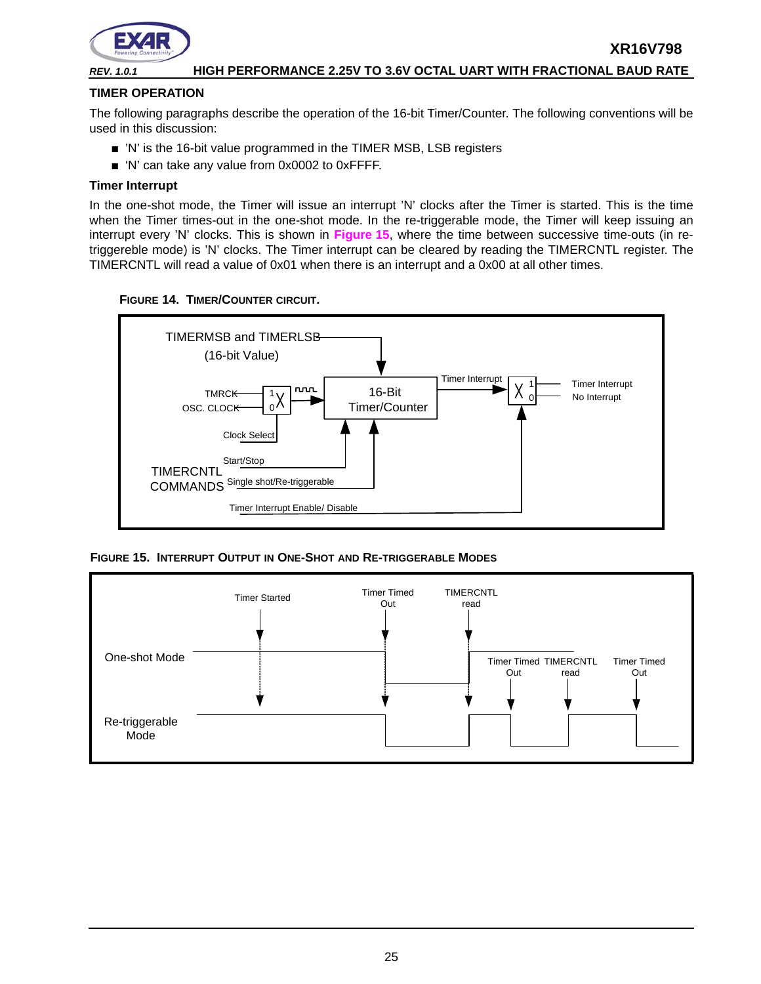

#### <span id="page-24-1"></span>**TIMER OPERATION**

The following paragraphs describe the operation of the 16-bit Timer/Counter. The following conventions will be used in this discussion:

- 'N' is the 16-bit value programmed in the TIMER MSB, LSB registers
- 'N' can take any value from 0x0002 to 0xFFFF.

#### **Timer Interrupt**

In the one-shot mode, the Timer will issue an interrupt 'N' clocks after the Timer is started. This is the time when the Timer times-out in the one-shot mode. In the re-triggerable mode, the Timer will keep issuing an interrupt every 'N' clocks. This is shown in **[Figure](#page-24-0) 15**, where the time between successive time-outs (in retriggereble mode) is 'N' clocks. The Timer interrupt can be cleared by reading the TIMERCNTL register. The TIMERCNTL will read a value of 0x01 when there is an interrupt and a 0x00 at all other times.

<span id="page-24-2"></span>



#### <span id="page-24-0"></span>**FIGURE 15. INTERRUPT OUTPUT IN ONE-SHOT AND RE-TRIGGERABLE MODES**

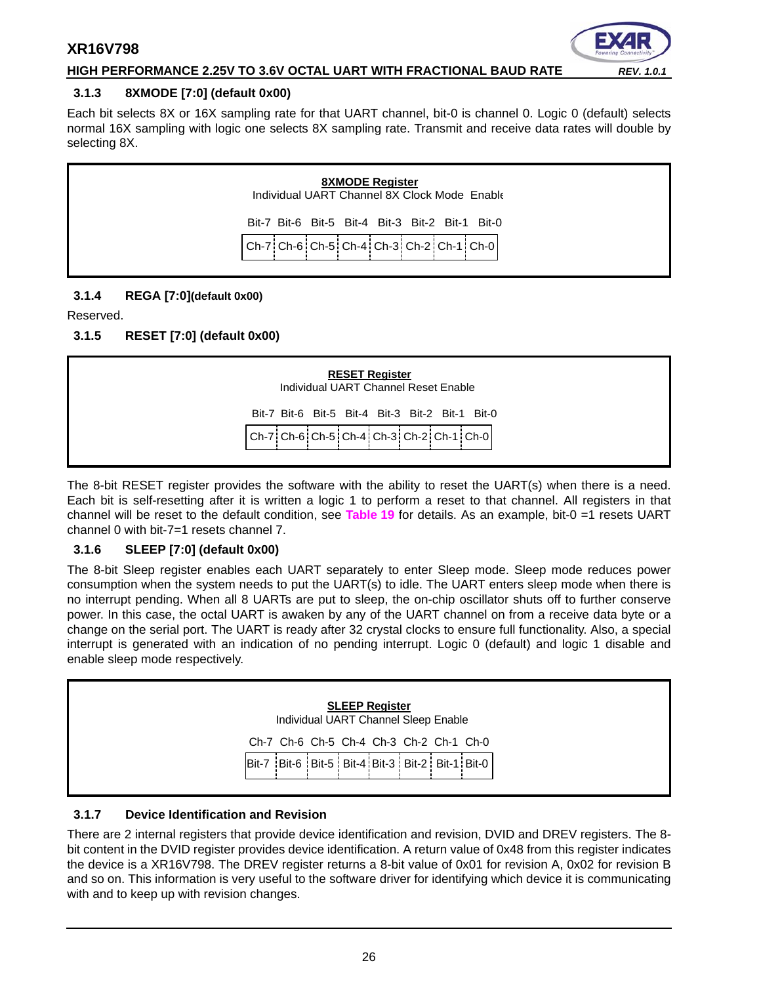# **HIGH PERFORMANCE 2.25V TO 3.6V OCTAL UART WITH FRACTIONAL BAUD RATE** *REV. 1.0.1*



## <span id="page-25-1"></span>**3.1.3 8XMODE [7:0] (default 0x00)**

Each bit selects 8X or 16X sampling rate for that UART channel, bit-0 is channel 0. Logic 0 (default) selects normal 16X sampling with logic one selects 8X sampling rate. Transmit and receive data rates will double by selecting 8X.



# <span id="page-25-2"></span>**3.1.4 REGA [7:0](default 0x00)**

Reserved.

# <span id="page-25-0"></span>**3.1.5 RESET [7:0] (default 0x00)**

| <b>RESET Register</b><br>Individual UART Channel Reset Enable |  |
|---------------------------------------------------------------|--|
| Bit-7 Bit-6 Bit-5 Bit-4 Bit-3 Bit-2 Bit-1 Bit-0               |  |
| $ Ch-7 Ch-6 Ch-5 Ch-4 Ch-3 Ch-2 Ch-1 Ch-0 $                   |  |
|                                                               |  |

The 8-bit RESET register provides the software with the ability to reset the UART(s) when there is a need. Each bit is self-resetting after it is written a logic 1 to perform a reset to that channel. All registers in that channel will be reset to the default condition, see **[Table](#page-44-0) 19** for details. As an example, bit-0 =1 resets UART channel 0 with bit-7=1 resets channel 7.

# <span id="page-25-3"></span>**3.1.6 SLEEP [7:0] (default 0x00)**

The 8-bit Sleep register enables each UART separately to enter Sleep mode. Sleep mode reduces power consumption when the system needs to put the UART(s) to idle. The UART enters sleep mode when there is no interrupt pending. When all 8 UARTs are put to sleep, the on-chip oscillator shuts off to further conserve power. In this case, the octal UART is awaken by any of the UART channel on from a receive data byte or a change on the serial port. The UART is ready after 32 crystal clocks to ensure full functionality. Also, a special interrupt is generated with an indication of no pending interrupt. Logic 0 (default) and logic 1 disable and enable sleep mode respectively.

|                                                             |                                         |  | <b>SLEEP Register</b> |  |  |
|-------------------------------------------------------------|-----------------------------------------|--|-----------------------|--|--|
|                                                             | Individual UART Channel Sleep Enable    |  |                       |  |  |
|                                                             | Ch-7 Ch-6 Ch-5 Ch-4 Ch-3 Ch-2 Ch-1 Ch-0 |  |                       |  |  |
| Bit-7 Bit-6   Bit-5   Bit-4   Bit-3   Bit-2   Bit-1   Bit-0 |                                         |  |                       |  |  |
|                                                             |                                         |  |                       |  |  |

# <span id="page-25-4"></span>**3.1.7 Device Identification and Revision**

There are 2 internal registers that provide device identification and revision, DVID and DREV registers. The 8 bit content in the DVID register provides device identification. A return value of 0x48 from this register indicates the device is a XR16V798. The DREV register returns a 8-bit value of 0x01 for revision A, 0x02 for revision B and so on. This information is very useful to the software driver for identifying which device it is communicating with and to keep up with revision changes.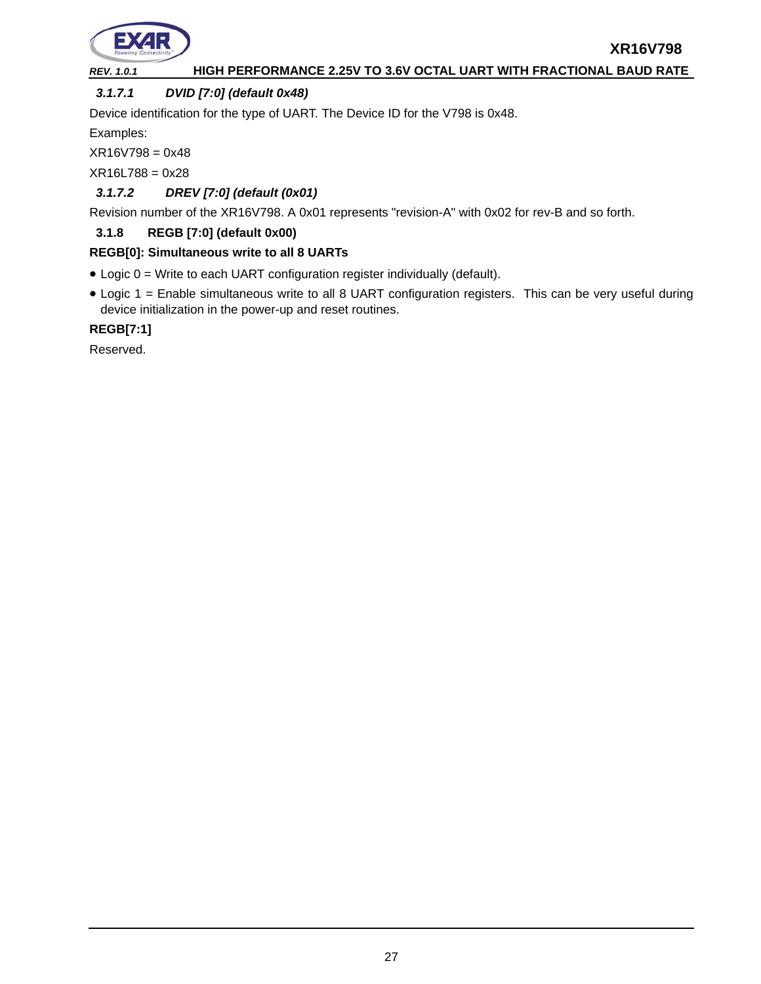

# <span id="page-26-0"></span>*3.1.7.1 DVID [7:0] (default 0x48)*

Device identification for the type of UART. The Device ID for the V798 is 0x48.

Examples:

XR16V798 = 0x48

XR16L788 = 0x28

# <span id="page-26-1"></span>*3.1.7.2 DREV [7:0] (default (0x01)*

Revision number of the XR16V798. A 0x01 represents "revision-A" with 0x02 for rev-B and so forth.

# <span id="page-26-2"></span>**3.1.8 REGB [7:0] (default 0x00)**

#### **REGB[0]: Simultaneous write to all 8 UARTs**

- Logic 0 = Write to each UART configuration register individually (default).
- Logic 1 = Enable simultaneous write to all 8 UART configuration registers. This can be very useful during device initialization in the power-up and reset routines.

# **REGB[7:1]**

Reserved.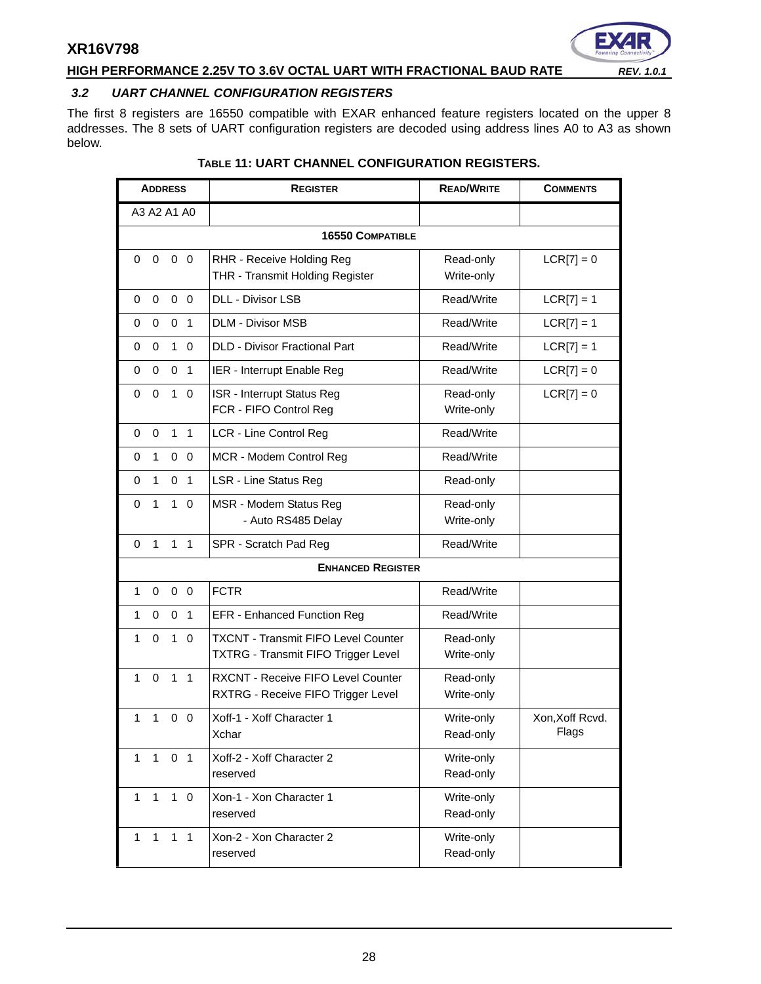# ⊌

# **XR16V798**

# **HIGH PERFORMANCE 2.25V TO 3.6V OCTAL UART WITH FRACTIONAL BAUD RATE** *REV. 1.0.1*

## <span id="page-27-1"></span>*3.2 UART CHANNEL CONFIGURATION REGISTERS*

<span id="page-27-0"></span>The first 8 registers are 16550 compatible with EXAR enhanced feature registers located on the upper 8 addresses. The 8 sets of UART configuration registers are decoded using address lines A0 to A3 as shown below.

| <b>ADDRESS</b>                                     | <b>REGISTER</b>                            | <b>READ/WRITE</b> | <b>COMMENTS</b> |  |  |  |  |  |
|----------------------------------------------------|--------------------------------------------|-------------------|-----------------|--|--|--|--|--|
| A3 A2 A1 A0                                        |                                            |                   |                 |  |  |  |  |  |
|                                                    | <b>16550 COMPATIBLE</b>                    |                   |                 |  |  |  |  |  |
| $\mathbf 0$<br>$0\quad 0$<br>0                     | RHR - Receive Holding Reg                  | Read-only         | $LCR[7] = 0$    |  |  |  |  |  |
|                                                    | THR - Transmit Holding Register            | Write-only        |                 |  |  |  |  |  |
| 0<br>$0\quad 0$<br>0                               | <b>DLL - Divisor LSB</b>                   | Read/Write        | $LCR[7] = 1$    |  |  |  |  |  |
| 0 <sub>1</sub><br>0<br>0                           | <b>DLM - Divisor MSB</b>                   | Read/Write        | $LCR[7] = 1$    |  |  |  |  |  |
| 0<br>0<br>$1\quad 0$                               | <b>DLD - Divisor Fractional Part</b>       | Read/Write        | $LCR[7] = 1$    |  |  |  |  |  |
| 0<br>0<br>0<br>$\overline{1}$                      | IER - Interrupt Enable Reg                 | Read/Write        | $LCR[7] = 0$    |  |  |  |  |  |
| $\mathbf 0$<br>$1\quad 0$<br>0                     | ISR - Interrupt Status Reg                 | Read-only         | $LCR[7] = 0$    |  |  |  |  |  |
|                                                    | FCR - FIFO Control Reg                     | Write-only        |                 |  |  |  |  |  |
| 0<br>$1\quad1$<br>0                                | LCR - Line Control Reg                     | Read/Write        |                 |  |  |  |  |  |
| 0<br>1<br>$0\quad 0$                               | MCR - Modem Control Reg                    | Read/Write        |                 |  |  |  |  |  |
| $\mathbf{1}$<br>0<br>0 <sub>1</sub>                | LSR - Line Status Reg                      | Read-only         |                 |  |  |  |  |  |
| $\mathbf{1}$<br>$1\quad 0$<br>0                    | MSR - Modem Status Reg                     | Read-only         |                 |  |  |  |  |  |
|                                                    | - Auto RS485 Delay                         | Write-only        |                 |  |  |  |  |  |
| 1<br>1 <sub>1</sub><br>0                           | SPR - Scratch Pad Reg                      | Read/Write        |                 |  |  |  |  |  |
|                                                    | <b>ENHANCED REGISTER</b>                   |                   |                 |  |  |  |  |  |
| 1<br>$\mathbf 0$<br>0 <sub>0</sub>                 | <b>FCTR</b>                                | Read/Write        |                 |  |  |  |  |  |
| 1<br>0<br>0 <sub>1</sub>                           | <b>EFR</b> - Enhanced Function Reg         | Read/Write        |                 |  |  |  |  |  |
| 1<br>$\mathbf 0$<br>$1\quad 0$                     | <b>TXCNT - Transmit FIFO Level Counter</b> | Read-only         |                 |  |  |  |  |  |
|                                                    | TXTRG - Transmit FIFO Trigger Level        | Write-only        |                 |  |  |  |  |  |
| $\mathbf 0$<br>$\mathbf{1}$<br>1<br>$\overline{1}$ | RXCNT - Receive FIFO Level Counter         | Read-only         |                 |  |  |  |  |  |
|                                                    | RXTRG - Receive FIFO Trigger Level         | Write-only        |                 |  |  |  |  |  |
| 1<br>1<br>0 <sub>0</sub>                           | Xoff-1 - Xoff Character 1                  | Write-only        | Xon, Xoff Rcvd. |  |  |  |  |  |
|                                                    | Xchar                                      | Read-only         | Flags           |  |  |  |  |  |
| 0 <sub>1</sub><br>$\mathbf{1}$<br>$\mathbf{1}$     | Xoff-2 - Xoff Character 2                  | Write-only        |                 |  |  |  |  |  |
|                                                    | reserved                                   | Read-only         |                 |  |  |  |  |  |
| $\mathbf{1}$<br>$1\quad$ 0<br>1                    | Xon-1 - Xon Character 1                    | Write-only        |                 |  |  |  |  |  |
|                                                    | reserved                                   | Read-only         |                 |  |  |  |  |  |
| $\mathbf{1}$<br>1 <sub>1</sub><br>$\mathbf{1}$     | Xon-2 - Xon Character 2                    | Write-only        |                 |  |  |  |  |  |
|                                                    | reserved                                   | Read-only         |                 |  |  |  |  |  |

# **TABLE 11: UART CHANNEL CONFIGURATION REGISTERS.**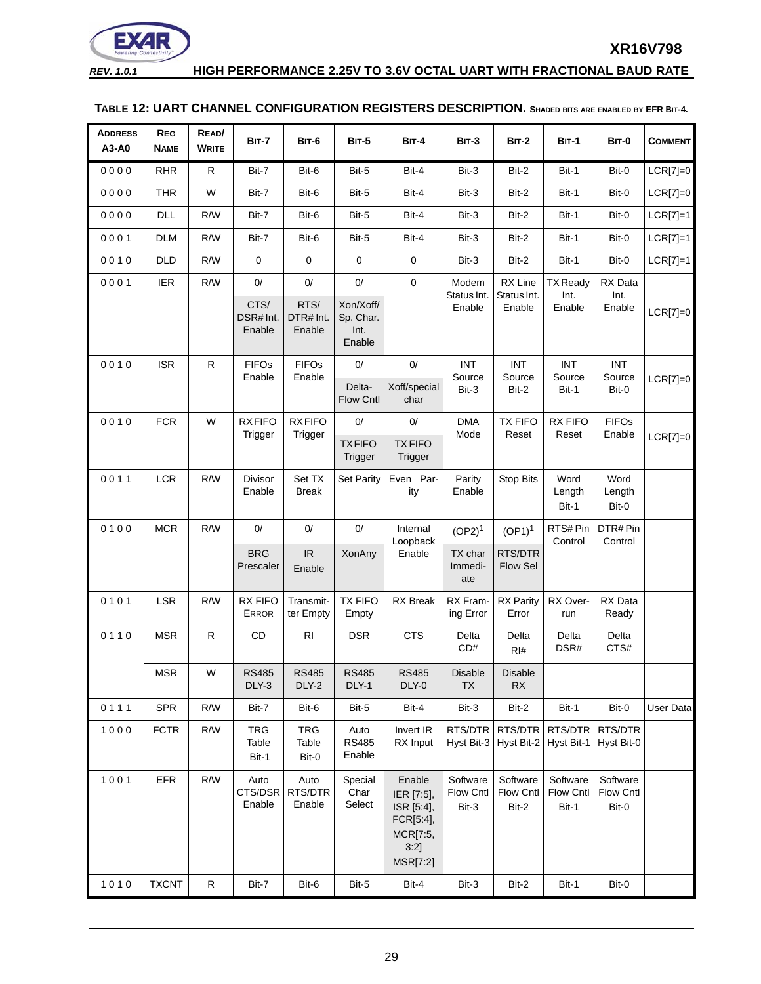

### <span id="page-28-0"></span>**TABLE 12: UART CHANNEL CONFIGURATION REGISTERS DESCRIPTION. SHADED BITS ARE ENABLED BY EFR BIT-4.**

| <b>ADDRESS</b><br>A3-A0 | <b>REG</b><br><b>NAME</b> | READ/<br><b>WRITE</b> | <b>BIT-7</b>                        | <b>BIT-6</b>                        | <b>BIT-5</b>                                     | <b>BIT-4</b>                                                                    | $BIT-3$                                | $BIT-2$                          | $BIT-1$                               | BIT-0                          | <b>COMMENT</b> |
|-------------------------|---------------------------|-----------------------|-------------------------------------|-------------------------------------|--------------------------------------------------|---------------------------------------------------------------------------------|----------------------------------------|----------------------------------|---------------------------------------|--------------------------------|----------------|
| 0000                    | <b>RHR</b>                | $\mathsf{R}$          | Bit-7                               | Bit-6                               | Bit-5                                            | Bit-4                                                                           | Bit-3                                  | Bit-2                            | Bit-1                                 | Bit-0                          | $LCR[7]=0$     |
| 0000                    | <b>THR</b>                | W                     | Bit-7                               | Bit-6                               | Bit-5                                            | Bit-4                                                                           | Bit-3                                  | Bit-2                            | Bit-1                                 | Bit-0                          | $LCR[7]=0$     |
| 0000                    | <b>DLL</b>                | R/W                   | Bit-7                               | Bit-6                               | Bit-5                                            | Bit-4                                                                           | Bit-3                                  | Bit-2                            | Bit-1                                 | Bit-0                          | $LCR[7]=1$     |
| 0001                    | <b>DLM</b>                | R/W                   | Bit-7                               | Bit-6                               | Bit-5                                            | Bit-4                                                                           | Bit-3                                  | Bit-2                            | Bit-1                                 | Bit-0                          | $LCR[7]=1$     |
| 0010                    | <b>DLD</b>                | R/W                   | $\mathbf 0$                         | 0                                   | $\mathbf 0$                                      | 0                                                                               | Bit-3                                  | Bit-2                            | Bit-1                                 | Bit-0                          | $LCR[7]=1$     |
| 0001                    | <b>IER</b>                | R/W                   | $0/$<br>CTS/<br>DSR# Int.<br>Enable | $0/$<br>RTS/<br>DTR# Int.<br>Enable | $0/$<br>Xon/Xoff/<br>Sp. Char.<br>Int.<br>Enable | $\mathbf 0$                                                                     | Modem<br>Status Int.<br>Enable         | RX Line<br>Status Int.<br>Enable | <b>TX Ready</b><br>Int.<br>Enable     | RX Data<br>Int.<br>Enable      | $LCR[7]=0$     |
| 0010                    | <b>ISR</b>                | $\mathsf{R}$          | <b>FIFOs</b><br>Enable              | <b>FIFOs</b><br>Enable              | $0/$<br>Delta-<br>Flow Cntl                      | 0/<br>Xoff/special<br>char                                                      | <b>INT</b><br>Source<br>Bit-3          | <b>INT</b><br>Source<br>Bit-2    | <b>INT</b><br>Source<br>Bit-1         | <b>INT</b><br>Source<br>Bit-0  | $LCR[7]=0$     |
| 0010                    | <b>FCR</b>                | W                     | <b>RXFIFO</b><br>Trigger            | <b>RXFIFO</b><br>Trigger            | $0/$<br><b>TXFIFO</b><br>Trigger                 | 0/<br><b>TXFIFO</b><br>Trigger                                                  | <b>DMA</b><br>Mode                     | <b>TX FIFO</b><br>Reset          | <b>RX FIFO</b><br>Reset               | <b>FIFOs</b><br>Enable         | $LCR[7]=0$     |
| 0011                    | <b>LCR</b>                | R/W                   | Divisor<br>Enable                   | Set TX<br><b>Break</b>              | <b>Set Parity</b>                                | Even Par-<br>ity                                                                | Parity<br>Enable                       | <b>Stop Bits</b>                 | Word<br>Length<br>Bit-1               | Word<br>Length<br>Bit-0        |                |
| 0100                    | <b>MCR</b>                | R/W                   | 0/<br><b>BRG</b><br>Prescaler       | $0/$<br>IR<br>Enable                | $0/$<br>XonAny                                   | Internal<br>Loopback<br>Enable                                                  | $(OP2)^1$<br>TX char<br>Immedi-<br>ate | $(OP1)^1$<br>RTS/DTR<br>Flow Sel | RTS# Pin<br>Control                   | DTR# Pin<br>Control            |                |
| 0101                    | <b>LSR</b>                | R/W                   | <b>RX FIFO</b><br><b>ERROR</b>      | Transmit-<br>ter Empty              | <b>TX FIFO</b><br>Empty                          | <b>RX</b> Break                                                                 | RX Fram-<br>ing Error                  | <b>RX Parity</b><br>Error        | RX Over-<br>run                       | RX Data<br>Ready               |                |
| 0110                    | <b>MSR</b>                | $\mathsf R$           | CD                                  | R <sub>l</sub>                      | <b>DSR</b>                                       | <b>CTS</b>                                                                      | Delta<br>CD#                           | Delta<br>RI#                     | Delta<br>DSR#                         | Delta<br>CTS#                  |                |
|                         | <b>MSR</b>                | W                     | <b>RS485</b><br>$DLY-3$             | <b>RS485</b><br>DLY-2               | <b>RS485</b><br>DLY-1                            | <b>RS485</b><br>DLY-0                                                           | <b>Disable</b><br><b>TX</b>            | <b>Disable</b><br>RX             |                                       |                                |                |
| 0111                    | SPR                       | R/W                   | Bit-7                               | Bit-6                               | Bit-5                                            | Bit-4                                                                           | Bit-3                                  | Bit-2                            | Bit-1                                 | Bit-0                          | User Data      |
| 1000                    | <b>FCTR</b>               | R/W                   | <b>TRG</b><br>Table<br>Bit-1        | <b>TRG</b><br>Table<br>Bit-0        | Auto<br><b>RS485</b><br>Enable                   | Invert IR<br>RX Input                                                           | RTS/DTR<br>Hyst Bit-3                  | RTS/DTR<br>Hyst Bit-2            | RTS/DTR<br>Hyst Bit-1                 | RTS/DTR<br>Hyst Bit-0          |                |
| 1001                    | <b>EFR</b>                | R/W                   | Auto<br>CTS/DSR<br>Enable           | Auto<br>RTS/DTR<br>Enable           | Special<br>Char<br>Select                        | Enable<br>IER [7:5],<br>ISR [5:4],<br>FCR[5:4],<br>MCR[7:5,<br>3:2]<br>MSR[7:2] | Software<br>Flow Cntl<br>Bit-3         | Software<br>Flow Cntl<br>Bit-2   | Software<br><b>Flow Cntl</b><br>Bit-1 | Software<br>Flow Cntl<br>Bit-0 |                |
| 1010                    | <b>TXCNT</b>              | $\mathsf{R}$          | Bit-7                               | Bit-6                               | Bit-5                                            | Bit-4                                                                           | Bit-3                                  | Bit-2                            | Bit-1                                 | Bit-0                          |                |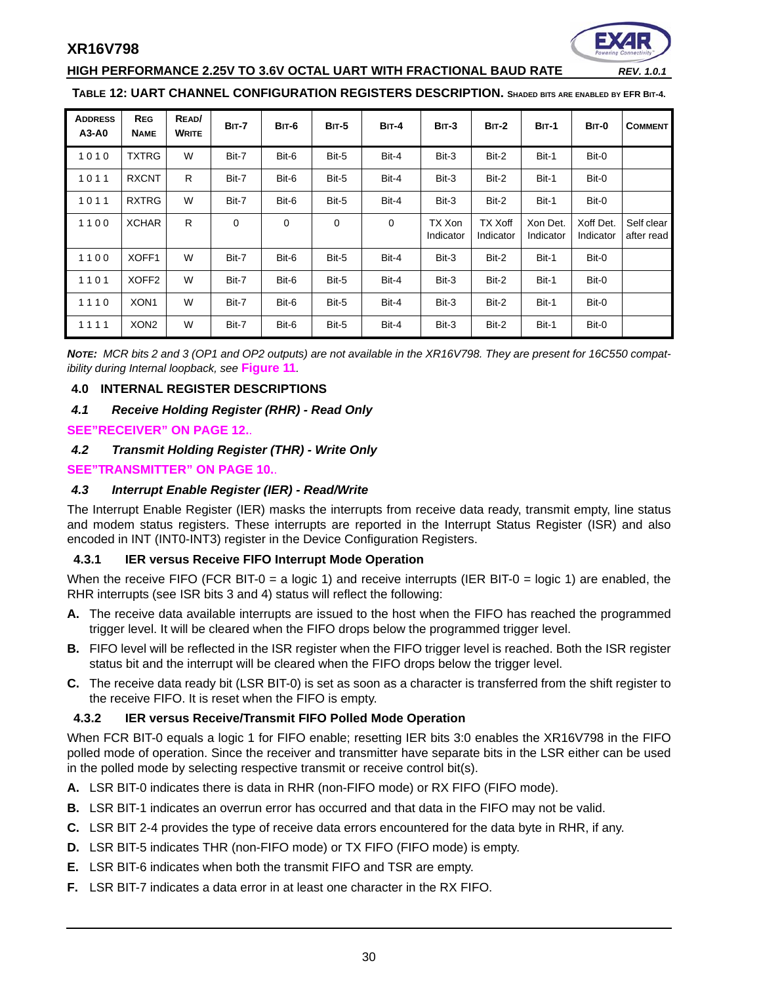#### **HIGH PERFORMANCE 2.25V TO 3.6V OCTAL UART WITH FRACTIONAL BAUD RATE** *REV. 1.0.1*



#### **TABLE 12: UART CHANNEL CONFIGURATION REGISTERS DESCRIPTION. SHADED BITS ARE ENABLED BY EFR BIT-4.**

| <b>ADDRESS</b><br>A3-A0 | <b>REG</b><br><b>NAME</b> | READ/<br><b>WRITE</b> | <b>BIT-7</b> | <b>BIT-6</b> | <b>BIT-5</b> | <b>BIT-4</b> | $BII-3$             | $BIT-2$                     | $BIT-1$               | <b>BIT-0</b>           | <b>COMMENT</b>           |
|-------------------------|---------------------------|-----------------------|--------------|--------------|--------------|--------------|---------------------|-----------------------------|-----------------------|------------------------|--------------------------|
| 1010                    | <b>TXTRG</b>              | W                     | Bit-7        | Bit-6        | Bit-5        | Bit-4        | Bit-3               | Bit-2                       | Bit-1                 | Bit-0                  |                          |
| 1011                    | <b>RXCNT</b>              | R.                    | Bit-7        | Bit-6        | Bit-5        | Bit-4        | Bit-3               | Bit-2                       | Bit-1                 | Bit-0                  |                          |
| 1011                    | <b>RXTRG</b>              | W                     | Bit-7        | Bit-6        | Bit-5        | Bit-4        | Bit-3               | Bit-2                       | Bit-1                 | Bit-0                  |                          |
| 1100                    | <b>XCHAR</b>              | R.                    | $\mathbf 0$  | 0            | 0            | $\mathbf 0$  | TX Xon<br>Indicator | <b>TX Xoff</b><br>Indicator | Xon Det.<br>Indicator | Xoff Det.<br>Indicator | Self clear<br>after read |
| 1100                    | XOFF1                     | W                     | Bit-7        | Bit-6        | Bit-5        | Bit-4        | Bit-3               | Bit-2                       | Bit-1                 | Bit-0                  |                          |
| 1101                    | XOFF <sub>2</sub>         | W                     | Bit-7        | Bit-6        | Bit-5        | Bit-4        | Bit-3               | Bit-2                       | Bit-1                 | Bit-0                  |                          |
| 1110                    | XON <sub>1</sub>          | W                     | Bit-7        | Bit-6        | Bit-5        | Bit-4        | Bit-3               | Bit-2                       | Bit-1                 | Bit-0                  |                          |
| 1111                    | XON <sub>2</sub>          | W                     | Bit-7        | Bit-6        | Bit-5        | Bit-4        | Bit-3               | Bit-2                       | Bit-1                 | Bit-0                  |                          |

*NOTE: MCR bits 2 and 3 (OP1 and OP2 outputs) are not available in the XR16V798. They are present for 16C550 compatibility during Internal loopback, see* **[Figure](#page-19-0) 11***.* 

#### <span id="page-29-0"></span>**4.0 INTERNAL REGISTER DESCRIPTIONS**

<span id="page-29-1"></span>*4.1 Receive Holding Register (RHR) - Read Only*

#### **[SEE"RECEIVER" ON PAGE](#page-11-0) 12.**.

<span id="page-29-2"></span>*4.2 Transmit Holding Register (THR) - Write Only*

#### **[SEE"TRANSMITTER" ON PAGE](#page-9-1) 10.**.

#### <span id="page-29-3"></span>*4.3 Interrupt Enable Register (IER) - Read/Write*

The Interrupt Enable Register (IER) masks the interrupts from receive data ready, transmit empty, line status and modem status registers. These interrupts are reported in the Interrupt Status Register (ISR) and also encoded in INT (INT0-INT3) register in the Device Configuration Registers.

#### <span id="page-29-4"></span>**4.3.1 IER versus Receive FIFO Interrupt Mode Operation**

When the receive FIFO (FCR BIT-0 = a logic 1) and receive interrupts (IER BIT-0 = logic 1) are enabled, the RHR interrupts (see ISR bits 3 and 4) status will reflect the following:

- **A.** The receive data available interrupts are issued to the host when the FIFO has reached the programmed trigger level. It will be cleared when the FIFO drops below the programmed trigger level.
- **B.** FIFO level will be reflected in the ISR register when the FIFO trigger level is reached. Both the ISR register status bit and the interrupt will be cleared when the FIFO drops below the trigger level.
- **C.** The receive data ready bit (LSR BIT-0) is set as soon as a character is transferred from the shift register to the receive FIFO. It is reset when the FIFO is empty.

#### <span id="page-29-5"></span>**4.3.2 IER versus Receive/Transmit FIFO Polled Mode Operation**

When FCR BIT-0 equals a logic 1 for FIFO enable; resetting IER bits 3:0 enables the XR16V798 in the FIFO polled mode of operation. Since the receiver and transmitter have separate bits in the LSR either can be used in the polled mode by selecting respective transmit or receive control bit(s).

- **A.** LSR BIT-0 indicates there is data in RHR (non-FIFO mode) or RX FIFO (FIFO mode).
- **B.** LSR BIT-1 indicates an overrun error has occurred and that data in the FIFO may not be valid.
- **C.** LSR BIT 2-4 provides the type of receive data errors encountered for the data byte in RHR, if any.
- **D.** LSR BIT-5 indicates THR (non-FIFO mode) or TX FIFO (FIFO mode) is empty.
- **E.** LSR BIT-6 indicates when both the transmit FIFO and TSR are empty.
- **F.** LSR BIT-7 indicates a data error in at least one character in the RX FIFO.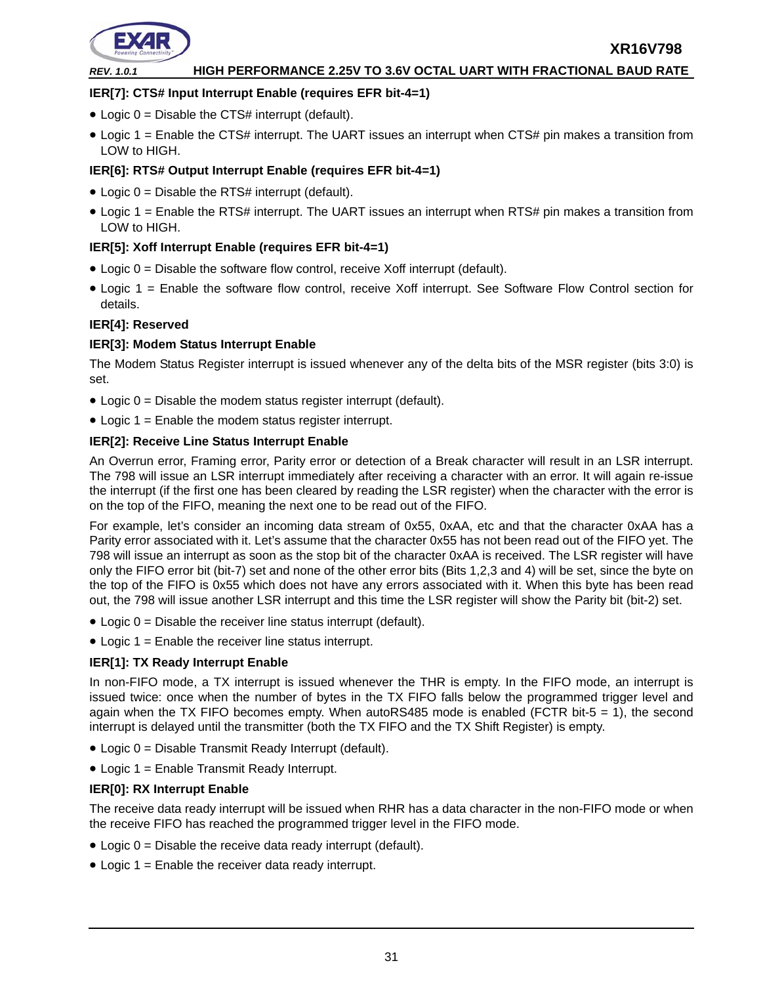

#### **IER[7]: CTS# Input Interrupt Enable (requires EFR bit-4=1)**

- $\bullet$  Logic 0 = Disable the CTS# interrupt (default).
- Logic 1 = Enable the CTS# interrupt. The UART issues an interrupt when CTS# pin makes a transition from LOW to HIGH.

#### **IER[6]: RTS# Output Interrupt Enable (requires EFR bit-4=1)**

- Logic  $0 =$  Disable the RTS# interrupt (default).
- Logic 1 = Enable the RTS# interrupt. The UART issues an interrupt when RTS# pin makes a transition from LOW to HIGH.

#### **IER[5]: Xoff Interrupt Enable (requires EFR bit-4=1)**

- $\bullet$  Logic  $0 =$  Disable the software flow control, receive Xoff interrupt (default).
- Logic 1 = Enable the software flow control, receive Xoff interrupt. See Software Flow Control section for details.

#### **IER[4]: Reserved**

#### **IER[3]: Modem Status Interrupt Enable**

The Modem Status Register interrupt is issued whenever any of the delta bits of the MSR register (bits 3:0) is set.

- Logic 0 = Disable the modem status register interrupt (default).
- Logic  $1 =$  Enable the modem status register interrupt.

#### **IER[2]: Receive Line Status Interrupt Enable**

An Overrun error, Framing error, Parity error or detection of a Break character will result in an LSR interrupt. The 798 will issue an LSR interrupt immediately after receiving a character with an error. It will again re-issue the interrupt (if the first one has been cleared by reading the LSR register) when the character with the error is on the top of the FIFO, meaning the next one to be read out of the FIFO.

For example, let's consider an incoming data stream of 0x55, 0xAA, etc and that the character 0xAA has a Parity error associated with it. Let's assume that the character 0x55 has not been read out of the FIFO yet. The 798 will issue an interrupt as soon as the stop bit of the character 0xAA is received. The LSR register will have only the FIFO error bit (bit-7) set and none of the other error bits (Bits 1,2,3 and 4) will be set, since the byte on the top of the FIFO is 0x55 which does not have any errors associated with it. When this byte has been read out, the 798 will issue another LSR interrupt and this time the LSR register will show the Parity bit (bit-2) set.

- Logic 0 = Disable the receiver line status interrupt (default).
- Logic 1 = Enable the receiver line status interrupt.

#### **IER[1]: TX Ready Interrupt Enable**

In non-FIFO mode, a TX interrupt is issued whenever the THR is empty. In the FIFO mode, an interrupt is issued twice: once when the number of bytes in the TX FIFO falls below the programmed trigger level and again when the TX FIFO becomes empty. When autoRS485 mode is enabled (FCTR bit-5 = 1), the second interrupt is delayed until the transmitter (both the TX FIFO and the TX Shift Register) is empty.

- Logic 0 = Disable Transmit Ready Interrupt (default).
- Logic 1 = Enable Transmit Ready Interrupt.

#### **IER[0]: RX Interrupt Enable**

The receive data ready interrupt will be issued when RHR has a data character in the non-FIFO mode or when the receive FIFO has reached the programmed trigger level in the FIFO mode.

- $\bullet$  Logic  $0 =$  Disable the receive data ready interrupt (default).
- $\bullet$  Logic 1 = Enable the receiver data ready interrupt.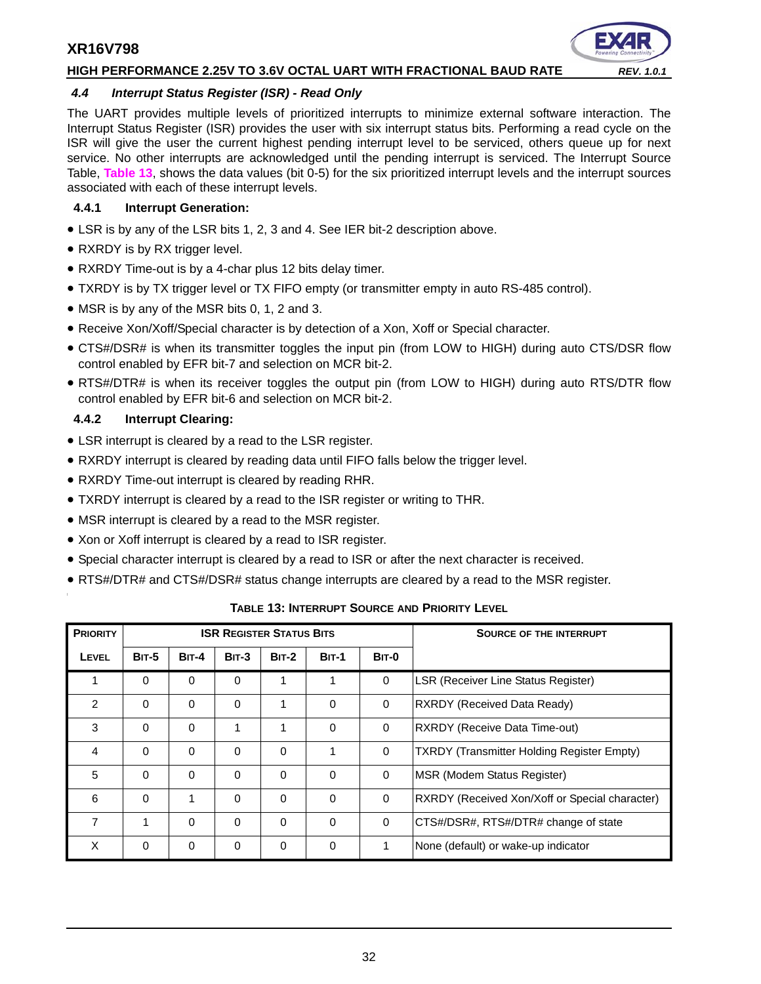#### **HIGH PERFORMANCE 2.25V TO 3.6V OCTAL UART WITH FRACTIONAL BAUD RATE** *REV. 1.0.1*

#### <span id="page-31-3"></span>*4.4 Interrupt Status Register (ISR) - Read Only*

The UART provides multiple levels of prioritized interrupts to minimize external software interaction. The Interrupt Status Register (ISR) provides the user with six interrupt status bits. Performing a read cycle on the ISR will give the user the current highest pending interrupt level to be serviced, others queue up for next service. No other interrupts are acknowledged until the pending interrupt is serviced. The Interrupt Source Table, **[Table](#page-31-1) 13**, shows the data values (bit 0-5) for the six prioritized interrupt levels and the interrupt sources associated with each of these interrupt levels.

#### <span id="page-31-2"></span>**4.4.1 Interrupt Generation:**

- LSR is by any of the LSR bits 1, 2, 3 and 4. See IER bit-2 description above.
- RXRDY is by RX trigger level.
- RXRDY Time-out is by a 4-char plus 12 bits delay timer.
- TXRDY is by TX trigger level or TX FIFO empty (or transmitter empty in auto RS-485 control).
- MSR is by any of the MSR bits 0, 1, 2 and 3.
- Receive Xon/Xoff/Special character is by detection of a Xon, Xoff or Special character.
- CTS#/DSR# is when its transmitter toggles the input pin (from LOW to HIGH) during auto CTS/DSR flow control enabled by EFR bit-7 and selection on MCR bit-2.
- RTS#/DTR# is when its receiver toggles the output pin (from LOW to HIGH) during auto RTS/DTR flow control enabled by EFR bit-6 and selection on MCR bit-2.

#### <span id="page-31-0"></span>**4.4.2 Interrupt Clearing:**

- LSR interrupt is cleared by a read to the LSR register.
- RXRDY interrupt is cleared by reading data until FIFO falls below the trigger level.
- RXRDY Time-out interrupt is cleared by reading RHR.
- TXRDY interrupt is cleared by a read to the ISR register or writing to THR.
- MSR interrupt is cleared by a read to the MSR register.
- Xon or Xoff interrupt is cleared by a read to ISR register.
- Special character interrupt is cleared by a read to ISR or after the next character is received.
- RTS#/DTR# and CTS#/DSR# status change interrupts are cleared by a read to the MSR register.

<span id="page-31-1"></span>

| <b>PRIORITY</b> |              |              | <b>ISR REGISTER STATUS BITS</b> |              |              | <b>SOURCE OF THE INTERRUPT</b> |                                                   |
|-----------------|--------------|--------------|---------------------------------|--------------|--------------|--------------------------------|---------------------------------------------------|
| LEVEL           | <b>BIT-5</b> | <b>BIT-4</b> | $BIT-3$                         | <b>BIT-2</b> | <b>BIT-1</b> | <b>BIT-0</b>                   |                                                   |
| 1               | $\Omega$     | $\Omega$     | $\Omega$                        | 1            | 1            | $\mathbf 0$                    | <b>LSR (Receiver Line Status Register)</b>        |
| $\overline{2}$  | $\Omega$     | $\Omega$     | $\Omega$                        | 1            | $\Omega$     | $\mathbf 0$                    | <b>RXRDY (Received Data Ready)</b>                |
| 3               | $\mathbf 0$  | $\Omega$     | 1                               | 1            | $\Omega$     | $\mathbf 0$                    | RXRDY (Receive Data Time-out)                     |
| 4               | $\Omega$     | $\Omega$     | $\Omega$                        | 0            | 1            | $\mathbf 0$                    | <b>TXRDY (Transmitter Holding Register Empty)</b> |
| 5               | $\Omega$     | $\Omega$     | $\Omega$                        | 0            | $\Omega$     | $\mathbf 0$                    | MSR (Modem Status Register)                       |
| 6               | $\Omega$     | 1            | $\Omega$                        | $\Omega$     | $\Omega$     | $\mathbf 0$                    | RXRDY (Received Xon/Xoff or Special character)    |
| $\overline{7}$  | 1            | $\Omega$     | $\Omega$                        | $\Omega$     | $\Omega$     | $\mathbf 0$                    | CTS#/DSR#, RTS#/DTR# change of state              |
| X               | $\Omega$     | 0            | $\Omega$                        | 0            | $\Omega$     | 1                              | None (default) or wake-up indicator               |

**TABLE 13: INTERRUPT SOURCE AND PRIORITY LEVEL**

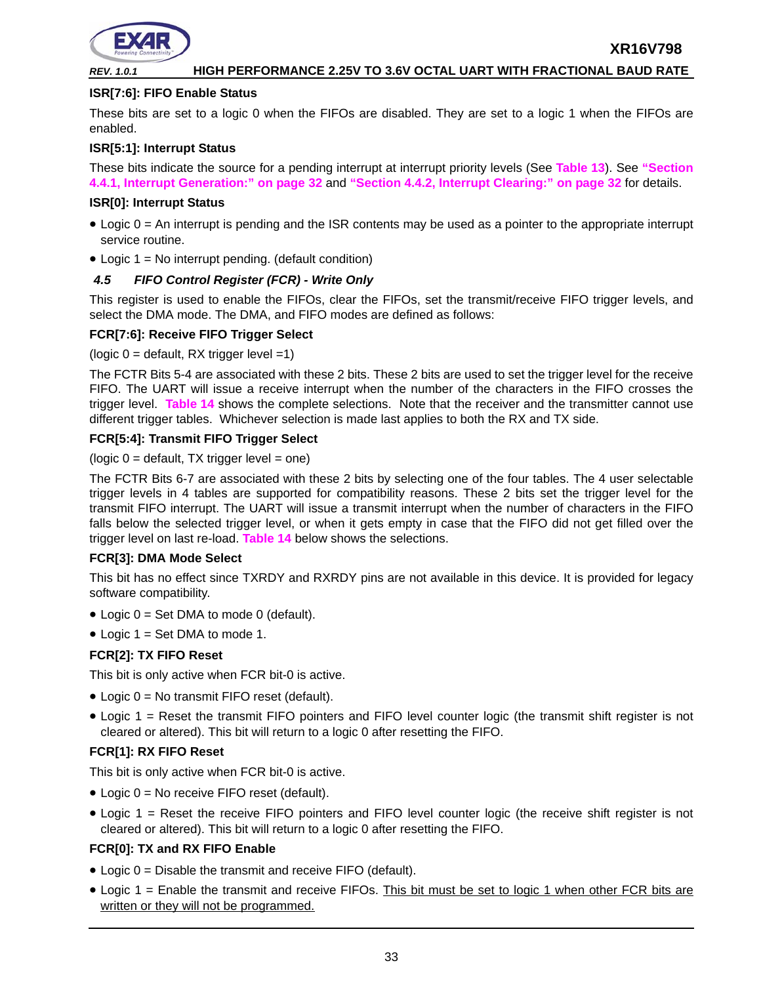

#### **ISR[7:6]: FIFO Enable Status**

These bits are set to a logic 0 when the FIFOs are disabled. They are set to a logic 1 when the FIFOs are enabled.

#### **ISR[5:1]: Interrupt Status**

These bits indicate the source for a pending interrupt at interrupt priority levels (See **[Table](#page-31-1) 13**). See **["Section](#page-31-2)  [4.4.1, Interrupt Generation:" on page](#page-31-2) 32** and **["Section 4.4.2, Interrupt Clearing:" on page](#page-31-0) 32** for details.

#### **ISR[0]: Interrupt Status**

- Logic 0 = An interrupt is pending and the ISR contents may be used as a pointer to the appropriate interrupt service routine.
- Logic 1 = No interrupt pending. (default condition)

#### <span id="page-32-0"></span>*4.5 FIFO Control Register (FCR) - Write Only*

This register is used to enable the FIFOs, clear the FIFOs, set the transmit/receive FIFO trigger levels, and select the DMA mode. The DMA, and FIFO modes are defined as follows:

#### **FCR[7:6]: Receive FIFO Trigger Select**

( $logic 0 =$  default, RX trigger level =1)

The FCTR Bits 5-4 are associated with these 2 bits. These 2 bits are used to set the trigger level for the receive FIFO. The UART will issue a receive interrupt when the number of the characters in the FIFO crosses the trigger level. **[Table](#page-33-0) 14** shows the complete selections. Note that the receiver and the transmitter cannot use different trigger tables. Whichever selection is made last applies to both the RX and TX side.

#### **FCR[5:4]: Transmit FIFO Trigger Select**

 $(logic 0 =$  default, TX trigger level = one)

The FCTR Bits 6-7 are associated with these 2 bits by selecting one of the four tables. The 4 user selectable trigger levels in 4 tables are supported for compatibility reasons. These 2 bits set the trigger level for the transmit FIFO interrupt. The UART will issue a transmit interrupt when the number of characters in the FIFO falls below the selected trigger level, or when it gets empty in case that the FIFO did not get filled over the trigger level on last re-load. **[Table](#page-33-0) 14** below shows the selections.

#### **FCR[3]: DMA Mode Select**

This bit has no effect since TXRDY and RXRDY pins are not available in this device. It is provided for legacy software compatibility.

- Logic  $0 = Set$  DMA to mode 0 (default).
- Logic 1 = Set DMA to mode 1.

#### **FCR[2]: TX FIFO Reset**

This bit is only active when FCR bit-0 is active.

- Logic 0 = No transmit FIFO reset (default).
- Logic 1 = Reset the transmit FIFO pointers and FIFO level counter logic (the transmit shift register is not cleared or altered). This bit will return to a logic 0 after resetting the FIFO.

#### **FCR[1]: RX FIFO Reset**

This bit is only active when FCR bit-0 is active.

- Logic 0 = No receive FIFO reset (default).
- Logic 1 = Reset the receive FIFO pointers and FIFO level counter logic (the receive shift register is not cleared or altered). This bit will return to a logic 0 after resetting the FIFO.

#### **FCR[0]: TX and RX FIFO Enable**

- Logic 0 = Disable the transmit and receive FIFO (default).
- Logic 1 = Enable the transmit and receive FIFOs. This bit must be set to logic 1 when other FCR bits are written or they will not be programmed.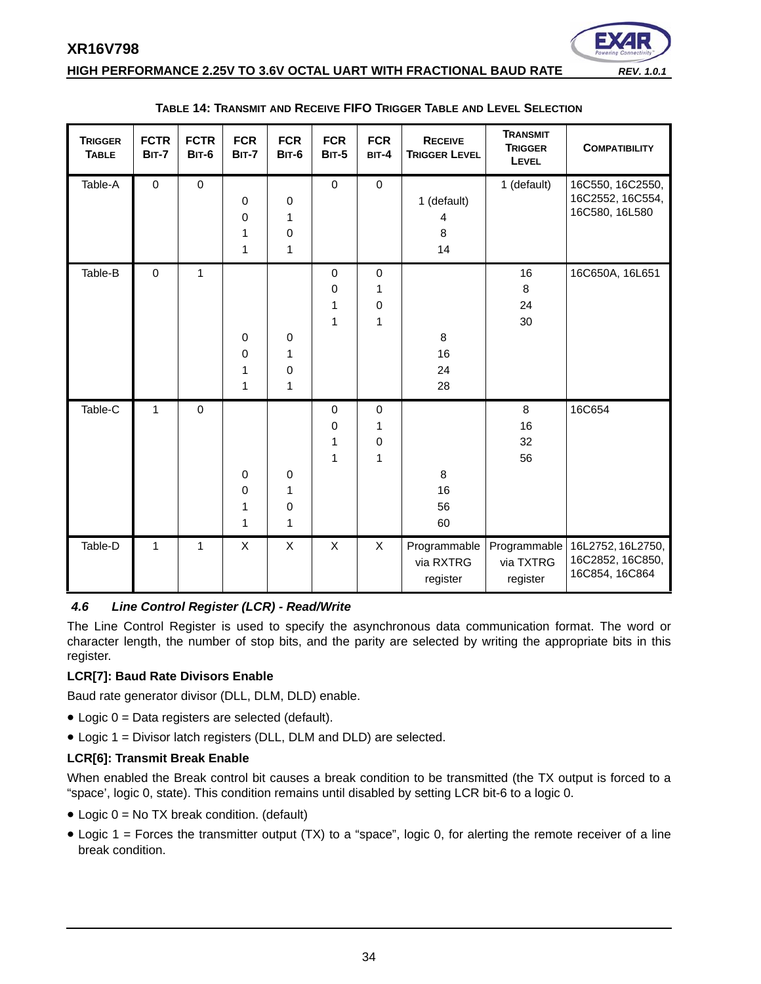

#### **HIGH PERFORMANCE 2.25V TO 3.6V OCTAL UART WITH FRACTIONAL BAUD RATE** *REV. 1.0.1*

<span id="page-33-0"></span>

| <b>TRIGGER</b><br><b>TABLE</b> | <b>FCTR</b><br><b>BIT-7</b> | <b>FCTR</b><br><b>BIT-6</b> | <b>FCR</b><br><b>BIT-7</b>                     | <b>FCR</b><br><b>BIT-6</b> | <b>FCR</b><br><b>BIT-5</b> | <b>FCR</b><br>$BIT-4$              | <b>RECEIVE</b><br><b>TRIGGER LEVEL</b> | <b>TRANSMIT</b><br><b>TRIGGER</b><br>LEVEL | <b>COMPATIBILITY</b>                                    |
|--------------------------------|-----------------------------|-----------------------------|------------------------------------------------|----------------------------|----------------------------|------------------------------------|----------------------------------------|--------------------------------------------|---------------------------------------------------------|
| Table-A                        | $\pmb{0}$                   | $\pmb{0}$                   | 0<br>0<br>1<br>1                               | $\mathbf 0$<br>1<br>0<br>1 | $\pmb{0}$                  | $\pmb{0}$                          | 1 (default)<br>4<br>$\,8\,$<br>14      | 1 (default)                                | 16C550, 16C2550,<br>16C2552, 16C554,<br>16C580, 16L580  |
| Table-B                        | $\mathbf 0$                 | $\mathbf{1}$                | $\pmb{0}$<br>0<br>$\mathbf{1}$<br>$\mathbf{1}$ | 0<br>1<br>0<br>1           | $\mathbf 0$<br>0<br>1<br>1 | $\pmb{0}$<br>1<br>0<br>$\mathbf 1$ | 8<br>16<br>24<br>28                    | 16<br>8<br>24<br>30                        | 16C650A, 16L651                                         |
| Table-C                        | $\mathbf{1}$                | $\pmb{0}$                   | 0<br>0<br>1<br>1                               | $\mathbf 0$<br>1<br>0<br>1 | 0<br>0<br>1<br>1           | $\pmb{0}$<br>1<br>0<br>1           | 8<br>16<br>56<br>60                    | $\,8\,$<br>16<br>32<br>56                  | 16C654                                                  |
| Table-D                        | $\mathbf{1}$                | $\mathbf{1}$                | X                                              | X                          | X                          | X                                  | Programmable<br>via RXTRG<br>register  | Programmable<br>via TXTRG<br>register      | 16L2752, 16L2750,<br>16C2852, 16C850,<br>16C854, 16C864 |

#### **TABLE 14: TRANSMIT AND RECEIVE FIFO TRIGGER TABLE AND LEVEL SELECTION**

# <span id="page-33-1"></span>*4.6 Line Control Register (LCR) - Read/Write*

The Line Control Register is used to specify the asynchronous data communication format. The word or character length, the number of stop bits, and the parity are selected by writing the appropriate bits in this register.

#### **LCR[7]: Baud Rate Divisors Enable**

Baud rate generator divisor (DLL, DLM, DLD) enable.

- Logic 0 = Data registers are selected (default).
- Logic 1 = Divisor latch registers (DLL, DLM and DLD) are selected.

#### **LCR[6]: Transmit Break Enable**

When enabled the Break control bit causes a break condition to be transmitted (the TX output is forced to a "space', logic 0, state). This condition remains until disabled by setting LCR bit-6 to a logic 0.

- Logic 0 = No TX break condition. (default)
- Logic 1 = Forces the transmitter output (TX) to a "space", logic 0, for alerting the remote receiver of a line break condition.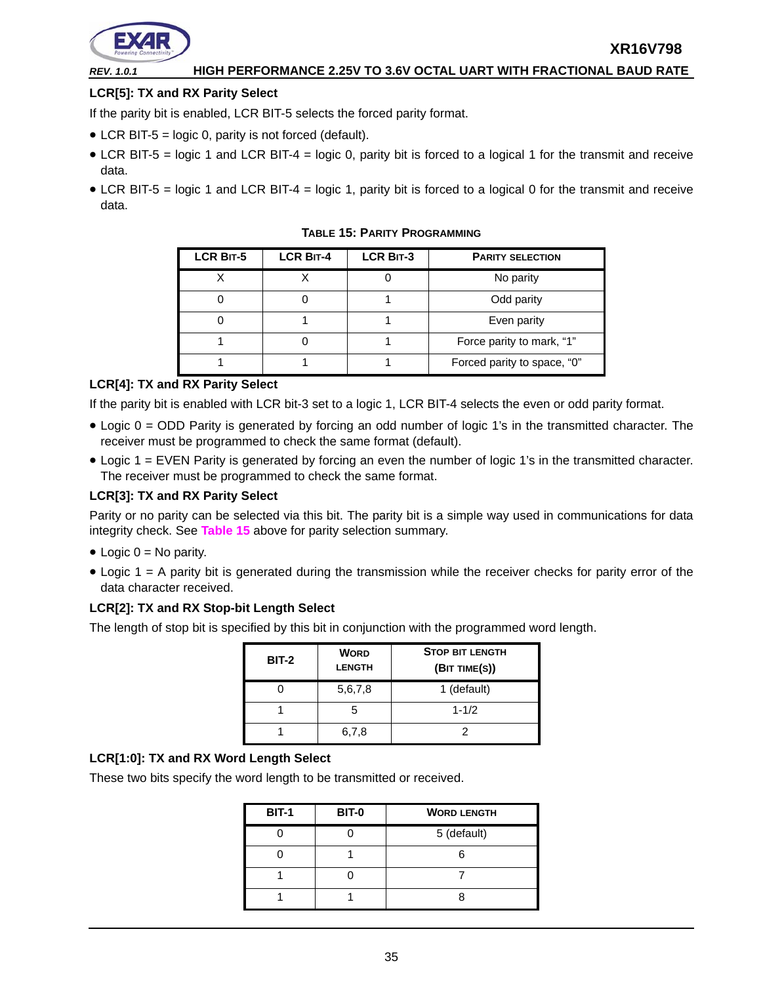

#### **LCR[5]: TX and RX Parity Select**

If the parity bit is enabled, LCR BIT-5 selects the forced parity format.

- LCR BIT-5 = logic 0, parity is not forced (default).
- LCR BIT-5 = logic 1 and LCR BIT-4 = logic 0, parity bit is forced to a logical 1 for the transmit and receive data.
- <span id="page-34-0"></span>• LCR BIT-5 = logic 1 and LCR BIT-4 = logic 1, parity bit is forced to a logical 0 for the transmit and receive data.

| LCR BIT-5 | <b>LCR BIT-4</b> | <b>LCR BIT-3</b> | <b>PARITY SELECTION</b>     |
|-----------|------------------|------------------|-----------------------------|
|           |                  |                  | No parity                   |
|           |                  |                  | Odd parity                  |
|           |                  |                  | Even parity                 |
|           |                  |                  | Force parity to mark, "1"   |
|           |                  |                  | Forced parity to space, "0" |

#### **TABLE 15: PARITY PROGRAMMING**

#### **LCR[4]: TX and RX Parity Select**

If the parity bit is enabled with LCR bit-3 set to a logic 1, LCR BIT-4 selects the even or odd parity format.

- Logic 0 = ODD Parity is generated by forcing an odd number of logic 1's in the transmitted character. The receiver must be programmed to check the same format (default).
- Logic 1 = EVEN Parity is generated by forcing an even the number of logic 1's in the transmitted character. The receiver must be programmed to check the same format.

#### **LCR[3]: TX and RX Parity Select**

Parity or no parity can be selected via this bit. The parity bit is a simple way used in communications for data integrity check. See **[Table](#page-34-0) 15** above for parity selection summary.

- $\bullet$  Logic 0 = No parity.
- Logic 1 = A parity bit is generated during the transmission while the receiver checks for parity error of the data character received.

#### **LCR[2]: TX and RX Stop-bit Length Select**

The length of stop bit is specified by this bit in conjunction with the programmed word length.

| <b>BIT-2</b> | <b>WORD</b><br><b>LENGTH</b> | <b>STOP BIT LENGTH</b><br>(BIT TIME(S)) |
|--------------|------------------------------|-----------------------------------------|
|              | 5,6,7,8                      | 1 (default)                             |
|              | 5                            | $1 - 1/2$                               |
|              | 6,7,8                        |                                         |

#### **LCR[1:0]: TX and RX Word Length Select**

These two bits specify the word length to be transmitted or received.

| <b>BIT-1</b> | <b>BIT-0</b> | <b>WORD LENGTH</b> |
|--------------|--------------|--------------------|
|              |              | 5 (default)        |
|              |              |                    |
|              |              |                    |
|              |              |                    |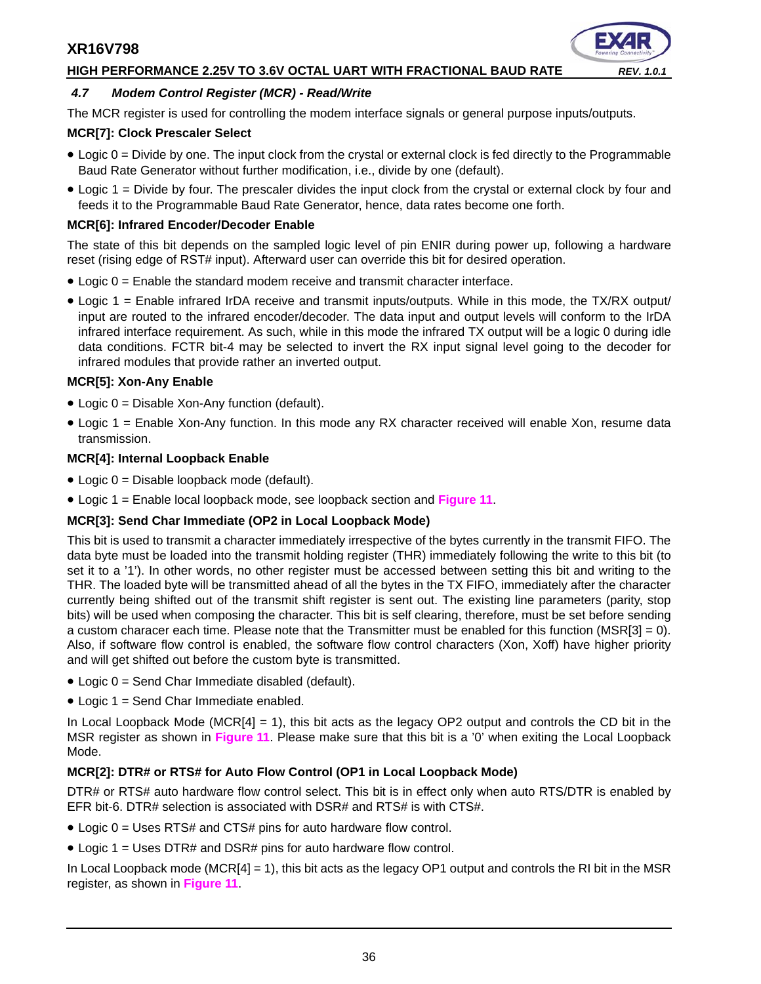## **HIGH PERFORMANCE 2.25V TO 3.6V OCTAL UART WITH FRACTIONAL BAUD RATE** *REV. 1.0.1*

#### <span id="page-35-0"></span>*4.7 Modem Control Register (MCR) - Read/Write*

The MCR register is used for controlling the modem interface signals or general purpose inputs/outputs.

#### **MCR[7]: Clock Prescaler Select**

- Logic 0 = Divide by one. The input clock from the crystal or external clock is fed directly to the Programmable Baud Rate Generator without further modification, i.e., divide by one (default).
- Logic 1 = Divide by four. The prescaler divides the input clock from the crystal or external clock by four and feeds it to the Programmable Baud Rate Generator, hence, data rates become one forth.

#### **MCR[6]: Infrared Encoder/Decoder Enable**

The state of this bit depends on the sampled logic level of pin ENIR during power up, following a hardware reset (rising edge of RST# input). Afterward user can override this bit for desired operation.

- Logic 0 = Enable the standard modem receive and transmit character interface.
- Logic 1 = Enable infrared IrDA receive and transmit inputs/outputs. While in this mode, the TX/RX output/ input are routed to the infrared encoder/decoder. The data input and output levels will conform to the IrDA infrared interface requirement. As such, while in this mode the infrared TX output will be a logic 0 during idle data conditions. FCTR bit-4 may be selected to invert the RX input signal level going to the decoder for infrared modules that provide rather an inverted output.

#### **MCR[5]: Xon-Any Enable**

- Logic 0 = Disable Xon-Any function (default).
- Logic 1 = Enable Xon-Any function. In this mode any RX character received will enable Xon, resume data transmission.

#### **MCR[4]: Internal Loopback Enable**

- Logic 0 = Disable loopback mode (default).
- Logic 1 = Enable local loopback mode, see loopback section and **[Figure](#page-19-0) 11**.

#### **MCR[3]: Send Char Immediate (OP2 in Local Loopback Mode)**

This bit is used to transmit a character immediately irrespective of the bytes currently in the transmit FIFO. The data byte must be loaded into the transmit holding register (THR) immediately following the write to this bit (to set it to a '1'). In other words, no other register must be accessed between setting this bit and writing to the THR. The loaded byte will be transmitted ahead of all the bytes in the TX FIFO, immediately after the character currently being shifted out of the transmit shift register is sent out. The existing line parameters (parity, stop bits) will be used when composing the character. This bit is self clearing, therefore, must be set before sending a custom characer each time. Please note that the Transmitter must be enabled for this function ( $MSR[3] = 0$ ). Also, if software flow control is enabled, the software flow control characters (Xon, Xoff) have higher priority and will get shifted out before the custom byte is transmitted.

- Logic 0 = Send Char Immediate disabled (default).
- Logic 1 = Send Char Immediate enabled.

In Local Loopback Mode ( $MCR[4] = 1$ ), this bit acts as the legacy OP2 output and controls the CD bit in the MSR register as shown in **[Figure](#page-19-0) 11**. Please make sure that this bit is a '0' when exiting the Local Loopback Mode.

#### **MCR[2]: DTR# or RTS# for Auto Flow Control (OP1 in Local Loopback Mode)**

DTR# or RTS# auto hardware flow control select. This bit is in effect only when auto RTS/DTR is enabled by EFR bit-6. DTR# selection is associated with DSR# and RTS# is with CTS#.

- Logic 0 = Uses RTS# and CTS# pins for auto hardware flow control.
- Logic 1 = Uses DTR# and DSR# pins for auto hardware flow control.

In Local Loopback mode (MCR[4] = 1), this bit acts as the legacy OP1 output and controls the RI bit in the MSR register, as shown in **[Figure](#page-19-0) 11**.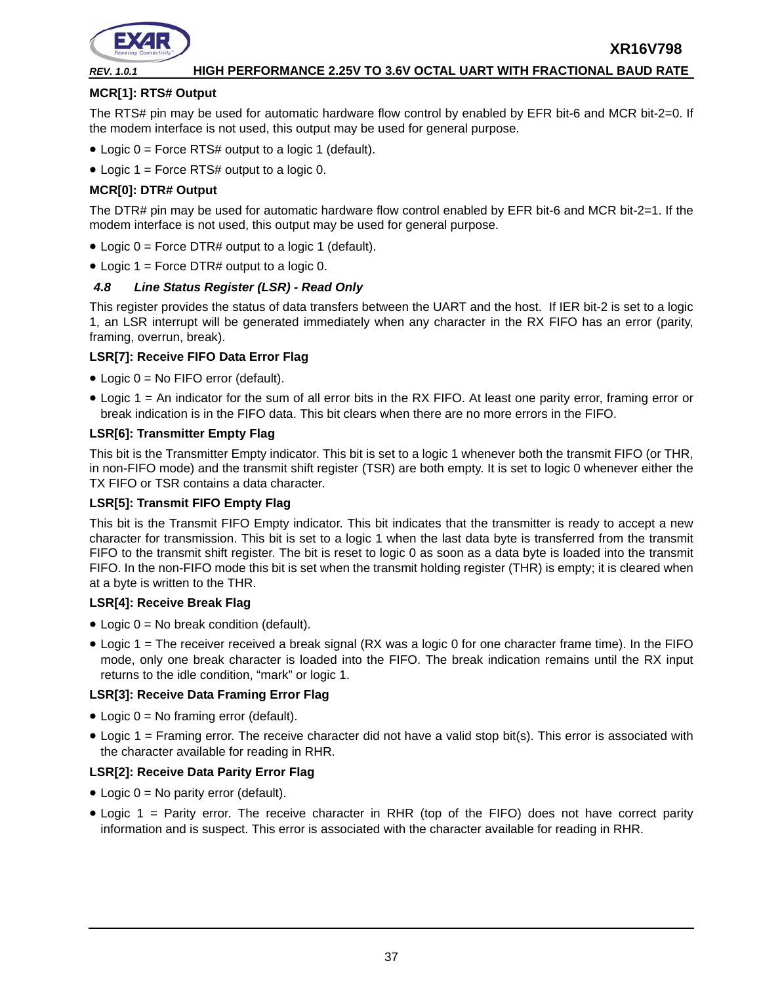

#### **MCR[1]: RTS# Output**

The RTS# pin may be used for automatic hardware flow control by enabled by EFR bit-6 and MCR bit-2=0. If the modem interface is not used, this output may be used for general purpose.

- Logic 0 = Force RTS# output to a logic 1 (default).
- Logic 1 = Force RTS# output to a logic 0.

#### **MCR[0]: DTR# Output**

The DTR# pin may be used for automatic hardware flow control enabled by EFR bit-6 and MCR bit-2=1. If the modem interface is not used, this output may be used for general purpose.

- Logic 0 = Force DTR# output to a logic 1 (default).
- Logic 1 = Force DTR# output to a logic 0.

#### <span id="page-36-0"></span>*4.8 Line Status Register (LSR) - Read Only*

This register provides the status of data transfers between the UART and the host. If IER bit-2 is set to a logic 1, an LSR interrupt will be generated immediately when any character in the RX FIFO has an error (parity, framing, overrun, break).

#### **LSR[7]: Receive FIFO Data Error Flag**

- Logic 0 = No FIFO error (default).
- Logic 1 = An indicator for the sum of all error bits in the RX FIFO. At least one parity error, framing error or break indication is in the FIFO data. This bit clears when there are no more errors in the FIFO.

#### **LSR[6]: Transmitter Empty Flag**

This bit is the Transmitter Empty indicator. This bit is set to a logic 1 whenever both the transmit FIFO (or THR, in non-FIFO mode) and the transmit shift register (TSR) are both empty. It is set to logic 0 whenever either the TX FIFO or TSR contains a data character.

#### **LSR[5]: Transmit FIFO Empty Flag**

This bit is the Transmit FIFO Empty indicator. This bit indicates that the transmitter is ready to accept a new character for transmission. This bit is set to a logic 1 when the last data byte is transferred from the transmit FIFO to the transmit shift register. The bit is reset to logic 0 as soon as a data byte is loaded into the transmit FIFO. In the non-FIFO mode this bit is set when the transmit holding register (THR) is empty; it is cleared when at a byte is written to the THR.

#### **LSR[4]: Receive Break Flag**

- Logic  $0 = No$  break condition (default).
- Logic 1 = The receiver received a break signal (RX was a logic 0 for one character frame time). In the FIFO mode, only one break character is loaded into the FIFO. The break indication remains until the RX input returns to the idle condition, "mark" or logic 1.

#### **LSR[3]: Receive Data Framing Error Flag**

- Logic 0 = No framing error (default).
- Logic 1 = Framing error. The receive character did not have a valid stop bit(s). This error is associated with the character available for reading in RHR.

#### **LSR[2]: Receive Data Parity Error Flag**

- Logic 0 = No parity error (default).
- Logic 1 = Parity error. The receive character in RHR (top of the FIFO) does not have correct parity information and is suspect. This error is associated with the character available for reading in RHR.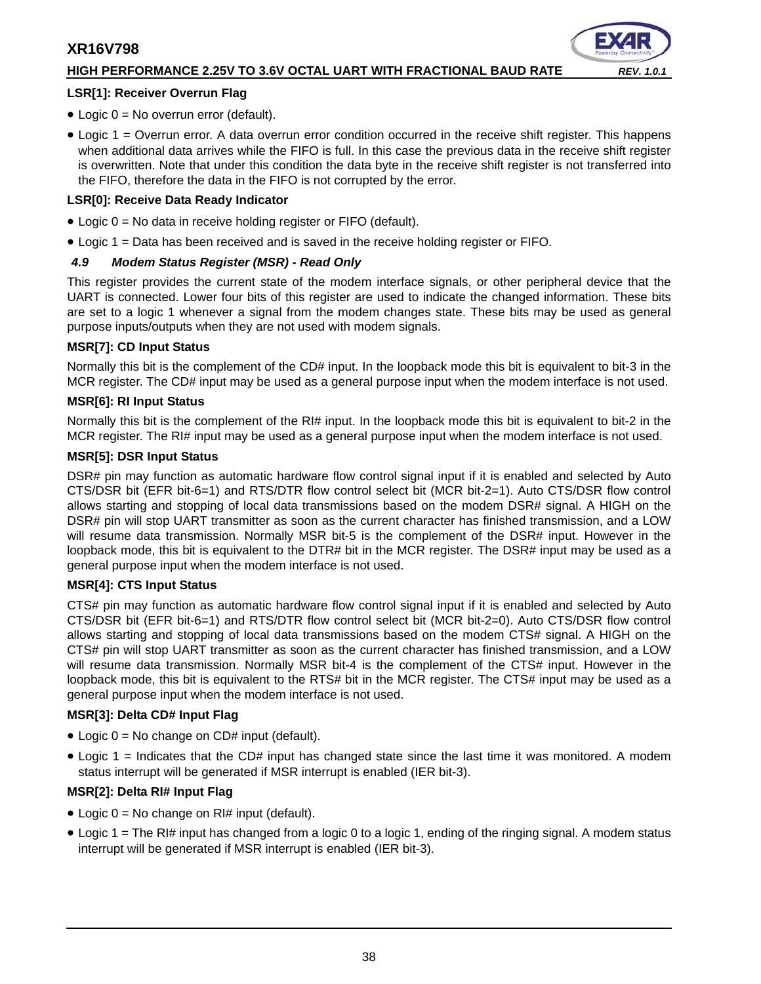

#### **LSR[1]: Receiver Overrun Flag**

- $\bullet$  Logic  $0 = No$  overrun error (default).
- Logic 1 = Overrun error. A data overrun error condition occurred in the receive shift register. This happens when additional data arrives while the FIFO is full. In this case the previous data in the receive shift register is overwritten. Note that under this condition the data byte in the receive shift register is not transferred into the FIFO, therefore the data in the FIFO is not corrupted by the error.

#### **LSR[0]: Receive Data Ready Indicator**

- Logic 0 = No data in receive holding register or FIFO (default).
- Logic 1 = Data has been received and is saved in the receive holding register or FIFO.

# <span id="page-37-0"></span>*4.9 Modem Status Register (MSR) - Read Only*

This register provides the current state of the modem interface signals, or other peripheral device that the UART is connected. Lower four bits of this register are used to indicate the changed information. These bits are set to a logic 1 whenever a signal from the modem changes state. These bits may be used as general purpose inputs/outputs when they are not used with modem signals.

### **MSR[7]: CD Input Status**

Normally this bit is the complement of the CD# input. In the loopback mode this bit is equivalent to bit-3 in the MCR register. The CD# input may be used as a general purpose input when the modem interface is not used.

#### **MSR[6]: RI Input Status**

Normally this bit is the complement of the RI# input. In the loopback mode this bit is equivalent to bit-2 in the MCR register. The RI# input may be used as a general purpose input when the modem interface is not used.

### **MSR[5]: DSR Input Status**

DSR# pin may function as automatic hardware flow control signal input if it is enabled and selected by Auto CTS/DSR bit (EFR bit-6=1) and RTS/DTR flow control select bit (MCR bit-2=1). Auto CTS/DSR flow control allows starting and stopping of local data transmissions based on the modem DSR# signal. A HIGH on the DSR# pin will stop UART transmitter as soon as the current character has finished transmission, and a LOW will resume data transmission. Normally MSR bit-5 is the complement of the DSR# input. However in the loopback mode, this bit is equivalent to the DTR# bit in the MCR register. The DSR# input may be used as a general purpose input when the modem interface is not used.

#### **MSR[4]: CTS Input Status**

CTS# pin may function as automatic hardware flow control signal input if it is enabled and selected by Auto CTS/DSR bit (EFR bit-6=1) and RTS/DTR flow control select bit (MCR bit-2=0). Auto CTS/DSR flow control allows starting and stopping of local data transmissions based on the modem CTS# signal. A HIGH on the CTS# pin will stop UART transmitter as soon as the current character has finished transmission, and a LOW will resume data transmission. Normally MSR bit-4 is the complement of the CTS# input. However in the loopback mode, this bit is equivalent to the RTS# bit in the MCR register. The CTS# input may be used as a general purpose input when the modem interface is not used.

#### **MSR[3]: Delta CD# Input Flag**

- Logic  $0 = No$  change on CD# input (default).
- Logic 1 = Indicates that the CD# input has changed state since the last time it was monitored. A modem status interrupt will be generated if MSR interrupt is enabled (IER bit-3).

# **MSR[2]: Delta RI# Input Flag**

- Logic  $0 = No$  change on RI# input (default).
- Logic 1 = The RI# input has changed from a logic 0 to a logic 1, ending of the ringing signal. A modem status interrupt will be generated if MSR interrupt is enabled (IER bit-3).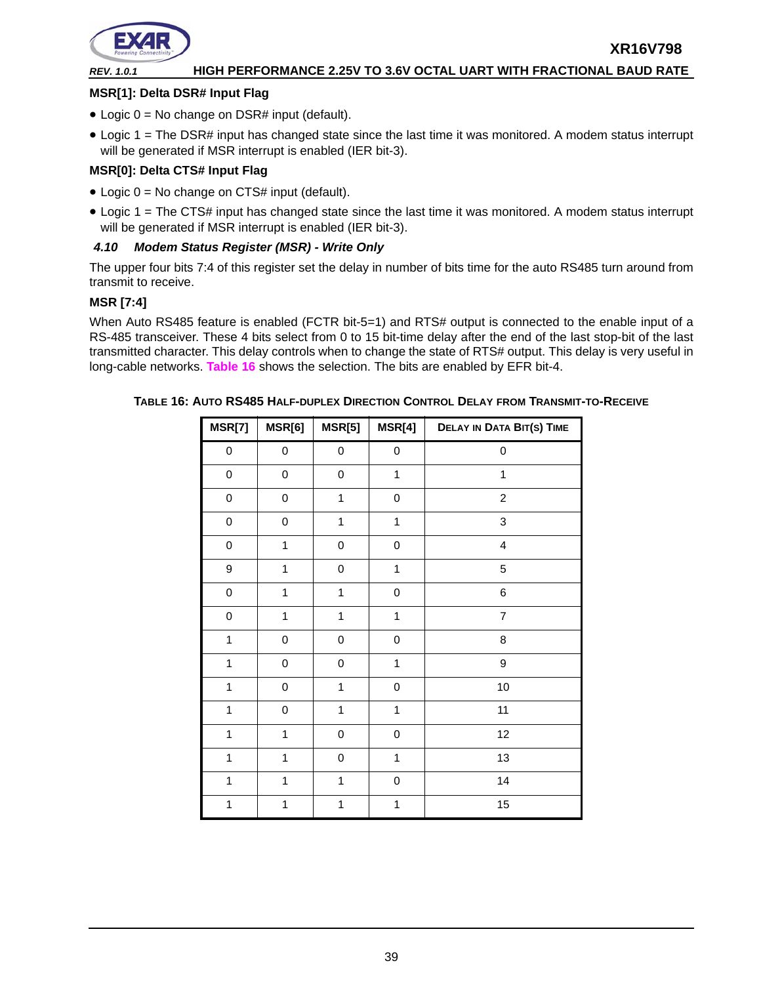

#### **MSR[1]: Delta DSR# Input Flag**

- Logic  $0 = No$  change on DSR# input (default).
- Logic 1 = The DSR# input has changed state since the last time it was monitored. A modem status interrupt will be generated if MSR interrupt is enabled (IER bit-3).

#### **MSR[0]: Delta CTS# Input Flag**

- Logic  $0 = No$  change on CTS# input (default).
- Logic 1 = The CTS# input has changed state since the last time it was monitored. A modem status interrupt will be generated if MSR interrupt is enabled (IER bit-3).

#### <span id="page-38-1"></span>*4.10 Modem Status Register (MSR) - Write Only*

The upper four bits 7:4 of this register set the delay in number of bits time for the auto RS485 turn around from transmit to receive.

#### **MSR [7:4]**

When Auto RS485 feature is enabled (FCTR bit-5=1) and RTS# output is connected to the enable input of a RS-485 transceiver. These 4 bits select from 0 to 15 bit-time delay after the end of the last stop-bit of the last transmitted character. This delay controls when to change the state of RTS# output. This delay is very useful in long-cable networks. **[Table](#page-38-0) 16** shows the selection. The bits are enabled by EFR bit-4.

| MSR[7]       | MSR[6]              | MSR[5]         | MSR[4]       | <b>DELAY IN DATA BIT(S) TIME</b> |
|--------------|---------------------|----------------|--------------|----------------------------------|
| 0            | $\pmb{0}$           | 0              | $\pmb{0}$    | $\boldsymbol{0}$                 |
| $\mathbf 0$  | $\mathbf 0$         | $\mathbf 0$    | 1            | $\mathbf{1}$                     |
| $\mathbf 0$  | $\mathbf 0$         | $\mathbf{1}$   | 0            | $\boldsymbol{2}$                 |
| 0            | $\mathbf 0$         | 1              | 1            | 3                                |
| 0            | $\mathbf{1}$        | 0              | 0            | $\overline{\mathbf{4}}$          |
| 9            | $\mathbf{1}$        | $\mathbf 0$    | $\mathbf{1}$ | $\mathbf 5$                      |
| 0            | $\mathbf{1}$        | $\mathbf{1}$   | 0            | 6                                |
| 0            | $\mathbf{1}$        | $\mathbf{1}$   | $\mathbf{1}$ | $\overline{7}$                   |
| $\mathbf{1}$ | 0                   | 0              | 0            | $\bf8$                           |
| $\mathbf{1}$ | $\mathsf{O}\xspace$ | 0              | $\mathbf{1}$ | $\boldsymbol{9}$                 |
| $\mathbf{1}$ | $\mathsf{O}\xspace$ | $\overline{1}$ | 0            | 10                               |
| 1            | $\mathbf 0$         | $\mathbf{1}$   | $\mathbf{1}$ | 11                               |
| $\mathbf{1}$ | $\mathbf{1}$        | 0              | 0            | 12                               |
| $\mathbf{1}$ | $\mathbf{1}$        | 0              | $\mathbf{1}$ | 13                               |
| $\mathbf{1}$ | $\mathbf{1}$        | $\mathbf{1}$   | 0            | 14                               |
| $\mathbf{1}$ | $\mathbf{1}$        | $\mathbf{1}$   | $\mathbf{1}$ | 15                               |

#### <span id="page-38-0"></span>**TABLE 16: AUTO RS485 HALF-DUPLEX DIRECTION CONTROL DELAY FROM TRANSMIT-TO-RECEIVE**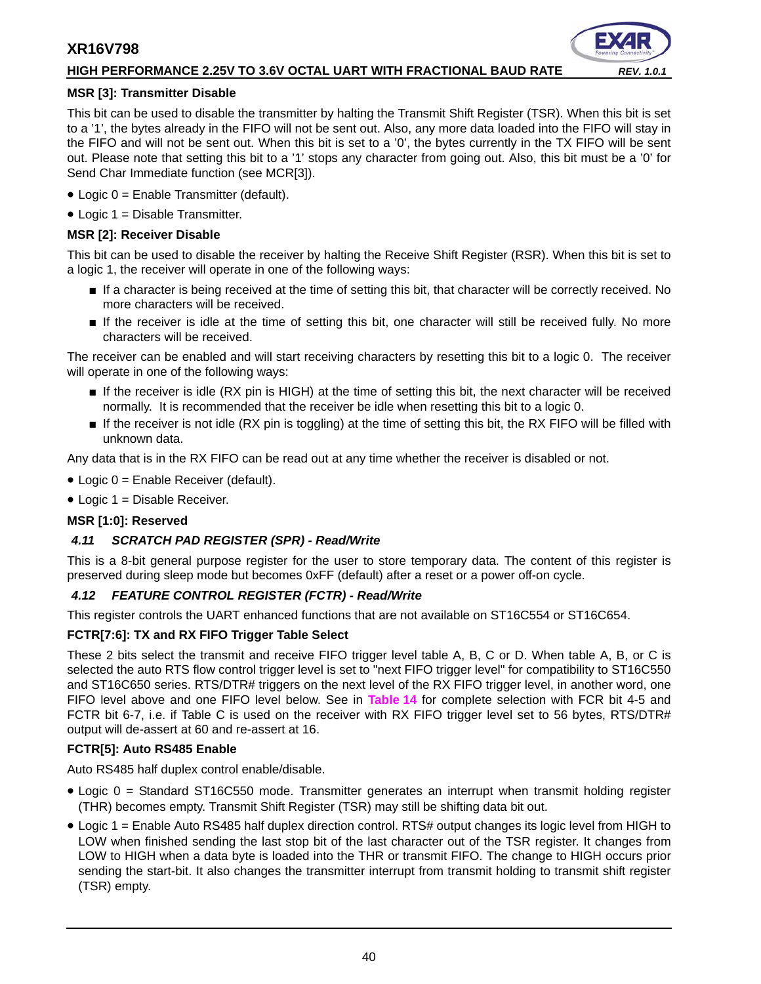



#### **MSR [3]: Transmitter Disable**

This bit can be used to disable the transmitter by halting the Transmit Shift Register (TSR). When this bit is set to a '1', the bytes already in the FIFO will not be sent out. Also, any more data loaded into the FIFO will stay in the FIFO and will not be sent out. When this bit is set to a '0', the bytes currently in the TX FIFO will be sent out. Please note that setting this bit to a '1' stops any character from going out. Also, this bit must be a '0' for Send Char Immediate function (see MCR[3]).

- Logic 0 = Enable Transmitter (default).
- Logic 1 = Disable Transmitter.

#### **MSR [2]: Receiver Disable**

This bit can be used to disable the receiver by halting the Receive Shift Register (RSR). When this bit is set to a logic 1, the receiver will operate in one of the following ways:

- If a character is being received at the time of setting this bit, that character will be correctly received. No more characters will be received.
- If the receiver is idle at the time of setting this bit, one character will still be received fully. No more characters will be received.

The receiver can be enabled and will start receiving characters by resetting this bit to a logic 0. The receiver will operate in one of the following ways:

- If the receiver is idle (RX pin is HIGH) at the time of setting this bit, the next character will be received normally. It is recommended that the receiver be idle when resetting this bit to a logic 0.
- If the receiver is not idle (RX pin is toggling) at the time of setting this bit, the RX FIFO will be filled with unknown data.

Any data that is in the RX FIFO can be read out at any time whether the receiver is disabled or not.

- Logic 0 = Enable Receiver (default).
- Logic 1 = Disable Receiver.

#### **MSR [1:0]: Reserved**

#### <span id="page-39-0"></span>*4.11 SCRATCH PAD REGISTER (SPR) - Read/Write*

This is a 8-bit general purpose register for the user to store temporary data. The content of this register is preserved during sleep mode but becomes 0xFF (default) after a reset or a power off-on cycle.

#### <span id="page-39-1"></span>*4.12 FEATURE CONTROL REGISTER (FCTR) - Read/Write*

This register controls the UART enhanced functions that are not available on ST16C554 or ST16C654.

#### **FCTR[7:6]: TX and RX FIFO Trigger Table Select**

These 2 bits select the transmit and receive FIFO trigger level table A, B, C or D. When table A, B, or C is selected the auto RTS flow control trigger level is set to "next FIFO trigger level" for compatibility to ST16C550 and ST16C650 series. RTS/DTR# triggers on the next level of the RX FIFO trigger level, in another word, one FIFO level above and one FIFO level below. See in **[Table](#page-33-0) 14** for complete selection with FCR bit 4-5 and FCTR bit 6-7, i.e. if Table C is used on the receiver with RX FIFO trigger level set to 56 bytes, RTS/DTR# output will de-assert at 60 and re-assert at 16.

#### **FCTR[5]: Auto RS485 Enable**

Auto RS485 half duplex control enable/disable.

- Logic 0 = Standard ST16C550 mode. Transmitter generates an interrupt when transmit holding register (THR) becomes empty. Transmit Shift Register (TSR) may still be shifting data bit out.
- Logic 1 = Enable Auto RS485 half duplex direction control. RTS# output changes its logic level from HIGH to LOW when finished sending the last stop bit of the last character out of the TSR register. It changes from LOW to HIGH when a data byte is loaded into the THR or transmit FIFO. The change to HIGH occurs prior sending the start-bit. It also changes the transmitter interrupt from transmit holding to transmit shift register (TSR) empty.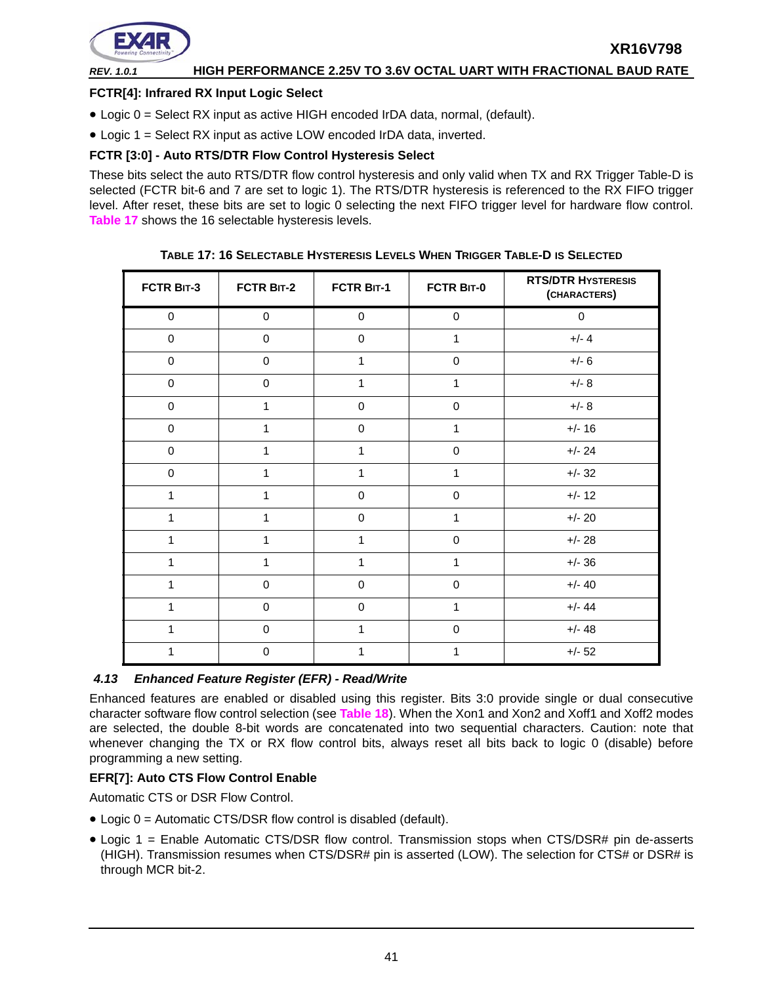

#### **FCTR[4]: Infrared RX Input Logic Select**

- Logic 0 = Select RX input as active HIGH encoded IrDA data, normal, (default).
- Logic 1 = Select RX input as active LOW encoded IrDA data, inverted.

#### **FCTR [3:0] - Auto RTS/DTR Flow Control Hysteresis Select**

These bits select the auto RTS/DTR flow control hysteresis and only valid when TX and RX Trigger Table-D is selected (FCTR bit-6 and 7 are set to logic 1). The RTS/DTR hysteresis is referenced to the RX FIFO trigger level. After reset, these bits are set to logic 0 selecting the next FIFO trigger level for hardware flow control. **[Table](#page-40-0) 17** shows the 16 selectable hysteresis levels.

<span id="page-40-0"></span>

| FCTR BIT-3   | FCTR BIT-2 | <b>FCTR BIT-1</b> | FCTR BIT-0  | <b>RTS/DTR HYSTERESIS</b><br>(CHARACTERS) |
|--------------|------------|-------------------|-------------|-------------------------------------------|
| $\mathbf 0$  | $\pmb{0}$  | $\mathbf 0$       | $\mathbf 0$ | $\mathbf 0$                               |
| $\mathbf 0$  | $\pmb{0}$  | $\mathbf 0$       | 1           | $+/- 4$                                   |
| $\pmb{0}$    | 0          | 1                 | $\pmb{0}$   | $+/- 6$                                   |
| $\mathbf 0$  | 0          | 1                 | 1           | $+/- 8$                                   |
| $\pmb{0}$    | 1          | $\pmb{0}$         | $\mathbf 0$ | $+/- 8$                                   |
| $\mathbf 0$  | 1          | $\mathbf 0$       | 1           | $+/- 16$                                  |
| $\pmb{0}$    | 1          | $\mathbf{1}$      | $\mathbf 0$ | $+/- 24$                                  |
| $\pmb{0}$    | 1          | $\mathbf{1}$      | 1           | $+/- 32$                                  |
| $\mathbf{1}$ | 1          | $\mathbf 0$       | $\mathbf 0$ | $+/- 12$                                  |
| 1            | 1          | $\mathbf 0$       | 1           | $+/- 20$                                  |
| 1            | 1          | 1                 | $\pmb{0}$   | $+/- 28$                                  |
| 1            | 1          | 1                 | 1           | $+/- 36$                                  |
| 1            | $\pmb{0}$  | $\mathbf 0$       | $\mathbf 0$ | $+/- 40$                                  |
| 1            | $\pmb{0}$  | $\pmb{0}$         | 1           | $+/- 44$                                  |
| 1            | 0          | $\mathbf{1}$      | $\pmb{0}$   | $+/- 48$                                  |
| $\mathbf{1}$ | $\pmb{0}$  | 1                 | 1           | $+/- 52$                                  |

**TABLE 17: 16 SELECTABLE HYSTERESIS LEVELS WHEN TRIGGER TABLE-D IS SELECTED**

#### <span id="page-40-1"></span>*4.13 Enhanced Feature Register (EFR) - Read/Write*

Enhanced features are enabled or disabled using this register. Bits 3:0 provide single or dual consecutive character software flow control selection (see **[Table](#page-42-0) 18**). When the Xon1 and Xon2 and Xoff1 and Xoff2 modes are selected, the double 8-bit words are concatenated into two sequential characters. Caution: note that whenever changing the TX or RX flow control bits, always reset all bits back to logic 0 (disable) before programming a new setting.

#### **EFR[7]: Auto CTS Flow Control Enable**

Automatic CTS or DSR Flow Control.

- Logic 0 = Automatic CTS/DSR flow control is disabled (default).
- Logic 1 = Enable Automatic CTS/DSR flow control. Transmission stops when CTS/DSR# pin de-asserts (HIGH). Transmission resumes when CTS/DSR# pin is asserted (LOW). The selection for CTS# or DSR# is through MCR bit-2.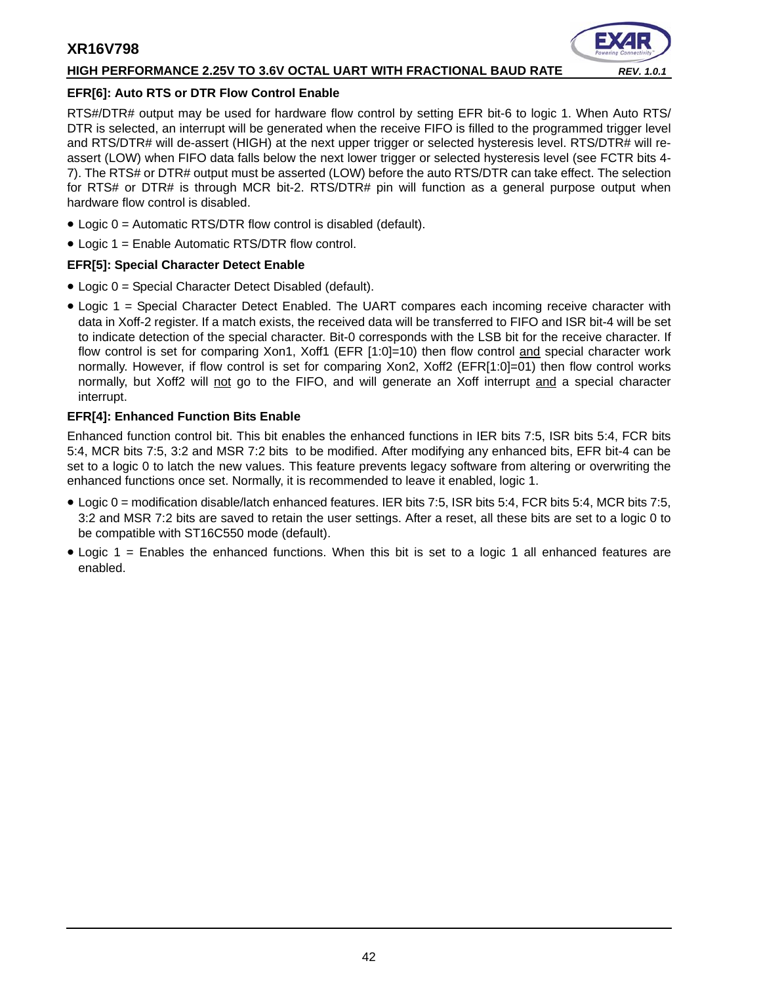## **HIGH PERFORMANCE 2.25V TO 3.6V OCTAL UART WITH FRACTIONAL BAUD RATE** *REV. 1.0.1*

#### **EFR[6]: Auto RTS or DTR Flow Control Enable**

RTS#/DTR# output may be used for hardware flow control by setting EFR bit-6 to logic 1. When Auto RTS/ DTR is selected, an interrupt will be generated when the receive FIFO is filled to the programmed trigger level and RTS/DTR# will de-assert (HIGH) at the next upper trigger or selected hysteresis level. RTS/DTR# will reassert (LOW) when FIFO data falls below the next lower trigger or selected hysteresis level (see FCTR bits 4- 7). The RTS# or DTR# output must be asserted (LOW) before the auto RTS/DTR can take effect. The selection for RTS# or DTR# is through MCR bit-2. RTS/DTR# pin will function as a general purpose output when hardware flow control is disabled.

- Logic 0 = Automatic RTS/DTR flow control is disabled (default).
- Logic 1 = Enable Automatic RTS/DTR flow control.

### **EFR[5]: Special Character Detect Enable**

- Logic 0 = Special Character Detect Disabled (default).
- Logic 1 = Special Character Detect Enabled. The UART compares each incoming receive character with data in Xoff-2 register. If a match exists, the received data will be transferred to FIFO and ISR bit-4 will be set to indicate detection of the special character. Bit-0 corresponds with the LSB bit for the receive character. If flow control is set for comparing Xon1, Xoff1 (EFR [1:0]=10) then flow control and special character work normally. However, if flow control is set for comparing Xon2, Xoff2 (EFR[1:0]=01) then flow control works normally, but Xoff2 will not go to the FIFO, and will generate an Xoff interrupt and a special character interrupt.

# **EFR[4]: Enhanced Function Bits Enable**

Enhanced function control bit. This bit enables the enhanced functions in IER bits 7:5, ISR bits 5:4, FCR bits 5:4, MCR bits 7:5, 3:2 and MSR 7:2 bits to be modified. After modifying any enhanced bits, EFR bit-4 can be set to a logic 0 to latch the new values. This feature prevents legacy software from altering or overwriting the enhanced functions once set. Normally, it is recommended to leave it enabled, logic 1.

- Logic 0 = modification disable/latch enhanced features. IER bits 7:5, ISR bits 5:4, FCR bits 5:4, MCR bits 7:5, 3:2 and MSR 7:2 bits are saved to retain the user settings. After a reset, all these bits are set to a logic 0 to be compatible with ST16C550 mode (default).
- Logic 1 = Enables the enhanced functions. When this bit is set to a logic 1 all enhanced features are enabled.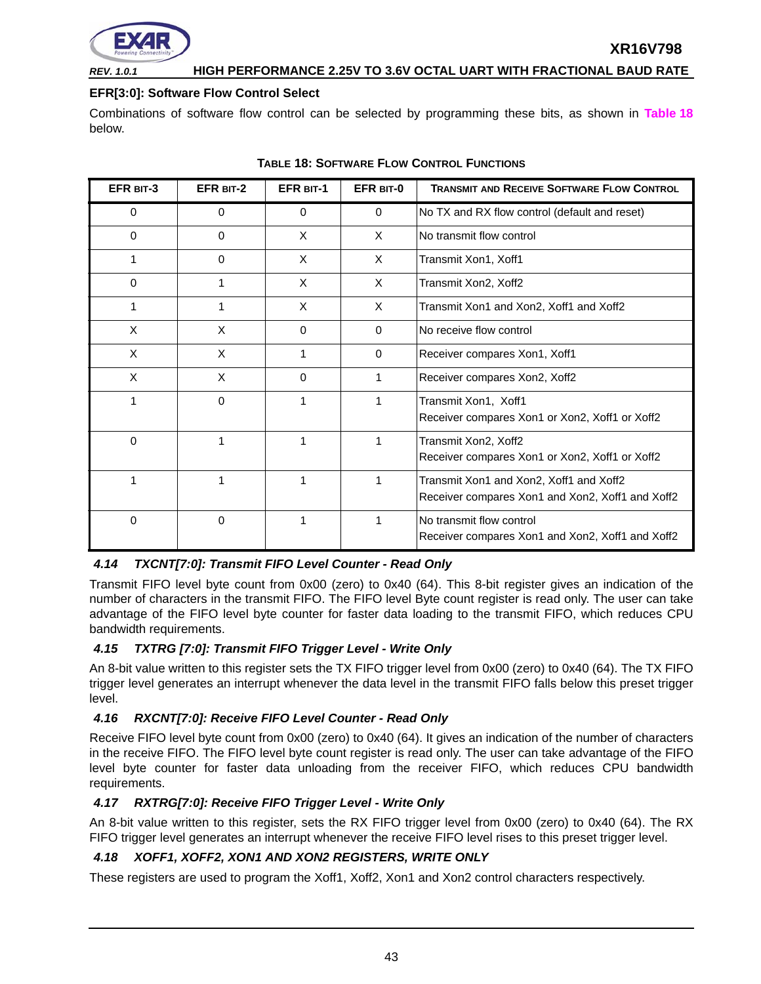

#### **EFR[3:0]: Software Flow Control Select**

Combinations of software flow control can be selected by programming these bits, as shown in **[Table](#page-42-0) 18** below.

<span id="page-42-0"></span>

| EFR BIT-3 | EFR BIT-2 | <b>EFR BIT-1</b> | EFR BIT-0 | <b>TRANSMIT AND RECEIVE SOFTWARE FLOW CONTROL</b>                                           |
|-----------|-----------|------------------|-----------|---------------------------------------------------------------------------------------------|
| 0         | $\Omega$  | 0                | $\Omega$  | No TX and RX flow control (default and reset)                                               |
| $\Omega$  | $\Omega$  | X                | $\times$  | No transmit flow control                                                                    |
| 1         | 0         | X                | X         | Transmit Xon1, Xoff1                                                                        |
| 0         | 1         | X                | X         | Transmit Xon2, Xoff2                                                                        |
| 1         | 1         | $\times$         | X         | Transmit Xon1 and Xon2, Xoff1 and Xoff2                                                     |
| X         | X         | $\Omega$         | $\Omega$  | No receive flow control                                                                     |
| X         | X         | 1                | $\Omega$  | Receiver compares Xon1, Xoff1                                                               |
| X         | X         | 0                | 1         | Receiver compares Xon2, Xoff2                                                               |
| 1         | $\Omega$  |                  | 1         | Transmit Xon1, Xoff1<br>Receiver compares Xon1 or Xon2, Xoff1 or Xoff2                      |
| $\Omega$  | 1         | 1                | 1         | Transmit Xon2, Xoff2<br>Receiver compares Xon1 or Xon2, Xoff1 or Xoff2                      |
| 1         | 1         | 1                | 1         | Transmit Xon1 and Xon2, Xoff1 and Xoff2<br>Receiver compares Xon1 and Xon2, Xoff1 and Xoff2 |
| 0         | 0         | 1                | 1         | No transmit flow control<br>Receiver compares Xon1 and Xon2, Xoff1 and Xoff2                |

#### **TABLE 18: SOFTWARE FLOW CONTROL FUNCTIONS**

#### <span id="page-42-1"></span>*4.14 TXCNT[7:0]: Transmit FIFO Level Counter - Read Only*

Transmit FIFO level byte count from 0x00 (zero) to 0x40 (64). This 8-bit register gives an indication of the number of characters in the transmit FIFO. The FIFO level Byte count register is read only. The user can take advantage of the FIFO level byte counter for faster data loading to the transmit FIFO, which reduces CPU bandwidth requirements.

#### <span id="page-42-2"></span>*4.15 TXTRG [7:0]: Transmit FIFO Trigger Level - Write Only*

An 8-bit value written to this register sets the TX FIFO trigger level from 0x00 (zero) to 0x40 (64). The TX FIFO trigger level generates an interrupt whenever the data level in the transmit FIFO falls below this preset trigger level.

#### <span id="page-42-3"></span>*4.16 RXCNT[7:0]: Receive FIFO Level Counter - Read Only*

Receive FIFO level byte count from 0x00 (zero) to 0x40 (64). It gives an indication of the number of characters in the receive FIFO. The FIFO level byte count register is read only. The user can take advantage of the FIFO level byte counter for faster data unloading from the receiver FIFO, which reduces CPU bandwidth requirements.

#### <span id="page-42-4"></span>*4.17 RXTRG[7:0]: Receive FIFO Trigger Level - Write Only*

An 8-bit value written to this register, sets the RX FIFO trigger level from 0x00 (zero) to 0x40 (64). The RX FIFO trigger level generates an interrupt whenever the receive FIFO level rises to this preset trigger level.

#### <span id="page-42-5"></span>*4.18 XOFF1, XOFF2, XON1 AND XON2 REGISTERS, WRITE ONLY*

These registers are used to program the Xoff1, Xoff2, Xon1 and Xon2 control characters respectively.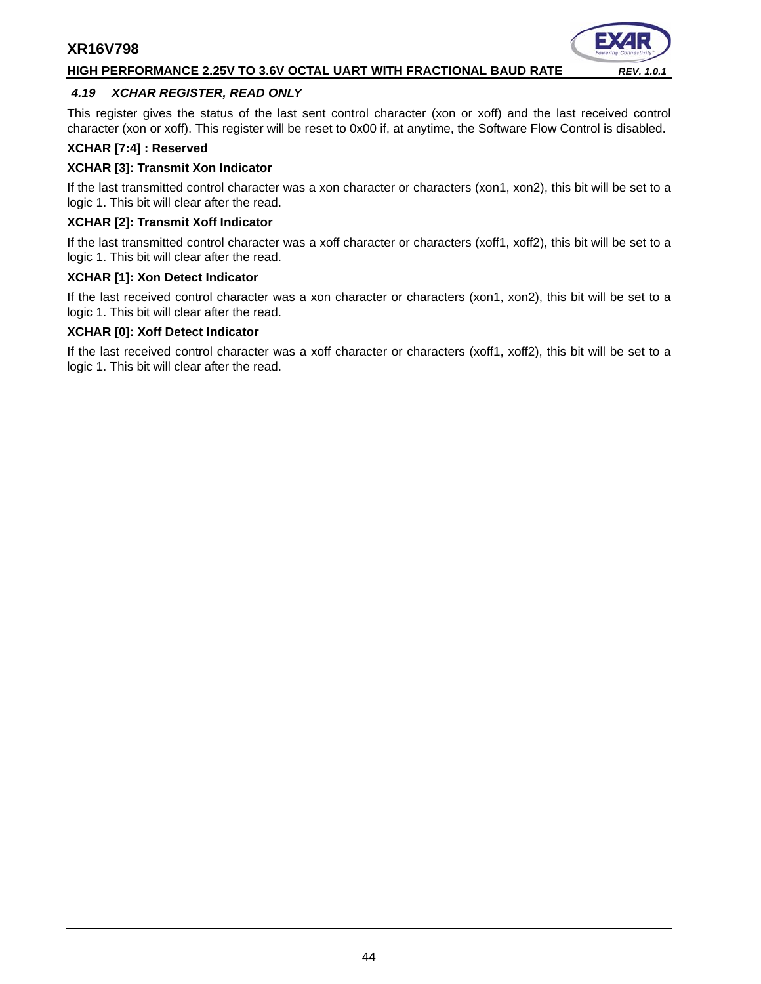### **HIGH PERFORMANCE 2.25V TO 3.6V OCTAL UART WITH FRACTIONAL BAUD RATE** *REV. 1.0.1*



#### <span id="page-43-0"></span>*4.19 XCHAR REGISTER, READ ONLY*

This register gives the status of the last sent control character (xon or xoff) and the last received control character (xon or xoff). This register will be reset to 0x00 if, at anytime, the Software Flow Control is disabled.

#### **XCHAR [7:4] : Reserved**

#### **XCHAR [3]: Transmit Xon Indicator**

If the last transmitted control character was a xon character or characters (xon1, xon2), this bit will be set to a logic 1. This bit will clear after the read.

#### **XCHAR [2]: Transmit Xoff Indicator**

If the last transmitted control character was a xoff character or characters (xoff1, xoff2), this bit will be set to a logic 1. This bit will clear after the read.

#### **XCHAR [1]: Xon Detect Indicator**

If the last received control character was a xon character or characters (xon1, xon2), this bit will be set to a logic 1. This bit will clear after the read.

#### **XCHAR [0]: Xoff Detect Indicator**

If the last received control character was a xoff character or characters (xoff1, xoff2), this bit will be set to a logic 1. This bit will clear after the read.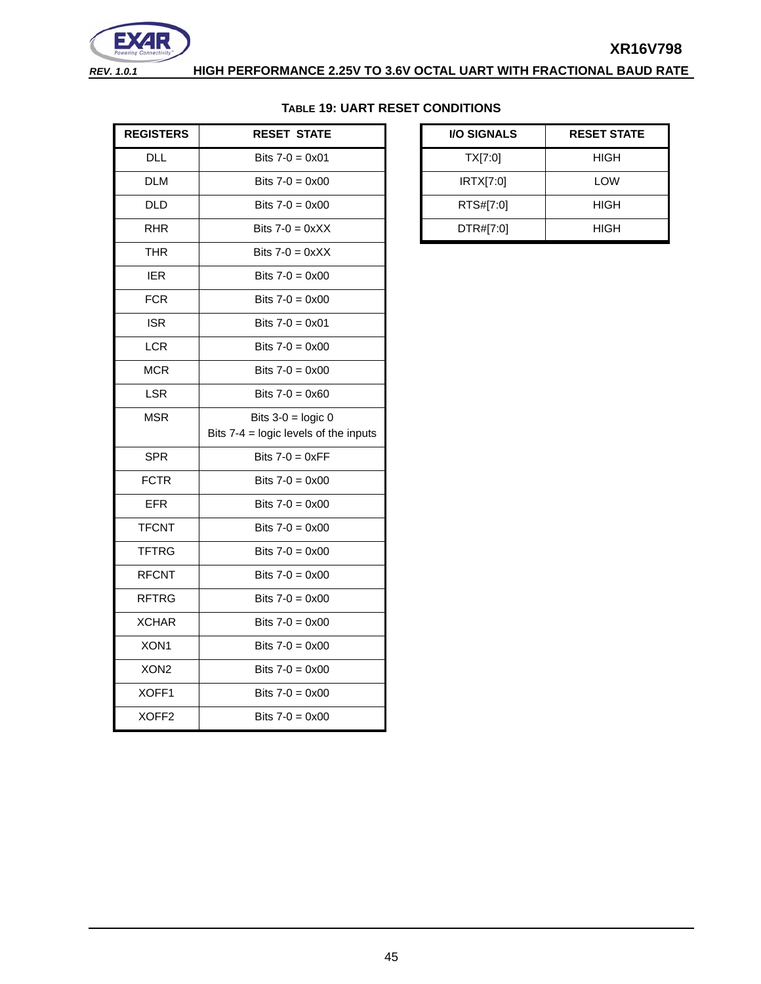

<span id="page-44-0"></span>

| <b>REGISTERS</b>  | <b>RESET STATE</b>                      | I/O SIGNALS | <b>RESET STATE</b> |
|-------------------|-----------------------------------------|-------------|--------------------|
| <b>DLL</b>        | Bits $7-0 = 0 \times 01$                | TX[7:0]     | <b>HIGH</b>        |
| <b>DLM</b>        | Bits $7-0 = 0 \times 00$                | IRTX[7:0]   | LOW                |
| <b>DLD</b>        | Bits $7 - 0 = 0 \times 00$              | RTS#[7:0]   | <b>HIGH</b>        |
| <b>RHR</b>        | Bits $7-0 = 0 \times X$                 | DTR#[7:0]   | <b>HIGH</b>        |
| <b>THR</b>        | Bits $7-0 = 0 \times X$                 |             |                    |
| <b>IER</b>        | Bits $7-0 = 0 \times 00$                |             |                    |
| <b>FCR</b>        | Bits $7-0 = 0 \times 00$                |             |                    |
| <b>ISR</b>        | Bits $7-0 = 0 \times 01$                |             |                    |
| <b>LCR</b>        | Bits $7-0 = 0 \times 00$                |             |                    |
| <b>MCR</b>        | Bits $7-0 = 0 \times 00$                |             |                    |
| <b>LSR</b>        | Bits $7 - 0 = 0 \times 60$              |             |                    |
| <b>MSR</b>        | Bits $3-0 = \text{logic } 0$            |             |                    |
|                   | Bits $7-4$ = logic levels of the inputs |             |                    |
| <b>SPR</b>        | Bits $7-0 = 0 \times FF$                |             |                    |
| <b>FCTR</b>       | Bits $7 - 0 = 0 \times 00$              |             |                    |
| <b>EFR</b>        | Bits $7-0 = 0 \times 00$                |             |                    |
| <b>TFCNT</b>      | Bits $7-0 = 0 \times 00$                |             |                    |
| <b>TFTRG</b>      | Bits $7-0 = 0 \times 00$                |             |                    |
| <b>RFCNT</b>      | Bits $7-0 = 0 \times 00$                |             |                    |
| <b>RFTRG</b>      | Bits $7-0 = 0 \times 00$                |             |                    |
| <b>XCHAR</b>      | Bits $7-0 = 0 \times 00$                |             |                    |
| XON1              | Bits $7-0 = 0 \times 00$                |             |                    |
| XON <sub>2</sub>  | Bits $7-0 = 0 \times 00$                |             |                    |
| XOFF1             | Bits $7-0 = 0 \times 00$                |             |                    |
| XOFF <sub>2</sub> | Bits $7-0 = 0 \times 00$                |             |                    |

#### **TABLE 19: UART RESET CONDITIONS**

| <b>I/O SIGNALS</b> | <b>RESET STATE</b> |
|--------------------|--------------------|
| TX[7:0]            | HIGH               |
| IRTX[7:0]          | LOW                |
| RTS#[7:0]          | HIGH               |
| DTR#[7:0]          | HIGH               |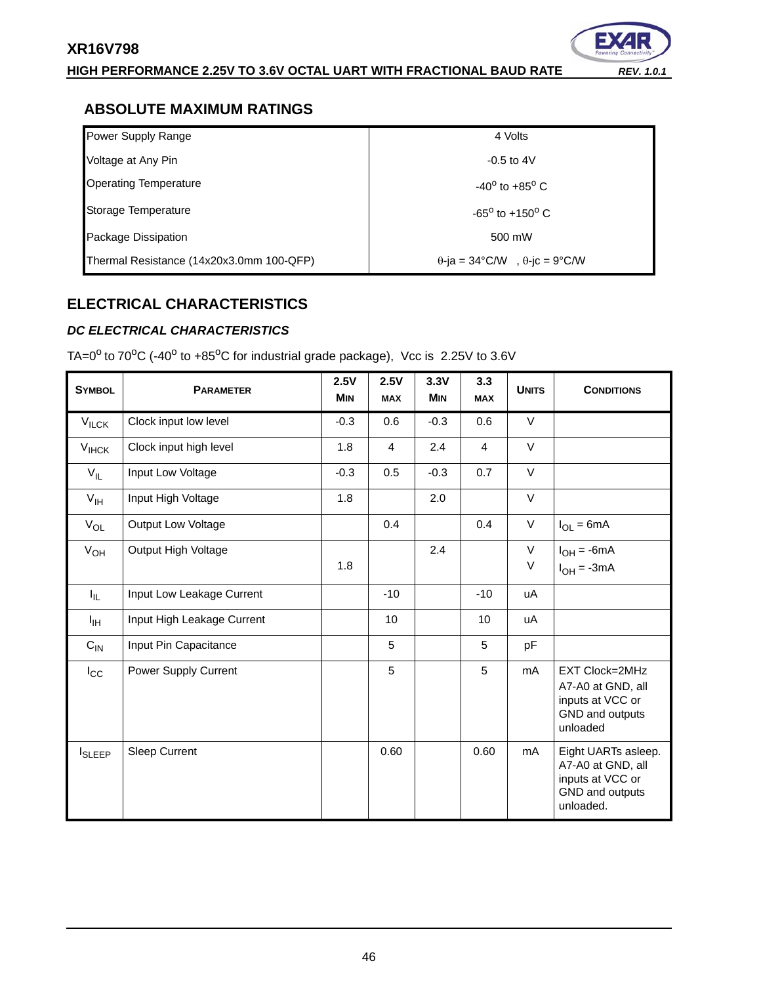# **HIGH PERFORMANCE 2.25V TO 3.6V OCTAL UART WITH FRACTIONAL BAUD RATE** *REV. 1.0.1*



# <span id="page-45-0"></span>**ABSOLUTE MAXIMUM RATINGS**

| Power Supply Range                       | 4 Volts                                     |
|------------------------------------------|---------------------------------------------|
| Voltage at Any Pin                       | $-0.5$ to 4V                                |
| <b>Operating Temperature</b>             | $-40^{\circ}$ to $+85^{\circ}$ C            |
| Storage Temperature                      | $-65^{\circ}$ to $+150^{\circ}$ C           |
| Package Dissipation                      | 500 mW                                      |
| Thermal Resistance (14x20x3.0mm 100-QFP) | $\theta$ -ja = 34°C/W, $\theta$ -jc = 9°C/W |

# <span id="page-45-1"></span>**ELECTRICAL CHARACTERISTICS**

# <span id="page-45-2"></span>*DC ELECTRICAL CHARACTERISTICS*

TA= $0^{\circ}$  to 70 $^{\circ}$ C (-40 $^{\circ}$  to +85 $^{\circ}$ C for industrial grade package), Vcc is 2.25V to 3.6V

| <b>SYMBOL</b>             | <b>PARAMETER</b>           | 2.5V<br><b>MIN</b> | 2.5V<br><b>MAX</b> | 3.3V<br><b>MIN</b> | 3.3<br><b>MAX</b> | <b>UNITS</b>     | <b>CONDITIONS</b>                                                                            |
|---------------------------|----------------------------|--------------------|--------------------|--------------------|-------------------|------------------|----------------------------------------------------------------------------------------------|
| $V_{\text{ILCK}}$         | Clock input low level      | $-0.3$             | 0.6                | $-0.3$             | 0.6               | V                |                                                                                              |
| $V_{IHCK}$                | Clock input high level     | 1.8                | $\overline{4}$     | 2.4                | $\overline{4}$    | $\vee$           |                                                                                              |
| $V_{IL}$                  | Input Low Voltage          | $-0.3$             | 0.5                | $-0.3$             | 0.7               | $\vee$           |                                                                                              |
| $V_{\text{IH}}$           | Input High Voltage         | 1.8                |                    | 2.0                |                   | $\vee$           |                                                                                              |
| $V_{OL}$                  | Output Low Voltage         |                    | 0.4                |                    | 0.4               | $\vee$           | $I_{OL} = 6mA$                                                                               |
| $V_{OH}$                  | Output High Voltage        | 1.8                |                    | 2.4                |                   | $\vee$<br>$\vee$ | $I_{OH} = -6mA$<br>$I_{OH} = -3mA$                                                           |
| I <sub>IL</sub>           | Input Low Leakage Current  |                    | $-10$              |                    | $-10$             | uA               |                                                                                              |
| ŀщ                        | Input High Leakage Current |                    | 10                 |                    | 10                | uA               |                                                                                              |
| $C_{IN}$                  | Input Pin Capacitance      |                    | 5                  |                    | 5                 | pF               |                                                                                              |
| $I_{\rm CC}$              | Power Supply Current       |                    | 5                  |                    | 5                 | mA               | EXT Clock=2MHz<br>A7-A0 at GND, all<br>inputs at VCC or<br>GND and outputs<br>unloaded       |
| <b>I</b> <sub>SLEEP</sub> | <b>Sleep Current</b>       |                    | 0.60               |                    | 0.60              | mA               | Eight UARTs asleep.<br>A7-A0 at GND, all<br>inputs at VCC or<br>GND and outputs<br>unloaded. |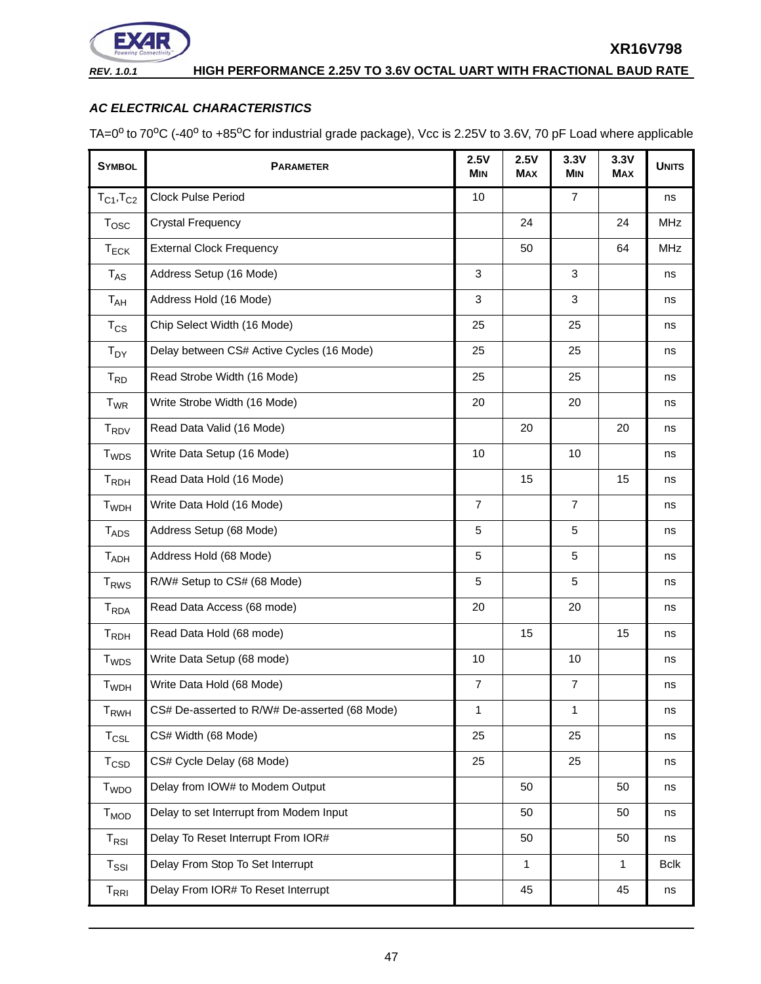

#### <span id="page-46-0"></span>*AC ELECTRICAL CHARACTERISTICS*

TA=0<sup>o</sup> to 70<sup>o</sup>C (-40<sup>o</sup> to +85<sup>o</sup>C for industrial grade package), Vcc is 2.25V to 3.6V, 70 pF Load where applicable

| <b>SYMBOL</b>               | <b>PARAMETER</b>                              | 2.5V<br><b>MIN</b> | 2.5V<br><b>MAX</b> | 3.3V<br><b>MIN</b> | 3.3V<br><b>MAX</b> | <b>UNITS</b> |
|-----------------------------|-----------------------------------------------|--------------------|--------------------|--------------------|--------------------|--------------|
| $T_{C1}$ , $T_{C2}$         | <b>Clock Pulse Period</b>                     | 10                 |                    | $\overline{7}$     |                    | ns           |
| T <sub>OSC</sub>            | <b>Crystal Frequency</b>                      |                    | 24                 |                    | 24                 | <b>MHz</b>   |
| $T_{\sf ECK}$               | <b>External Clock Frequency</b>               |                    | 50                 |                    | 64                 | <b>MHz</b>   |
| $T_{AS}$                    | Address Setup (16 Mode)                       | 3                  |                    | 3                  |                    | ns           |
| $T_{AH}$                    | Address Hold (16 Mode)                        | 3                  |                    | 3                  |                    | ns           |
| $T_{CS}$                    | Chip Select Width (16 Mode)                   | 25                 |                    | 25                 |                    | ns           |
| $T_{DY}$                    | Delay between CS# Active Cycles (16 Mode)     | 25                 |                    | 25                 |                    | ns           |
| $T_{RD}$                    | Read Strobe Width (16 Mode)                   | 25                 |                    | 25                 |                    | ns           |
| $T_{WR}$                    | Write Strobe Width (16 Mode)                  | 20                 |                    | 20                 |                    | ns           |
| T <sub>RDV</sub>            | Read Data Valid (16 Mode)                     |                    | 20                 |                    | 20                 | ns           |
| T <sub>WDS</sub>            | Write Data Setup (16 Mode)                    | 10                 |                    | 10                 |                    | ns           |
| $T_{RDH}$                   | Read Data Hold (16 Mode)                      |                    | 15                 |                    | 15                 | ns           |
| T <sub>WDH</sub>            | Write Data Hold (16 Mode)                     | $\overline{7}$     |                    | $\overline{7}$     |                    | ns           |
| $T_{ADS}$                   | Address Setup (68 Mode)                       | 5                  |                    | 5                  |                    | ns           |
| T <sub>ADH</sub>            | Address Hold (68 Mode)                        | 5                  |                    | 5                  |                    | ns           |
| <b>T<sub>RWS</sub></b>      | R/W# Setup to CS# (68 Mode)                   | 5                  |                    | 5                  |                    | ns           |
| <b>T</b> <sub>RDA</sub>     | Read Data Access (68 mode)                    | 20                 |                    | 20                 |                    | ns           |
| $T_{RDH}$                   | Read Data Hold (68 mode)                      |                    | 15                 |                    | 15                 | ns           |
| $T_{WDS}$                   | Write Data Setup (68 mode)                    | 10                 |                    | 10                 |                    | ns           |
| T <sub>WDH</sub>            | Write Data Hold (68 Mode)                     | $\overline{7}$     |                    | $\overline{7}$     |                    | ns           |
| $\mathsf{T}_{\mathsf{RWH}}$ | CS# De-asserted to R/W# De-asserted (68 Mode) | 1                  |                    | 1                  |                    | ns           |
| $T_{CSL}$                   | CS# Width (68 Mode)                           | 25                 |                    | 25                 |                    | ns           |
| $T_{\text{CSD}}$            | CS# Cycle Delay (68 Mode)                     | 25                 |                    | 25                 |                    | ns           |
| <b>T</b> <sub>WDO</sub>     | Delay from IOW# to Modem Output               |                    | 50                 |                    | 50                 | ns           |
| $T_{MOD}$                   | Delay to set Interrupt from Modem Input       |                    | 50                 |                    | 50                 | ns           |
| $T_{RSI}$                   | Delay To Reset Interrupt From IOR#            |                    | 50                 |                    | 50                 | ns           |
| $T_{\rm SSI}$               | Delay From Stop To Set Interrupt              |                    | $\mathbf{1}$       |                    | $\mathbf{1}$       | <b>Bclk</b>  |
| $T_{\sf RRI}$               | Delay From IOR# To Reset Interrupt            |                    | 45                 |                    | 45                 | ns           |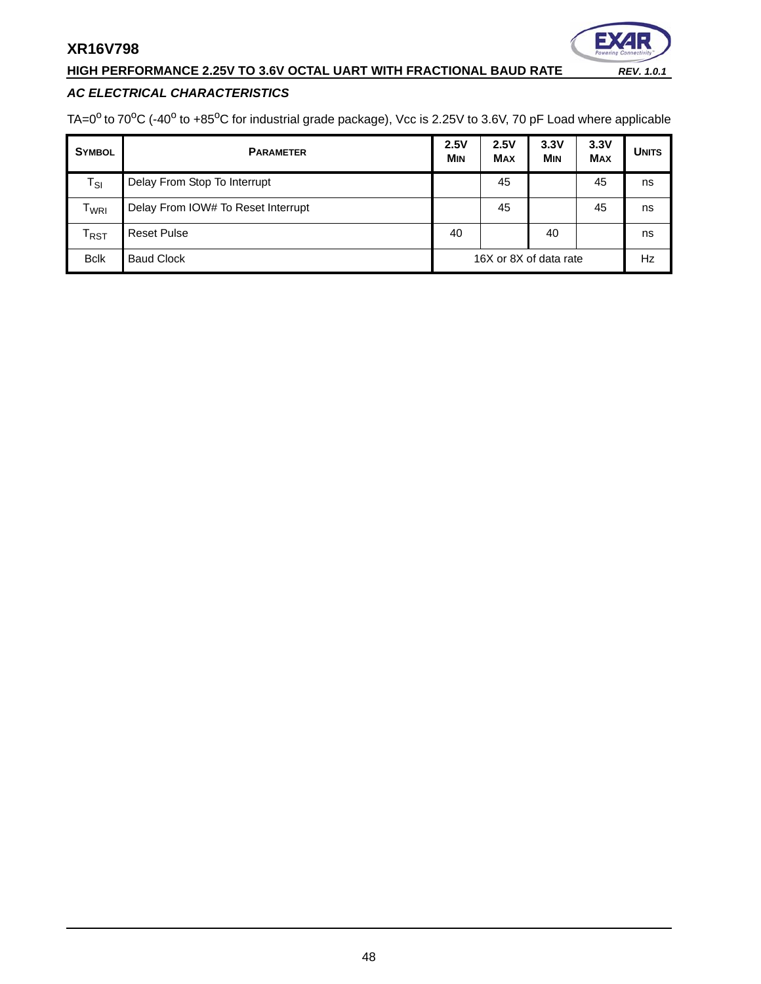

# **HIGH PERFORMANCE 2.25V TO 3.6V OCTAL UART WITH FRACTIONAL BAUD RATE** *REV. 1.0.1*

# *AC ELECTRICAL CHARACTERISTICS*

TA=0<sup>o</sup> to 70<sup>o</sup>C (-40<sup>o</sup> to +85<sup>o</sup>C for industrial grade package), Vcc is 2.25V to 3.6V, 70 pF Load where applicable

| <b>SYMBOL</b>               | <b>PARAMETER</b>                   |                        | 2.5V<br><b>MAX</b> | 3.3V<br><b>MIN</b> | 3.3V<br><b>MAX</b> | <b>UNITS</b> |
|-----------------------------|------------------------------------|------------------------|--------------------|--------------------|--------------------|--------------|
| $T_{SI}$                    | Delay From Stop To Interrupt       |                        | 45                 |                    | 45                 | ns           |
| T <sub>WRI</sub>            | Delay From IOW# To Reset Interrupt |                        | 45                 |                    | 45                 | ns           |
| $\mathsf{T}_{\mathsf{RST}}$ | <b>Reset Pulse</b>                 | 40                     |                    | 40                 |                    | ns           |
| <b>B</b> clk                | <b>Baud Clock</b>                  | 16X or 8X of data rate |                    |                    | Hz                 |              |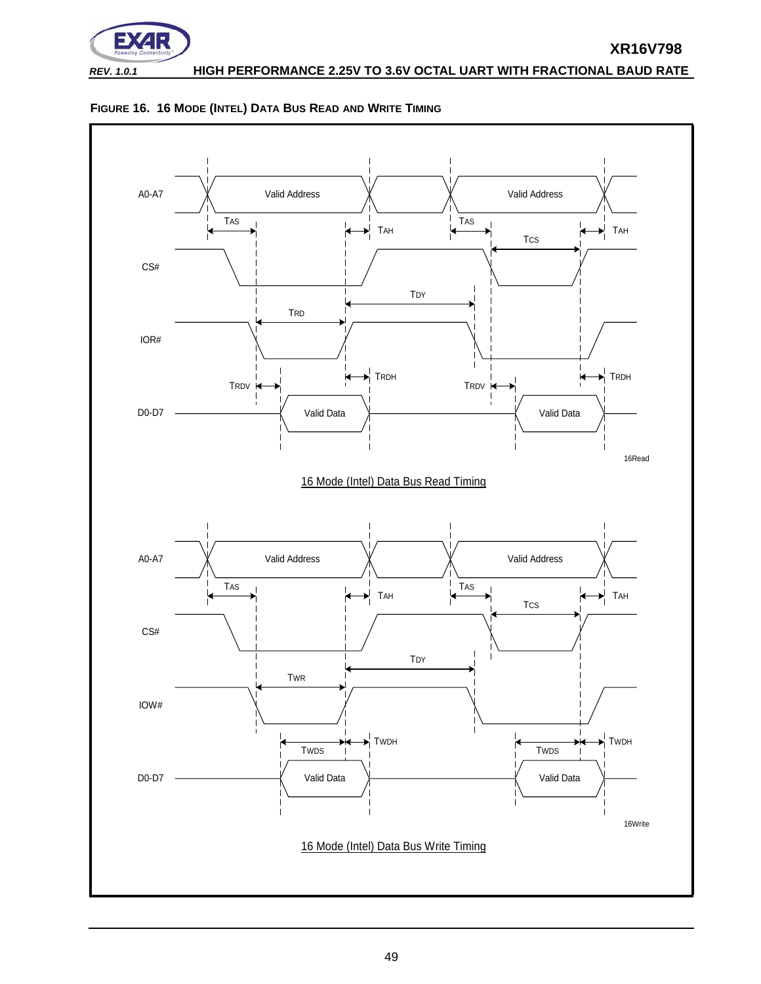



#### <span id="page-48-0"></span>**FIGURE 16. 16 MODE (INTEL) DATA BUS READ AND WRITE TIMING**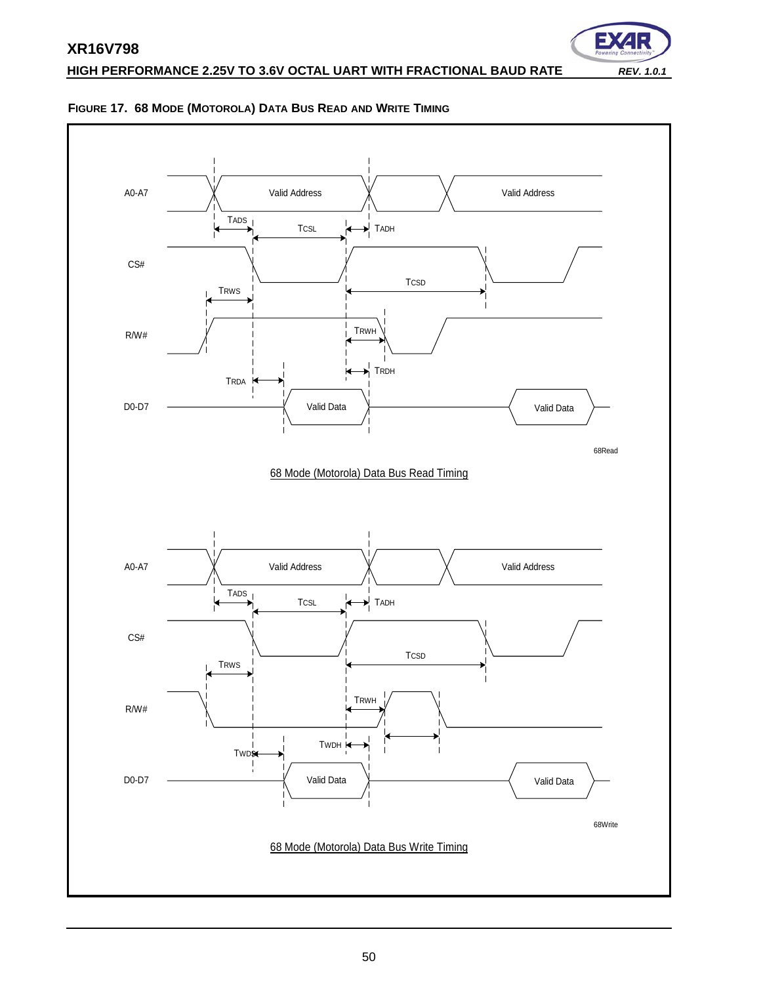

# **HIGH PERFORMANCE 2.25V TO 3.6V OCTAL UART WITH FRACTIONAL BAUD RATE** *REV. 1.0.1*



#### <span id="page-49-0"></span>**FIGURE 17. 68 MODE (MOTOROLA) DATA BUS READ AND WRITE TIMING**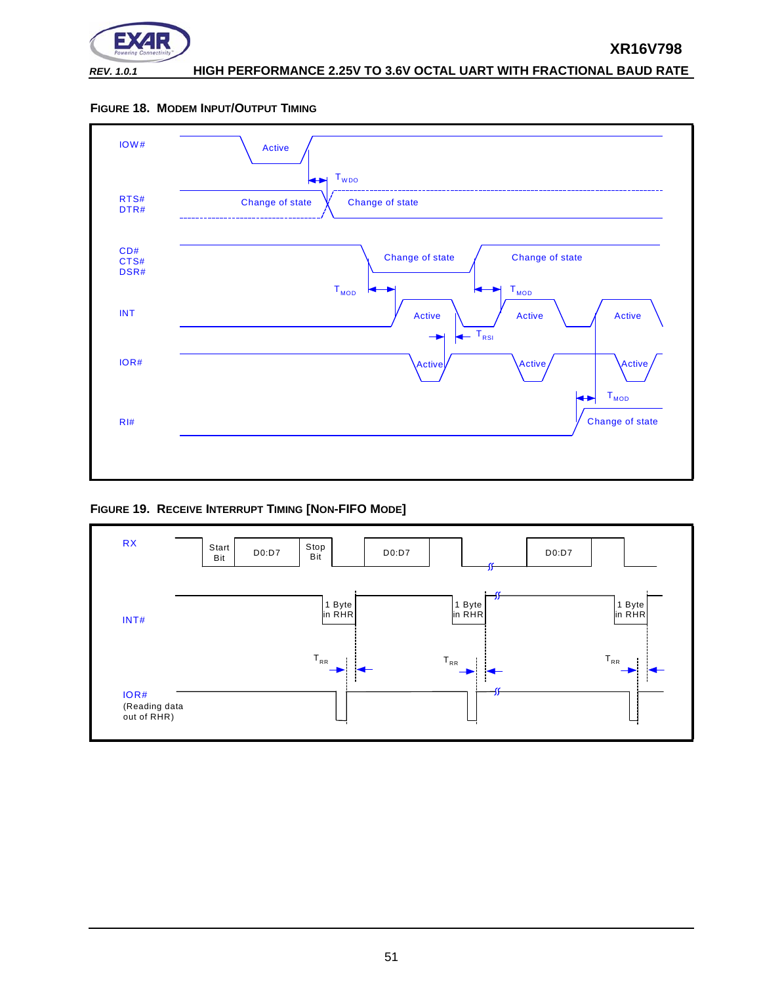

<span id="page-50-0"></span>



<span id="page-50-1"></span>**FIGURE 19. RECEIVE INTERRUPT TIMING [NON-FIFO MODE]**

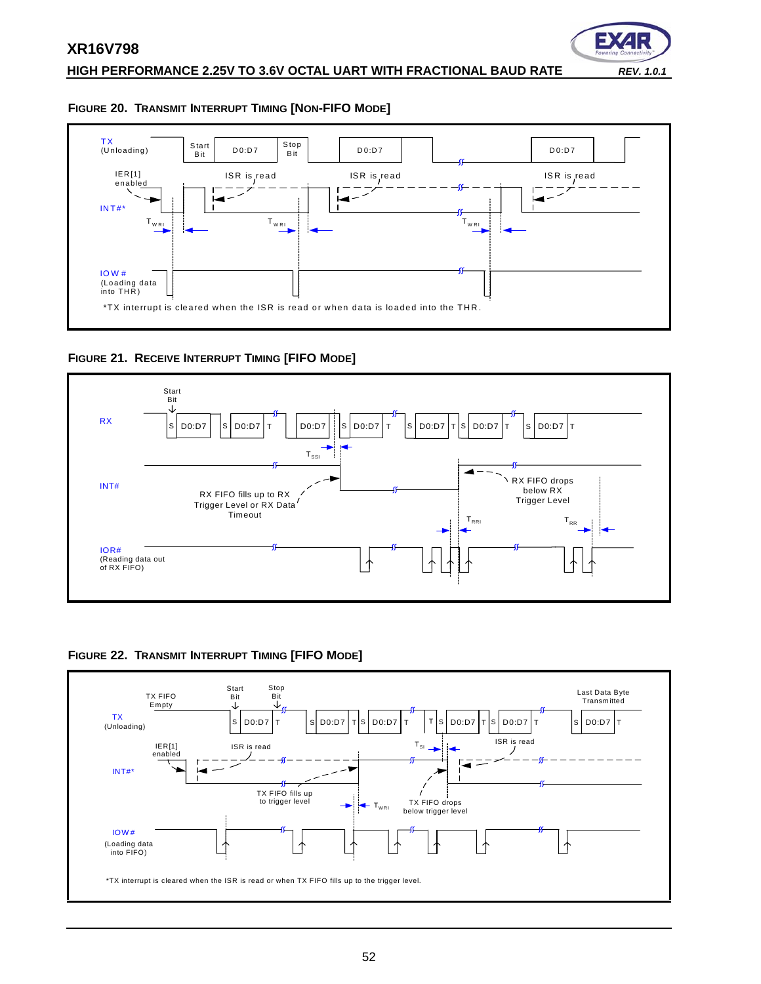

#### **HIGH PERFORMANCE 2.25V TO 3.6V OCTAL UART WITH FRACTIONAL BAUD RATE** *REV. 1.0.1*



#### <span id="page-51-0"></span>**FIGURE 20. TRANSMIT INTERRUPT TIMING [NON-FIFO MODE]**

<span id="page-51-1"></span>



<span id="page-51-2"></span>

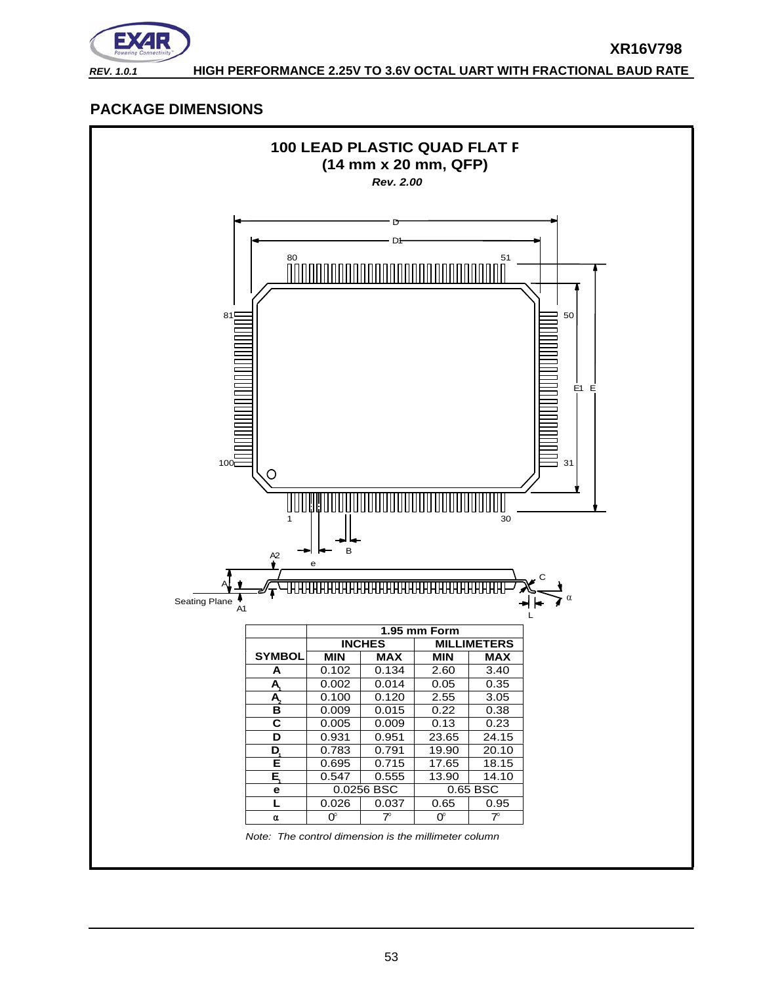

# <span id="page-52-0"></span>**PACKAGE DIMENSIONS**

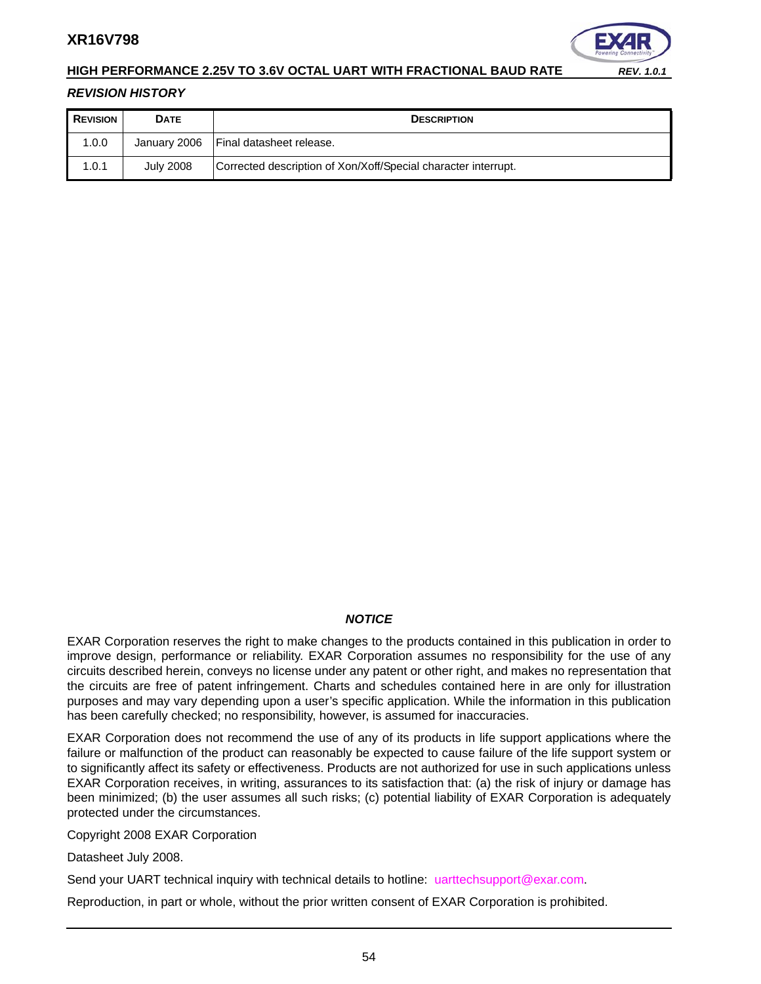

#### <span id="page-53-0"></span>*REVISION HISTORY*

| <b>REVISION</b> | <b>DATE</b>      | <b>DESCRIPTION</b>                                             |
|-----------------|------------------|----------------------------------------------------------------|
| 1.0.0           | January 2006     | Final datasheet release.                                       |
| 1.0.1           | <b>July 2008</b> | Corrected description of Xon/Xoff/Special character interrupt. |

#### *NOTICE*

EXAR Corporation reserves the right to make changes to the products contained in this publication in order to improve design, performance or reliability. EXAR Corporation assumes no responsibility for the use of any circuits described herein, conveys no license under any patent or other right, and makes no representation that the circuits are free of patent infringement. Charts and schedules contained here in are only for illustration purposes and may vary depending upon a user's specific application. While the information in this publication has been carefully checked; no responsibility, however, is assumed for inaccuracies.

EXAR Corporation does not recommend the use of any of its products in life support applications where the failure or malfunction of the product can reasonably be expected to cause failure of the life support system or to significantly affect its safety or effectiveness. Products are not authorized for use in such applications unless EXAR Corporation receives, in writing, assurances to its satisfaction that: (a) the risk of injury or damage has been minimized; (b) the user assumes all such risks; (c) potential liability of EXAR Corporation is adequately protected under the circumstances.

Copyright 2008 EXAR Corporation

Datasheet July 2008.

Send your UART technical inquiry with technical details to hotline: uarttechsupport@exar.com.

Reproduction, in part or whole, without the prior written consent of EXAR Corporation is prohibited.

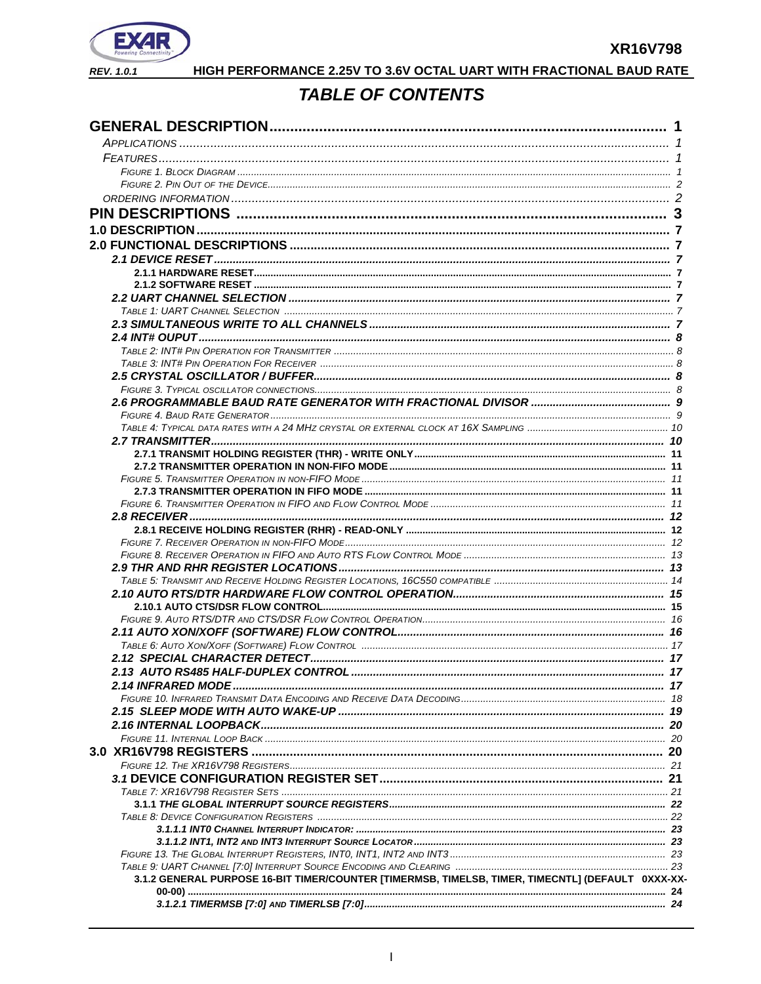

# **TABLE OF CONTENTS**

<span id="page-54-0"></span>

| 2 13 AUTO RSAR5 HAI F-DUPLEX CONTROL                                                              |  |
|---------------------------------------------------------------------------------------------------|--|
|                                                                                                   |  |
|                                                                                                   |  |
|                                                                                                   |  |
|                                                                                                   |  |
|                                                                                                   |  |
|                                                                                                   |  |
|                                                                                                   |  |
|                                                                                                   |  |
|                                                                                                   |  |
|                                                                                                   |  |
|                                                                                                   |  |
|                                                                                                   |  |
|                                                                                                   |  |
|                                                                                                   |  |
| 3.1.2 GENERAL PURPOSE 16-BIT TIMER/COUNTER [TIMERMSB, TIMELSB, TIMER, TIMECNTL] (DEFAULT 0XXX-XX- |  |
|                                                                                                   |  |
|                                                                                                   |  |
|                                                                                                   |  |